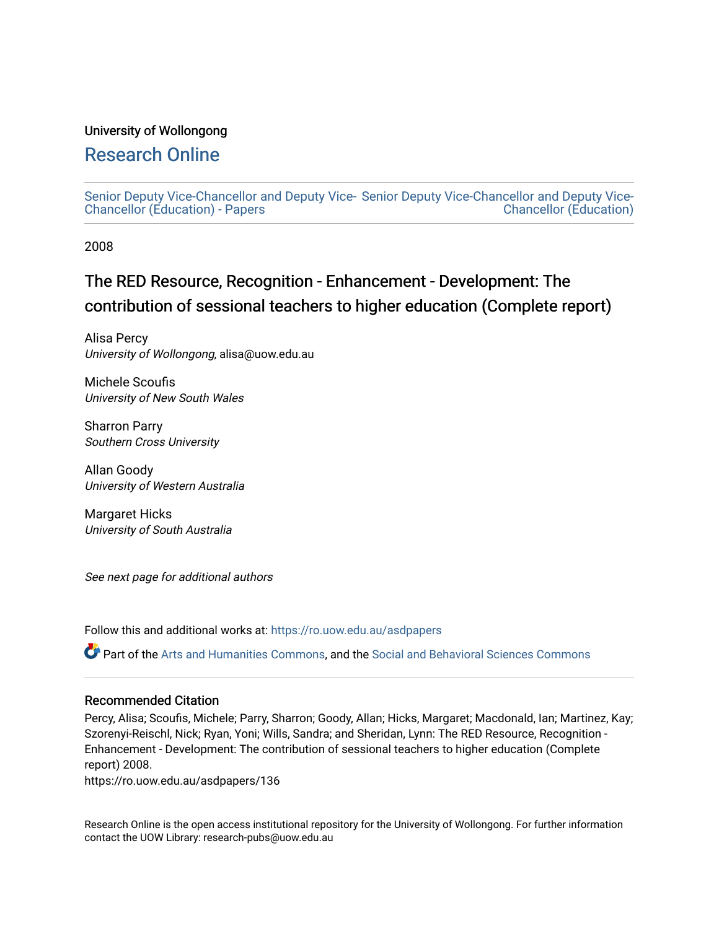#### University of Wollongong

### [Research Online](https://ro.uow.edu.au/)

[Senior Deputy Vice-Chancellor and Deputy Vice-](https://ro.uow.edu.au/asdpapers)[Senior Deputy Vice-Chancellor and Deputy Vice-](https://ro.uow.edu.au/asd)[Chancellor \(Education\) - Papers](https://ro.uow.edu.au/asdpapers)  [Chancellor \(Education\)](https://ro.uow.edu.au/asd) 

2008

## The RED Resource, Recognition - Enhancement - Development: The contribution of sessional teachers to higher education (Complete report)

Alisa Percy University of Wollongong, alisa@uow.edu.au

Michele Scoufis University of New South Wales

Sharron Parry Southern Cross University

Allan Goody University of Western Australia

Margaret Hicks University of South Australia

See next page for additional authors

Follow this and additional works at: [https://ro.uow.edu.au/asdpapers](https://ro.uow.edu.au/asdpapers?utm_source=ro.uow.edu.au%2Fasdpapers%2F136&utm_medium=PDF&utm_campaign=PDFCoverPages) 

Part of the [Arts and Humanities Commons,](http://network.bepress.com/hgg/discipline/438?utm_source=ro.uow.edu.au%2Fasdpapers%2F136&utm_medium=PDF&utm_campaign=PDFCoverPages) and the [Social and Behavioral Sciences Commons](http://network.bepress.com/hgg/discipline/316?utm_source=ro.uow.edu.au%2Fasdpapers%2F136&utm_medium=PDF&utm_campaign=PDFCoverPages)

#### Recommended Citation

Percy, Alisa; Scoufis, Michele; Parry, Sharron; Goody, Allan; Hicks, Margaret; Macdonald, Ian; Martinez, Kay; Szorenyi-Reischl, Nick; Ryan, Yoni; Wills, Sandra; and Sheridan, Lynn: The RED Resource, Recognition - Enhancement - Development: The contribution of sessional teachers to higher education (Complete report) 2008.

https://ro.uow.edu.au/asdpapers/136

Research Online is the open access institutional repository for the University of Wollongong. For further information contact the UOW Library: research-pubs@uow.edu.au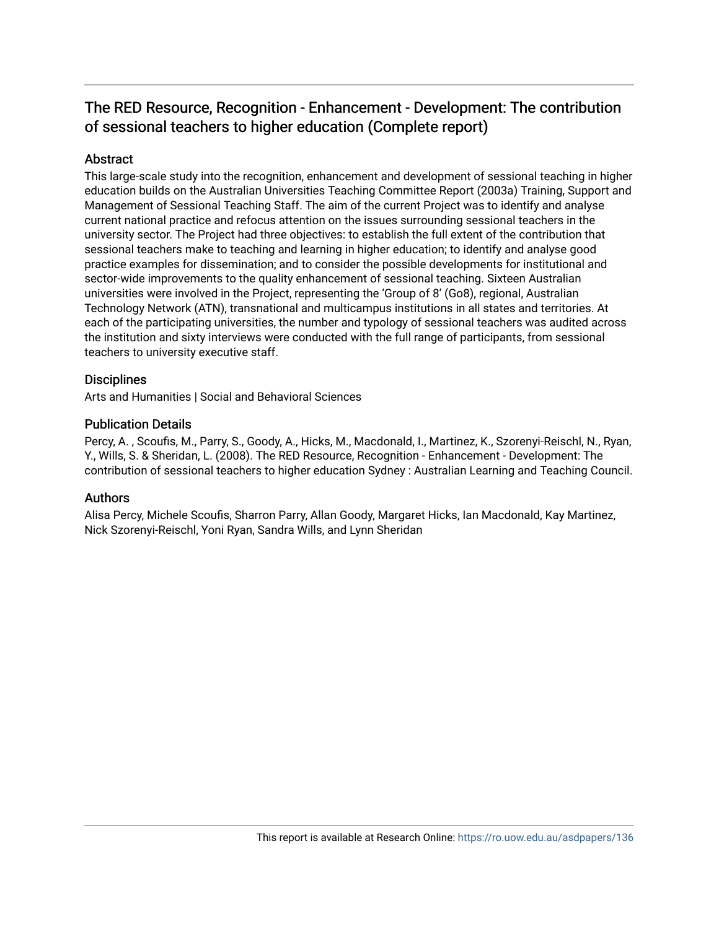### The RED Resource, Recognition - Enhancement - Development: The contribution of sessional teachers to higher education (Complete report)

#### **Abstract**

This large-scale study into the recognition, enhancement and development of sessional teaching in higher education builds on the Australian Universities Teaching Committee Report (2003a) Training, Support and Management of Sessional Teaching Staff. The aim of the current Project was to identify and analyse current national practice and refocus attention on the issues surrounding sessional teachers in the university sector. The Project had three objectives: to establish the full extent of the contribution that sessional teachers make to teaching and learning in higher education; to identify and analyse good practice examples for dissemination; and to consider the possible developments for institutional and sector-wide improvements to the quality enhancement of sessional teaching. Sixteen Australian universities were involved in the Project, representing the 'Group of 8' (Go8), regional, Australian Technology Network (ATN), transnational and multicampus institutions in all states and territories. At each of the participating universities, the number and typology of sessional teachers was audited across the institution and sixty interviews were conducted with the full range of participants, from sessional teachers to university executive staff.

#### **Disciplines**

Arts and Humanities | Social and Behavioral Sciences

#### Publication Details

Percy, A. , Scoufis, M., Parry, S., Goody, A., Hicks, M., Macdonald, I., Martinez, K., Szorenyi-Reischl, N., Ryan, Y., Wills, S. & Sheridan, L. (2008). The RED Resource, Recognition - Enhancement - Development: The contribution of sessional teachers to higher education Sydney : Australian Learning and Teaching Council.

#### Authors

Alisa Percy, Michele Scoufis, Sharron Parry, Allan Goody, Margaret Hicks, Ian Macdonald, Kay Martinez, Nick Szorenyi-Reischl, Yoni Ryan, Sandra Wills, and Lynn Sheridan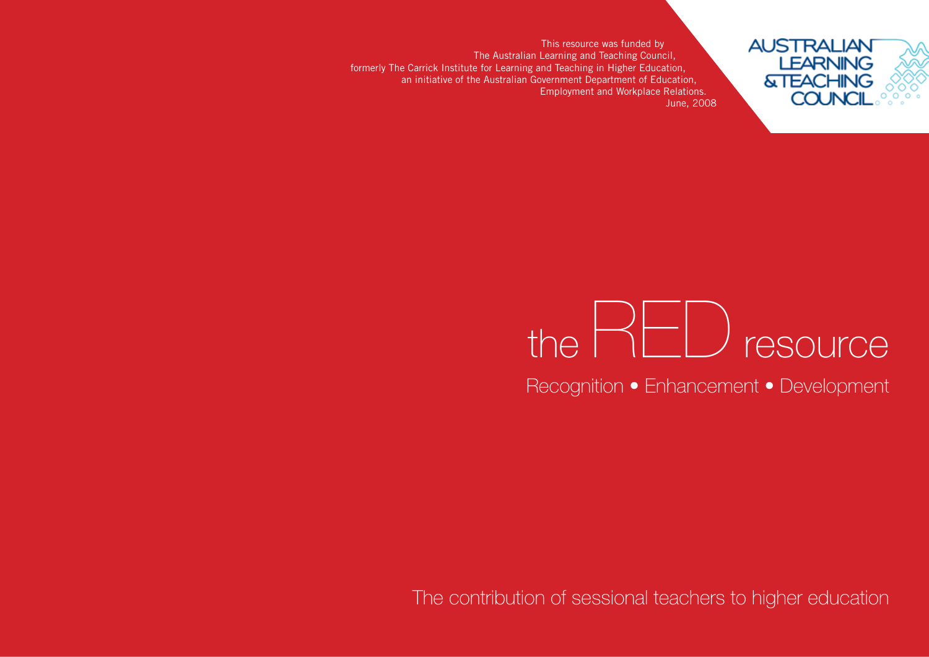This resource was funded by The Australian Learning and Teaching Council, formerly The Carrick Institute for Learning and Teaching in Higher Education, an initiative of the Australian Government Department of Education, Employment and Workplace Relations. June, 2008

# the  $RED$  resource

**AUSTRALIAN** 

**LEARNING &TEACHING COUNCI** 

Recognition • Enhancement • Development

The contribution of sessional teachers to higher education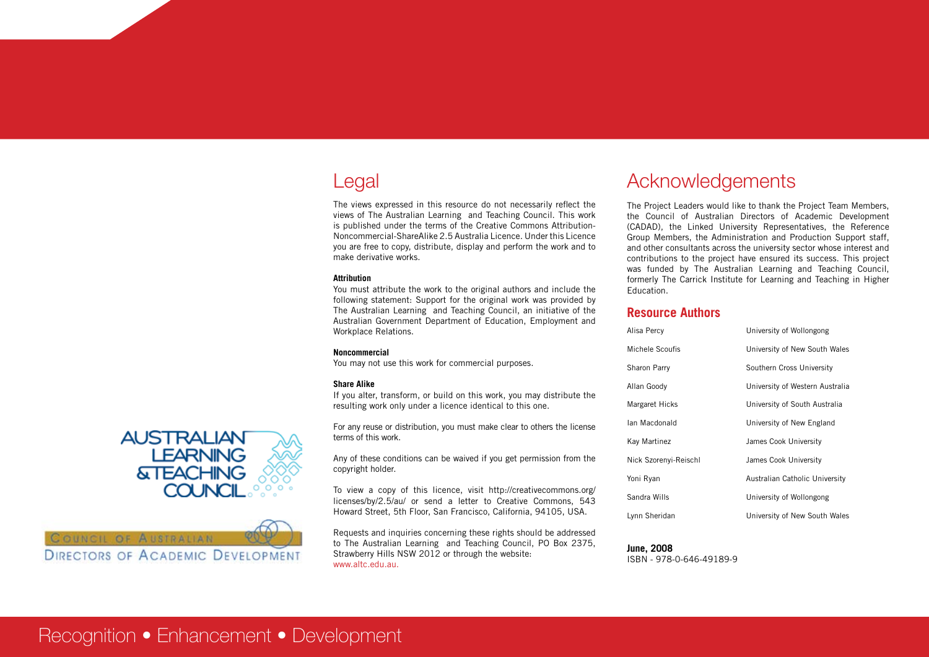## Legal

The views expressed in this resource do not necessarily reflect the views of The Australian Learning and Teaching Council. This work is published under the terms of the Creative Commons Attribution-Noncommercial-ShareAlike 2.5 Australia Licence. Under this Licence you are free to copy, distribute, display and perform the work and to make derivative works.

#### **Attribution**

You must attribute the work to the original authors and include the following statement: Support for the original work was provided by The Australian Learning and Teaching Council, an initiative of the Australian Government Department of Education, Employment and Workplace Relations.

#### **Noncommercial**

You may not use this work for commercial purposes.

#### **Share Alike**

If you alter, transform, or build on this work, you may distribute the resulting work only under a licence identical to this one.

For any reuse or distribution, you must make clear to others the license terms of this work.

Any of these conditions can be waived if you get permission from the copyright holder.

To view a copy of this licence, visit http://creativecommons.org/ licenses/by/2.5/au/ or send a letter to Creative Commons, 543 Howard Street, 5th Floor, San Francisco, California, 94105, USA.

Requests and inquiries concerning these rights should be addressed to The Australian Learning and Teaching Council, PO Box 2375, Strawberry Hills NSW 2012 or through the website: www.altc.edu.au.

## Acknowledgements

The Project Leaders would like to thank the Project Team Members, the Council of Australian Directors of Academic Development (CADAD), the Linked University Representatives, the Reference Group Members, the Administration and Production Support staff, and other consultants across the university sector whose interest and contributions to the project have ensured its success. This project was funded by The Australian Learning and Teaching Council, formerly The Carrick Institute for Learning and Teaching in Higher Education.

#### **Resource Authors**

| Alisa Percy           | University of Wollongong        |
|-----------------------|---------------------------------|
| Michele Scoufis       | University of New South Wales   |
| Sharon Parry          | Southern Cross University       |
| Allan Goody           | University of Western Australia |
| Margaret Hicks        | University of South Australia   |
| lan Macdonald         | University of New England       |
| Kay Martinez          | James Cook University           |
| Nick Szorenyi-Reischl | James Cook University           |
| Yoni Ryan             | Australian Catholic University  |
| Sandra Wills          | University of Wollongong        |
| Lynn Sheridan         | University of New South Wales   |

### **June, 2008**

ISBN - 978-0-646-49189-9



COUNCIL OF AUSTRALIAN

**DIRECTORS OF ACADEMIC DEVELOPMENT** 

## Recognition • Enhancement • Development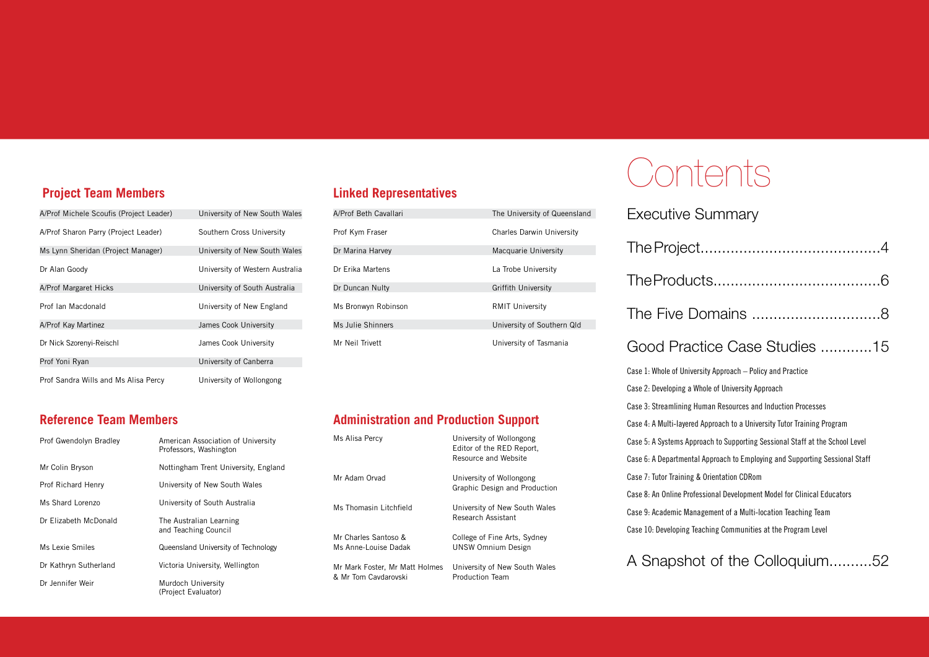#### **Project Team Members**

| A/Prof Michele Scoufis (Project Leader) | University of New South Wales   |
|-----------------------------------------|---------------------------------|
| A/Prof Sharon Parry (Project Leader)    | Southern Cross University       |
| Ms Lynn Sheridan (Project Manager)      | University of New South Wales   |
| Dr Alan Goody                           | University of Western Australia |
| A/Prof Margaret Hicks                   | University of South Australia   |
| Prof Ian Macdonald                      | University of New England       |
| A/Prof Kay Martinez                     | James Cook University           |
| Dr Nick Szorenyi-Reischl                | James Cook University           |
| Prof Yoni Ryan                          | University of Canberra          |
| Prof Sandra Wills and Ms Alisa Percy    | University of Wollongong        |

#### **Linked Representatives**

| A/Prof Beth Cavallari | The University of Queensland     |
|-----------------------|----------------------------------|
| Prof Kym Fraser       | <b>Charles Darwin University</b> |
| Dr Marina Harvey      | Macquarie University             |
| Dr Erika Martens      | La Trobe University              |
| Dr Duncan Nulty       | <b>Griffith University</b>       |
| Ms Bronwyn Robinson   | <b>RMIT University</b>           |
| Ms Julie Shinners     | University of Southern Qld       |
| Mr Neil Trivett       | University of Tasmania           |

#### **Administration and Production Support**

| University of Wollongong<br>Editor of the RED Report,<br>Resource and Website |
|-------------------------------------------------------------------------------|
| University of Wollongong<br>Graphic Design and Production                     |
| University of New South Wales<br>Research Assistant                           |
| College of Fine Arts, Sydney<br><b>UNSW Omnium Design</b>                     |
| University of New South Wales<br><b>Production Team</b>                       |
|                                                                               |

# **Contents**

Executive Summary

| Good Practice Case Studies 15                                                |
|------------------------------------------------------------------------------|
| Case 1: Whole of University Approach – Policy and Practice                   |
| Case 2: Developing a Whole of University Approach                            |
| Case 3: Streamlining Human Resources and Induction Processes                 |
| Case 4: A Multi-layered Approach to a University Tutor Training Program      |
| Case 5: A Systems Approach to Supporting Sessional Staff at the School Level |
| Case 6: A Departmental Approach to Employing and Supporting Sessional Staff  |
| Case 7: Tutor Training & Orientation CDRom                                   |
| Case 8: An Online Professional Development Model for Clinical Educators      |
| Case 9: Academic Management of a Multi-location Teaching Team                |
| Case 10: Developing Teaching Communities at the Program Level                |
|                                                                              |

A Snapshot of the Colloquium..........52

#### **Reference Team Members**

| Prof Gwendolyn Bradley | American Association of University<br>Professors, Washington |  |
|------------------------|--------------------------------------------------------------|--|
| Mr Colin Bryson        | Nottingham Trent University, England                         |  |
| Prof Richard Henry     | University of New South Wales                                |  |
| Ms Shard Lorenzo       | University of South Australia                                |  |
| Dr Elizabeth McDonald  | The Australian Learning<br>and Teaching Council              |  |
| Ms Lexie Smiles        | Queensland University of Technology                          |  |
| Dr Kathryn Sutherland  | Victoria University, Wellington                              |  |
| Dr. Jennifer Weir      | Murdoch University<br>(Project Evaluator)                    |  |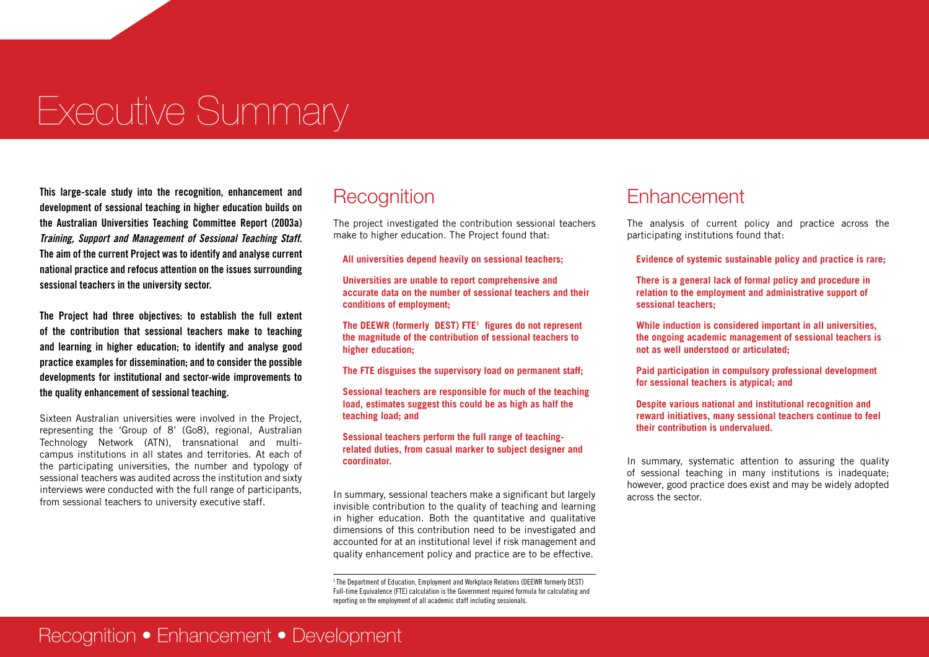# Executive Summary

**This large-scale study into the recognition, enhancement and development of sessional teaching in higher education builds on the Australian Universities Teaching Committee Report (2003a)**  *Training, Support and Management of Sessional Teaching Staff.* **The aim of the current Project was to identify and analyse current national practice and refocus attention on the issues surrounding sessional teachers in the university sector.**

**The Project had three objectives: to establish the full extent of the contribution that sessional teachers make to teaching and learning in higher education; to identify and analyse good practice examples for dissemination; and to consider the possible developments for institutional and sector-wide improvements to the quality enhancement of sessional teaching.**

Sixteen Australian universities were involved in the Project, representing the 'Group of 8' (Go8), regional, Australian Technology Network (ATN), transnational and multicampus institutions in all states and territories. At each of the participating universities, the number and typology of sessional teachers was audited across the institution and sixty interviews were conducted with the full range of participants, from sessional teachers to university executive staff.

## **Recognition**

The project investigated the contribution sessional teachers make to higher education. The Project found that:

**All universities depend heavily on sessional teachers;**

**Universities are unable to report comprehensive and accurate data on the number of sessional teachers and their conditions of employment;**

**The DEEWR (formerly DEST) FTE1 figures do not represent the magnitude of the contribution of sessional teachers to higher education;**

**The FTE disguises the supervisory load on permanent staff;**

**Sessional teachers are responsible for much of the teaching load, estimates suggest this could be as high as half the teaching load; and**

#### **Sessional teachers perform the full range of teachingrelated duties, from casual marker to subject designer and coordinator.**

In summary, sessional teachers make a significant but largely invisible contribution to the quality of teaching and learning in higher education. Both the quantitative and qualitative dimensions of this contribution need to be investigated and accounted for at an institutional level if risk management and quality enhancement policy and practice are to be effective.

<sup>1</sup> The Department of Education, Employment and Workplace Relations (DEEWR formerly DEST) Full-time Equivalence (FTE) calculation is the Government required formula for calculating and reporting on the employment of all academic staff including sessionals.

### **Enhancement**

The analysis of current policy and practice across the participating institutions found that:

**Evidence of systemic sustainable policy and practice is rare;**

**There is a general lack of formal policy and procedure in relation to the employment and administrative support of sessional teachers;**

**While induction is considered important in all universities, the ongoing academic management of sessional teachers is not as well understood or articulated;**

**Paid participation in compulsory professional development for sessional teachers is atypical; and**

**Despite various national and institutional recognition and reward initiatives, many sessional teachers continue to feel their contribution is undervalued.**

In summary, systematic attention to assuring the quality of sessional teaching in many institutions is inadequate; however, good practice does exist and may be widely adopted across the sector.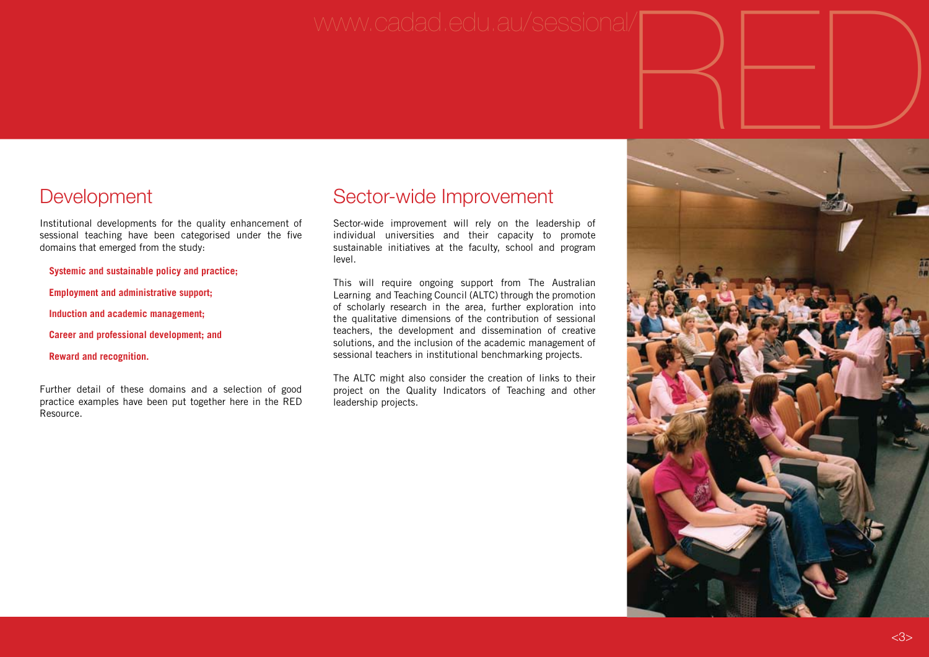# **Development**

Institutional developments for the quality enhancement of sessional teaching have been categorised under the five domains that emerged from the study:

**Systemic and sustainable policy and practice;** 

**Employment and administrative support;** 

**Induction and academic management;** 

**Career and professional development; and** 

**Reward and recognition.**

Further detail of these domains and a selection of good practice examples have been put together here in the RED Resource.

## Sector-wide Improvement

Sector-wide improvement will rely on the leadership of individual universities and their capacity to promote sustainable initiatives at the faculty, school and program level.

This will require ongoing support from The Australian Learning and Teaching Council (ALTC) through the promotion of scholarly research in the area, further exploration into the qualitative dimensions of the contribution of sessional teachers, the development and dissemination of creative solutions, and the inclusion of the academic management of sessional teachers in institutional benchmarking projects.

The ALTC might also consider the creation of links to their project on the Quality Indicators of Teaching and other leadership projects.

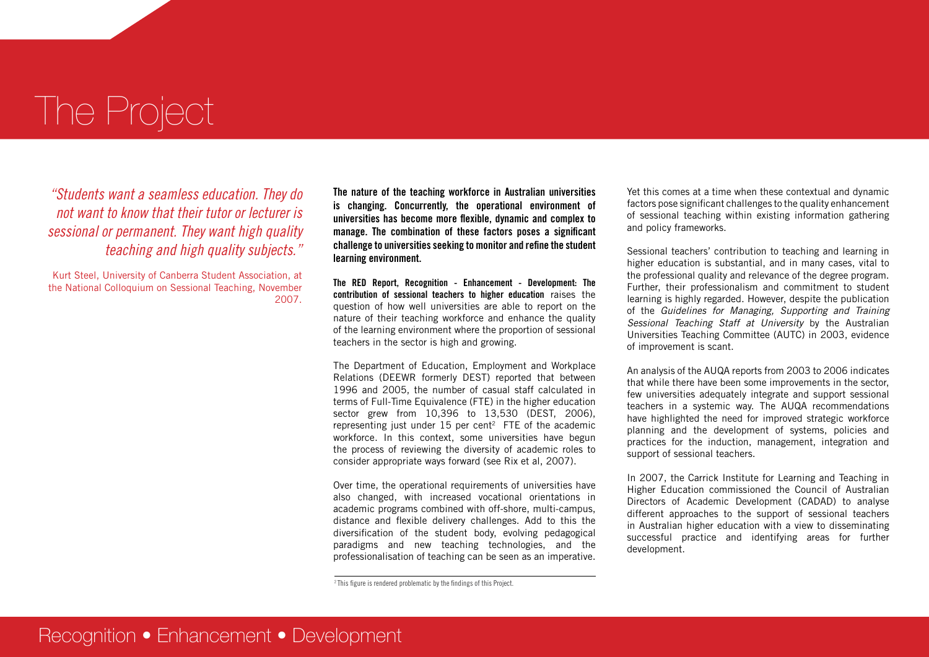# The Project

*"Students want a seamless education. They do not want to know that their tutor or lecturer is sessional or permanent. They want high quality teaching and high quality subjects."*

Kurt Steel, University of Canberra Student Association, at the National Colloquium on Sessional Teaching, November 2007.

**The nature of the teaching workforce in Australian universities is changing. Concurrently, the operational environment of universities has become more flexible, dynamic and complex to manage. The combination of these factors poses a significant challenge to universities seeking to monitor and refine the student learning environment.** 

**The RED Report, Recognition - Enhancement - Development: The contribution of sessional teachers to higher education** raises the question of how well universities are able to report on the nature of their teaching workforce and enhance the quality of the learning environment where the proportion of sessional teachers in the sector is high and growing.

The Department of Education, Employment and Workplace Relations (DEEWR formerly DEST) reported that between 1996 and 2005, the number of casual staff calculated in terms of Full-Time Equivalence (FTE) in the higher education sector grew from 10,396 to 13,530 (DEST, 2006), representing just under  $15$  per cent<sup>2</sup> FTE of the academic workforce. In this context, some universities have begun the process of reviewing the diversity of academic roles to consider appropriate ways forward (see Rix et al, 2007).

Over time, the operational requirements of universities have also changed, with increased vocational orientations in academic programs combined with off-shore, multi-campus, distance and flexible delivery challenges. Add to this the diversification of the student body, evolving pedagogical paradigms and new teaching technologies, and the professionalisation of teaching can be seen as an imperative.

Yet this comes at a time when these contextual and dynamic factors pose significant challenges to the quality enhancement of sessional teaching within existing information gathering and policy frameworks.

Sessional teachers' contribution to teaching and learning in higher education is substantial, and in many cases, vital to the professional quality and relevance of the degree program. Further, their professionalism and commitment to student learning is highly regarded. However, despite the publication of the *Guidelines for Managing, Supporting and Training Sessional Teaching Staff at University* by the Australian Universities Teaching Committee (AUTC) in 2003, evidence of improvement is scant.

An analysis of the AUQA reports from 2003 to 2006 indicates that while there have been some improvements in the sector, few universities adequately integrate and support sessional teachers in a systemic way. The AUQA recommendations have highlighted the need for improved strategic workforce planning and the development of systems, policies and practices for the induction, management, integration and support of sessional teachers.

In 2007, the Carrick Institute for Learning and Teaching in Higher Education commissioned the Council of Australian Directors of Academic Development (CADAD) to analyse different approaches to the support of sessional teachers in Australian higher education with a view to disseminating successful practice and identifying areas for further development.

<sup>2</sup> This figure is rendered problematic by the findings of this Project.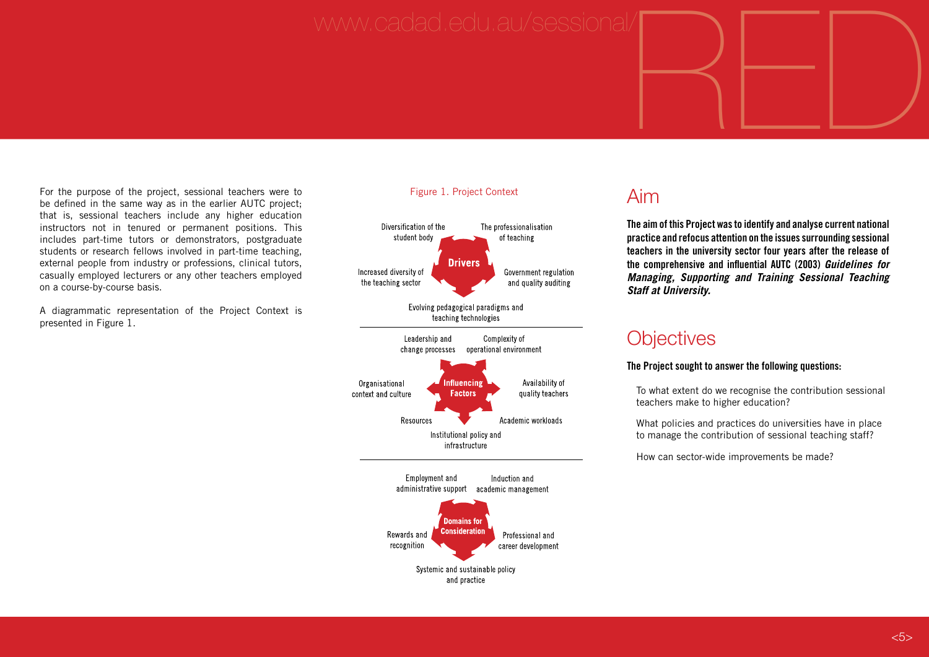# www.cadad.edu.au/sessional/ $\begin{picture}(45,14) \put(0,0){\line(1,0){155}} \put(1,0){\line(1,0){155}} \put(1,0){\line(1,0){155}} \put(1,0){\line(1,0){155}} \put(1,0){\line(1,0){155}} \put(1,0){\line(1,0){155}} \put(1,0){\line(1,0){155}} \put(1,0){\line(1,0){155}} \put(1,0){\line(1,0){155}} \put(1,0){\line(1,0){155}} \put($

For the purpose of the project, sessional teachers were to be defined in the same way as in the earlier AUTC project; that is, sessional teachers include any higher education instructors not in tenured or permanent positions. This includes part-time tutors or demonstrators, postgraduate students or research fellows involved in part-time teaching, external people from industry or professions, clinical tutors, casually employed lecturers or any other teachers employed on a course-by-course basis.

A diagrammatic representation of the Project Context is presented in Figure 1.

#### Figure 1. Project Context Aim



**The aim of this Project was to identify and analyse current national practice and refocus attention on the issues surrounding sessional teachers in the university sector four years after the release of the comprehensive and influential AUTC (2003)** *Guidelines for Managing, Supporting and Training Sessional Teaching Staff at University.* 

## **Objectives**

#### **The Project sought to answer the following questions:**

To what extent do we recognise the contribution sessional teachers make to higher education?

What policies and practices do universities have in place to manage the contribution of sessional teaching staff?

How can sector-wide improvements be made?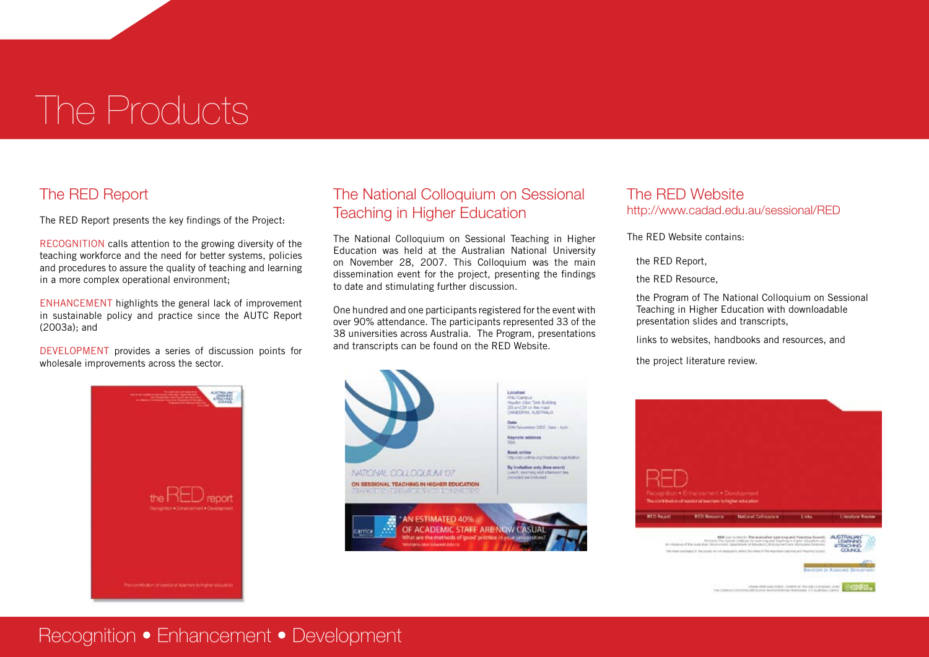# The Products

### The RED Report

The RED Report presents the key findings of the Project:

RECOGNITION calls attention to the growing diversity of the teaching workforce and the need for better systems, policies and procedures to assure the quality of teaching and learning in a more complex operational environment;

ENHANCEMENT highlights the general lack of improvement in sustainable policy and practice since the AUTC Report (2003a); and

DEVELOPMENT provides a series of discussion points for wholesale improvements across the sector.

### The National Colloquium on Sessional Teaching in Higher Education

The National Colloquium on Sessional Teaching in Higher Education was held at the Australian National University on November 28, 2007. This Colloquium was the main dissemination event for the project, presenting the findings to date and stimulating further discussion.

One hundred and one participants registered for the event with over 90% attendance. The participants represented 33 of the 38 universities across Australia. The Program, presentations and transcripts can be found on the RED Website.

#### The RED Website http://www.cadad.edu.au/sessional/RED

The RED Website contains:

the RED Report,

the RED Resource,

the Program of The National Colloquium on Sessional Teaching in Higher Education with downloadable presentation slides and transcripts,

links to websites, handbooks and resources, and

the project literature review.







## Recognition • Enhancement • Development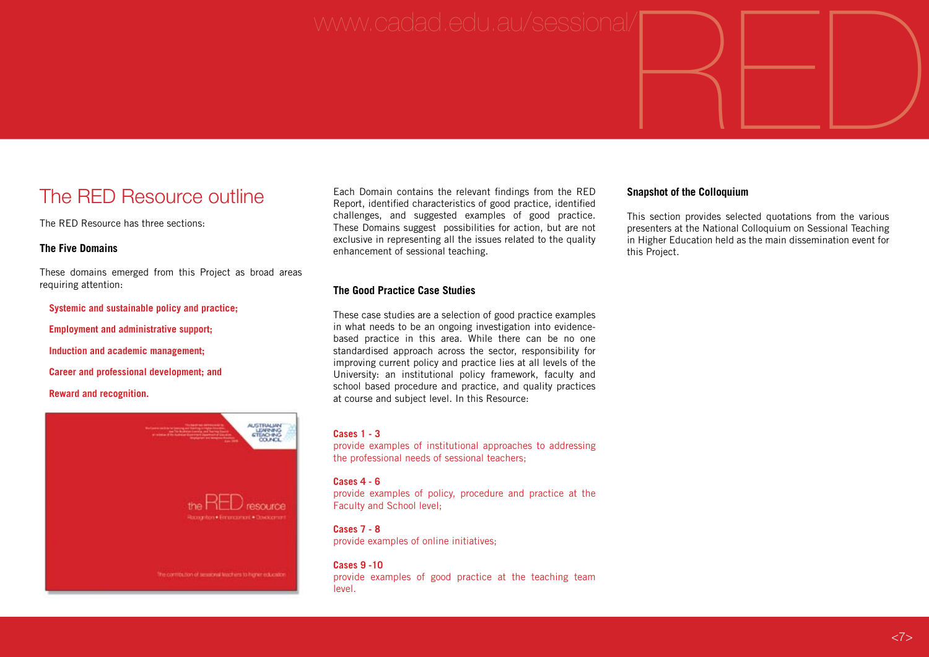# www.cadad.edu.au/sessional/ $\begin{picture}(45,14) \put(0,0){\line(1,0){155}} \put(1,0){\line(1,0){155}} \put(1,0){\line(1,0){155}} \put(1,0){\line(1,0){155}} \put(1,0){\line(1,0){155}} \put(1,0){\line(1,0){155}} \put(1,0){\line(1,0){155}} \put(1,0){\line(1,0){155}} \put(1,0){\line(1,0){155}} \put(1,0){\line(1,0){155}} \put($

# The RED Resource outline

The RED Resource has three sections:

#### **The Five Domains**

These domains emerged from this Project as broad areas requiring attention:

#### **Systemic and sustainable policy and practice;**

**Employment and administrative support;** 

**Induction and academic management;** 

**Career and professional development; and** 

**Reward and recognition.**



Each Domain contains the relevant findings from the RED Report, identified characteristics of good practice, identified challenges, and suggested examples of good practice. These Domains suggest possibilities for action, but are not exclusive in representing all the issues related to the quality enhancement of sessional teaching.

#### **The Good Practice Case Studies**

These case studies are a selection of good practice examples in what needs to be an ongoing investigation into evidencebased practice in this area. While there can be no one standardised approach across the sector, responsibility for improving current policy and practice lies at all levels of the University: an institutional policy framework, faculty and school based procedure and practice, and quality practices at course and subject level. In this Resource:

#### **Cases 1 - 3**

provide examples of institutional approaches to addressing the professional needs of sessional teachers;

#### **Cases 4 - 6**

provide examples of policy, procedure and practice at the Faculty and School level;

#### **Cases 7 - 8**

provide examples of online initiatives;

**Cases 9 -10** provide examples of good practice at the teaching team level.

#### **Snapshot of the Colloquium**

This section provides selected quotations from the various presenters at the National Colloquium on Sessional Teaching in Higher Education held as the main dissemination event for this Project.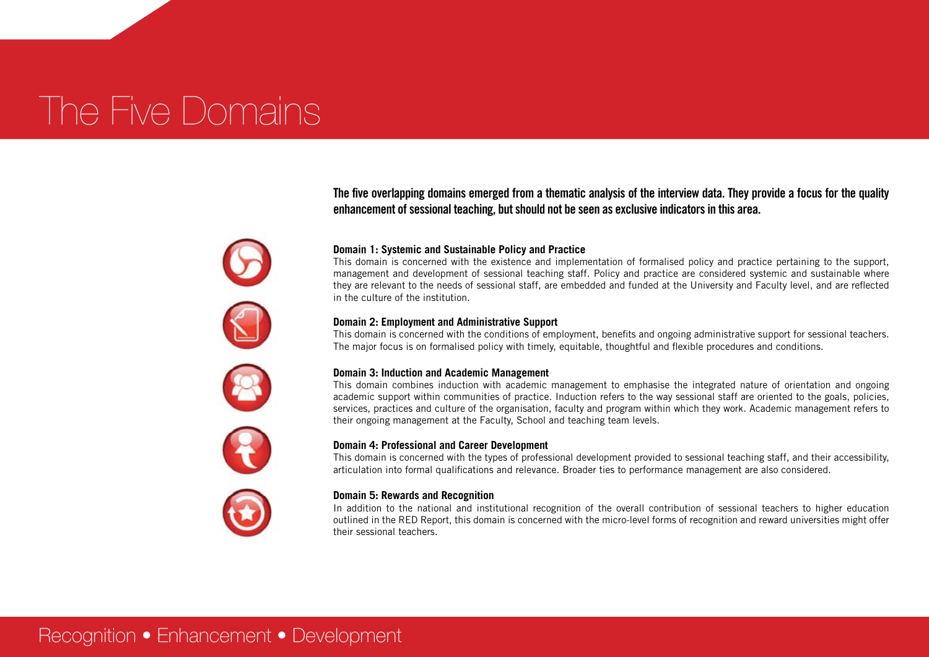# The Five Domains

**The five overlapping domains emerged from a thematic analysis of the interview data. They provide a focus for the quality enhancement of sessional teaching, but should not be seen as exclusive indicators in this area.** 

#### **Domain 1: Systemic and Sustainable Policy and Practice**

This domain is concerned with the existence and implementation of formalised policy and practice pertaining to the support, management and development of sessional teaching staff. Policy and practice are considered systemic and sustainable where they are relevant to the needs of sessional staff, are embedded and funded at the University and Faculty level, and are reflected in the culture of the institution.

#### **Domain 2: Employment and Administrative Support**

This domain is concerned with the conditions of employment, benefits and ongoing administrative support for sessional teachers. The major focus is on formalised policy with timely, equitable, thoughtful and flexible procedures and conditions.

#### **Domain 3: Induction and Academic Management**

This domain combines induction with academic management to emphasise the integrated nature of orientation and ongoing academic support within communities of practice. Induction refers to the way sessional staff are oriented to the goals, policies, services, practices and culture of the organisation, faculty and program within which they work. Academic management refers to their ongoing management at the Faculty, School and teaching team levels.

#### **Domain 4: Professional and Career Development**

This domain is concerned with the types of professional development provided to sessional teaching staff, and their accessibility, articulation into formal qualifications and relevance. Broader ties to performance management are also considered.

#### **Domain 5: Rewards and Recognition**

In addition to the national and institutional recognition of the overall contribution of sessional teachers to higher education outlined in the RED Report, this domain is concerned with the micro-level forms of recognition and reward universities might offer their sessional teachers.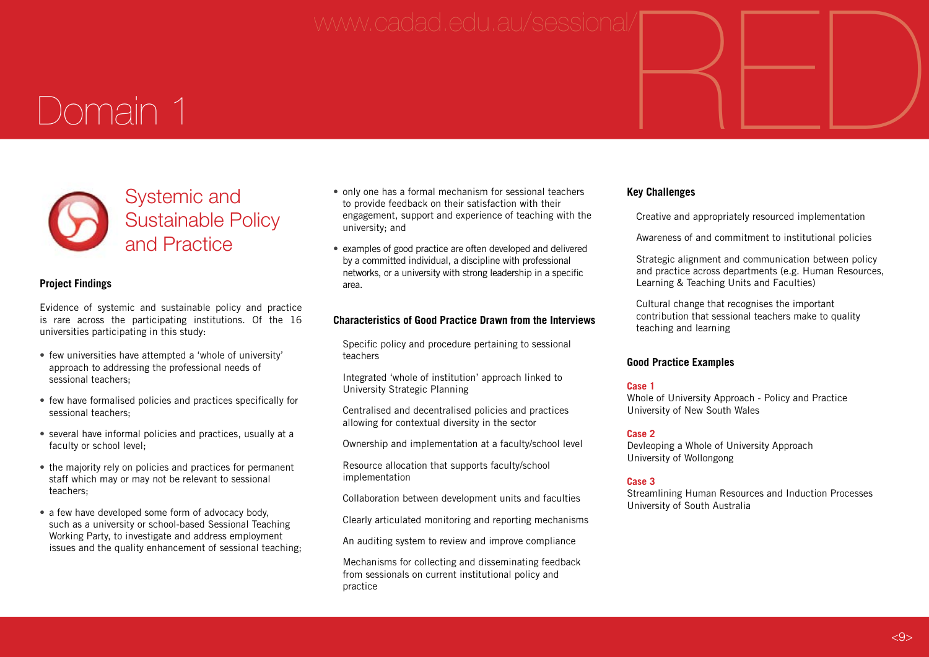# www.cadad.edu.au/sessional/ $\begin{picture}(45,14) \put(0,0){\line(1,0){155}} \put(1,0){\line(1,0){155}} \put(1,0){\line(1,0){155}} \put(1,0){\line(1,0){155}} \put(1,0){\line(1,0){155}} \put(1,0){\line(1,0){155}} \put(1,0){\line(1,0){155}} \put(1,0){\line(1,0){155}} \put(1,0){\line(1,0){155}} \put(1,0){\line(1,0){155}} \put($

# Domain 1



#### **Project Findings**

Evidence of systemic and sustainable policy and practice is rare across the participating institutions. Of the 16 universities participating in this study:

- few universities have attempted a 'whole of university' approach to addressing the professional needs of sessional teachers;
- few have formalised policies and practices specifically for sessional teachers;
- several have informal policies and practices, usually at a faculty or school level;
- the majority rely on policies and practices for permanent staff which may or may not be relevant to sessional teachers;
- a few have developed some form of advocacy body, such as a university or school-based Sessional Teaching Working Party, to investigate and address employment issues and the quality enhancement of sessional teaching;
- only one has a formal mechanism for sessional teachers to provide feedback on their satisfaction with their engagement, support and experience of teaching with the university; and
- examples of good practice are often developed and delivered by a committed individual, a discipline with professional networks, or a university with strong leadership in a specific area.

#### **Characteristics of Good Practice Drawn from the Interviews**

Specific policy and procedure pertaining to sessional teachers

Integrated 'whole of institution' approach linked to University Strategic Planning

Centralised and decentralised policies and practices allowing for contextual diversity in the sector

Ownership and implementation at a faculty/school level

Resource allocation that supports faculty/school implementation

Collaboration between development units and faculties

Clearly articulated monitoring and reporting mechanisms

An auditing system to review and improve compliance

Mechanisms for collecting and disseminating feedback from sessionals on current institutional policy and practice

#### **Key Challenges**

Creative and appropriately resourced implementation

Awareness of and commitment to institutional policies

Strategic alignment and communication between policy and practice across departments (e.g. Human Resources, Learning & Teaching Units and Faculties)

Cultural change that recognises the important contribution that sessional teachers make to quality teaching and learning

#### **Good Practice Examples**

#### **Case 1**

Whole of University Approach - Policy and Practice University of New South Wales

#### **Case 2**

Devleoping a Whole of University Approach University of Wollongong

#### **Case 3**

Streamlining Human Resources and Induction Processes University of South Australia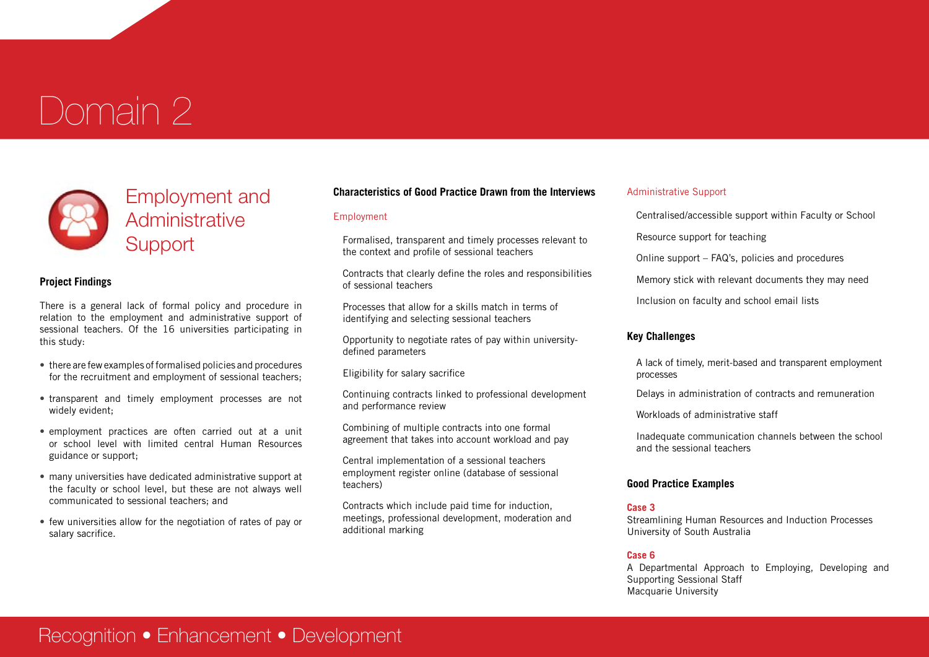# Domain 2



# Employment and **Administrative Support**

#### **Project Findings**

There is a general lack of formal policy and procedure in relation to the employment and administrative support of sessional teachers. Of the 16 universities participating in this study:

- there are few examples of formalised policies and procedures for the recruitment and employment of sessional teachers;
- transparent and timely employment processes are not widely evident;
- employment practices are often carried out at a unit or school level with limited central Human Resources guidance or support;
- many universities have dedicated administrative support at the faculty or school level, but these are not always well communicated to sessional teachers; and
- few universities allow for the negotiation of rates of pay or salary sacrifice.

#### **Characteristics of Good Practice Drawn from the Interviews**

#### Employment

Formalised, transparent and timely processes relevant to the context and profile of sessional teachers

Contracts that clearly define the roles and responsibilities of sessional teachers

Processes that allow for a skills match in terms of identifying and selecting sessional teachers

Opportunity to negotiate rates of pay within universitydefined parameters

Eligibility for salary sacrifice

Continuing contracts linked to professional development and performance review

Combining of multiple contracts into one formal agreement that takes into account workload and pay

Central implementation of a sessional teachers employment register online (database of sessional teachers)

Contracts which include paid time for induction, meetings, professional development, moderation and additional marking

#### Administrative Support

Centralised/accessible support within Faculty or School Resource support for teaching

Online support – FAQ's, policies and procedures

Memory stick with relevant documents they may need

Inclusion on faculty and school email lists

#### **Key Challenges**

A lack of timely, merit-based and transparent employment processes

Delays in administration of contracts and remuneration

Workloads of administrative staff

Inadequate communication channels between the school and the sessional teachers

#### **Good Practice Examples**

#### **Case 3**

Streamlining Human Resources and Induction Processes University of South Australia

#### **Case 6**

A Departmental Approach to Employing, Developing and Supporting Sessional Staff Macquarie University

# Recognition • Enhancement • Development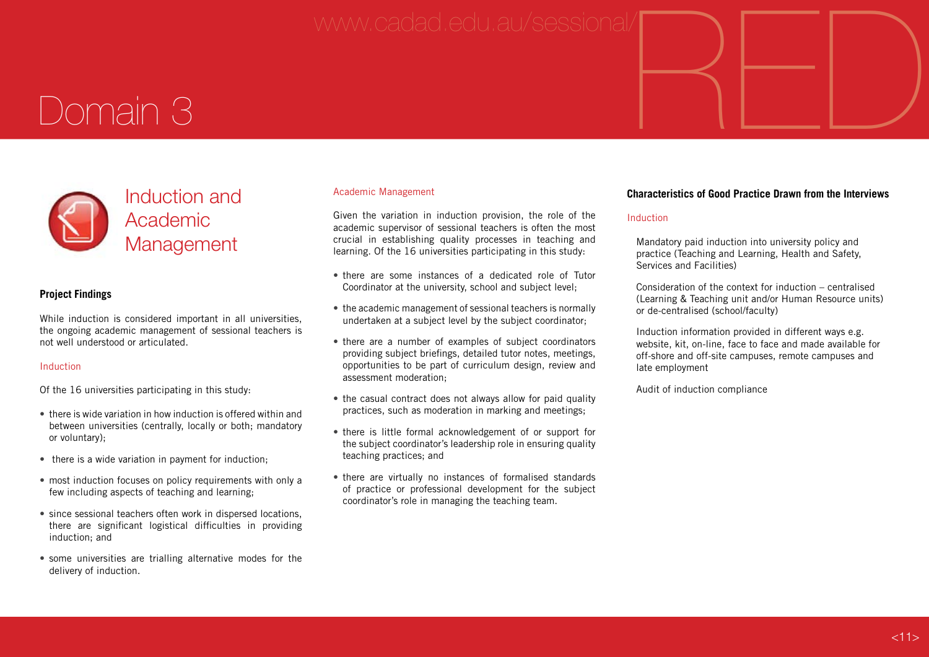# www.cadad.edu.au/sessional/ $\begin{picture}(45,14) \put(0,0){\line(1,0){155}} \put(1,0){\line(1,0){155}} \put(1,0){\line(1,0){155}} \put(1,0){\line(1,0){155}} \put(1,0){\line(1,0){155}} \put(1,0){\line(1,0){155}} \put(1,0){\line(1,0){155}} \put(1,0){\line(1,0){155}} \put(1,0){\line(1,0){155}} \put(1,0){\line(1,0){155}} \put($

# Domain 3



#### **Project Findings**

While induction is considered important in all universities, the ongoing academic management of sessional teachers is not well understood or articulated.

#### Induction

Of the 16 universities participating in this study:

- there is wide variation in how induction is offered within and between universities (centrally, locally or both; mandatory or voluntary);
- there is a wide variation in payment for induction:
- most induction focuses on policy requirements with only a few including aspects of teaching and learning;
- since sessional teachers often work in dispersed locations, there are significant logistical difficulties in providing induction; and
- some universities are trialling alternative modes for the delivery of induction.

#### Academic Management

Given the variation in induction provision, the role of the academic supervisor of sessional teachers is often the most crucial in establishing quality processes in teaching and learning. Of the 16 universities participating in this study:

- there are some instances of a dedicated role of Tutor Coordinator at the university, school and subject level;
- the academic management of sessional teachers is normally undertaken at a subject level by the subject coordinator;
- there are a number of examples of subject coordinators providing subject briefings, detailed tutor notes, meetings, opportunities to be part of curriculum design, review and assessment moderation;
- the casual contract does not always allow for paid quality practices, such as moderation in marking and meetings;
- there is little formal acknowledgement of or support for the subject coordinator's leadership role in ensuring quality teaching practices; and
- there are virtually no instances of formalised standards of practice or professional development for the subject coordinator's role in managing the teaching team.

#### **Characteristics of Good Practice Drawn from the Interviews**

#### Induction

Mandatory paid induction into university policy and practice (Teaching and Learning, Health and Safety, Services and Facilities)

Consideration of the context for induction – centralised (Learning & Teaching unit and/or Human Resource units) or de-centralised (school/faculty)

Induction information provided in different ways e.g. website, kit, on-line, face to face and made available for off-shore and off-site campuses, remote campuses and late employment

Audit of induction compliance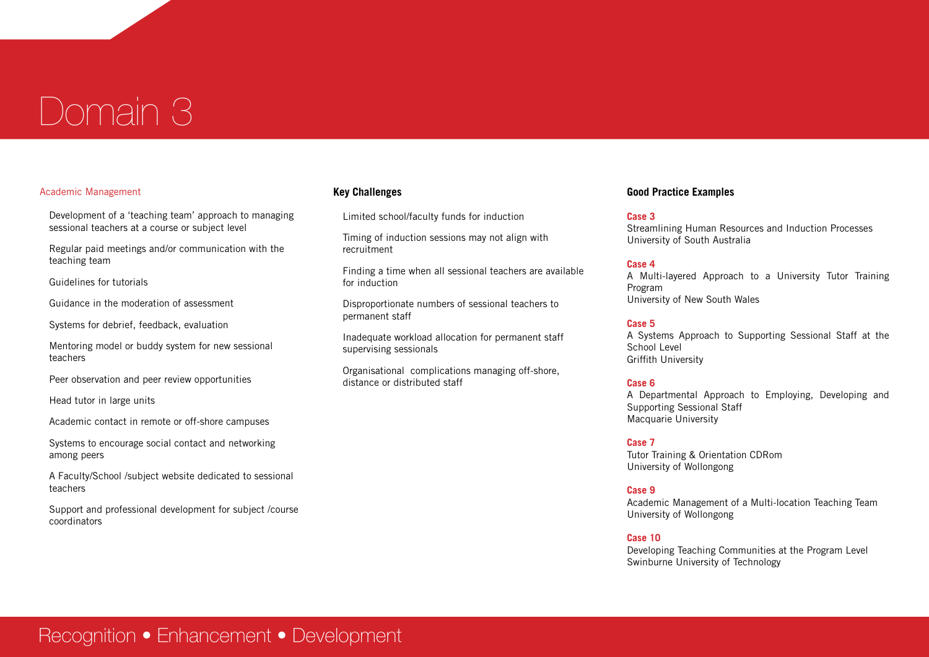# Domain 3

#### Academic Management

Development of a 'teaching team' approach to managing sessional teachers at a course or subject level

Regular paid meetings and/or communication with the teaching team

Guidelines for tutorials

Guidance in the moderation of assessment

Systems for debrief, feedback, evaluation

Mentoring model or buddy system for new sessional teachers

Peer observation and peer review opportunities

Head tutor in large units

Academic contact in remote or off-shore campuses

Systems to encourage social contact and networking among peers

A Faculty/School /subject website dedicated to sessional teachers

Support and professional development for subject /course coordinators

#### **Key Challenges**

Limited school/faculty funds for induction

Timing of induction sessions may not align with recruitment

Finding a time when all sessional teachers are available for induction

Disproportionate numbers of sessional teachers to permanent staff

Inadequate workload allocation for permanent staff supervising sessionals

Organisational complications managing off-shore, distance or distributed staff

#### **Good Practice Examples**

#### **Case 3**

Streamlining Human Resources and Induction Processes University of South Australia

#### **Case 4**

A Multi-layered Approach to a University Tutor Training Program University of New South Wales

#### **Case 5**

A Systems Approach to Supporting Sessional Staff at the School Level Griffith University

#### **Case 6**

A Departmental Approach to Employing, Developing and Supporting Sessional Staff Macquarie University

#### **Case 7**

Tutor Training & Orientation CDRom University of Wollongong

#### **Case 9**

Academic Management of a Multi-location Teaching Team University of Wollongong

#### **Case 10**

Developing Teaching Communities at the Program Level Swinburne University of Technology

## Recognition • Enhancement • Development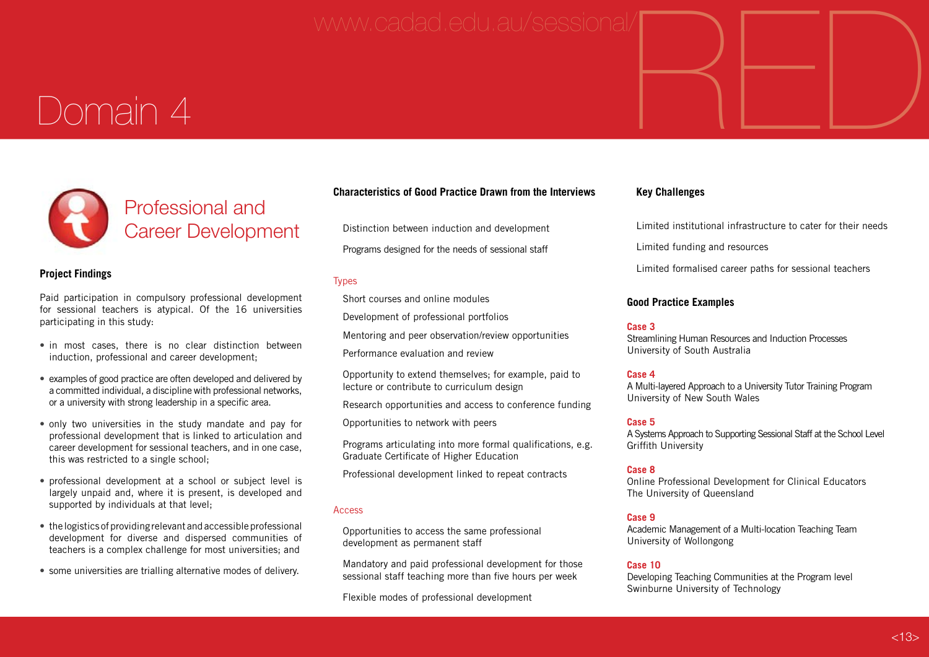# www.cadad.edu.au/sessional/ $\begin{picture}(45,14) \put(0,0){\line(1,0){155}} \put(1,0){\line(1,0){155}} \put(1,0){\line(1,0){155}} \put(1,0){\line(1,0){155}} \put(1,0){\line(1,0){155}} \put(1,0){\line(1,0){155}} \put(1,0){\line(1,0){155}} \put(1,0){\line(1,0){155}} \put(1,0){\line(1,0){155}} \put(1,0){\line(1,0){155}} \put($

# Domain 4



#### **Project Findings**

Paid participation in compulsory professional development for sessional teachers is atypical. Of the 16 universities participating in this study:

- in most cases, there is no clear distinction between induction, professional and career development;
- examples of good practice are often developed and delivered by a committed individual, a discipline with professional networks, or a university with strong leadership in a specific area.
- only two universities in the study mandate and pay for professional development that is linked to articulation and career development for sessional teachers, and in one case, this was restricted to a single school;
- professional development at a school or subject level is largely unpaid and, where it is present, is developed and supported by individuals at that level;
- • the logistics of providing relevant and accessible professional development for diverse and dispersed communities of teachers is a complex challenge for most universities; and
- some universities are trialling alternative modes of delivery.

#### **Characteristics of Good Practice Drawn from the Interviews**

Distinction between induction and development

Programs designed for the needs of sessional staff

#### Types

Short courses and online modules

Development of professional portfolios

Mentoring and peer observation/review opportunities

Performance evaluation and review

Opportunity to extend themselves; for example, paid to lecture or contribute to curriculum design

Research opportunities and access to conference funding

Opportunities to network with peers

Programs articulating into more formal qualifications, e.g. Graduate Certificate of Higher Education

Professional development linked to repeat contracts

#### Access

Opportunities to access the same professional development as permanent staff

Mandatory and paid professional development for those sessional staff teaching more than five hours per week

Flexible modes of professional development

#### **Key Challenges**

Limited institutional infrastructure to cater for their needs

Limited funding and resources

Limited formalised career paths for sessional teachers

#### **Good Practice Examples**

#### **Case 3**

Streamlining Human Resources and Induction Processes University of South Australia

#### **Case 4**

A Multi-layered Approach to a University Tutor Training Program University of New South Wales

#### **Case 5**

A Systems Approach to Supporting Sessional Staff at the School Level Griffith University

#### **Case 8**

Online Professional Development for Clinical Educators The University of Queensland

#### **Case 9**

Academic Management of a Multi-location Teaching Team University of Wollongong

#### **Case 10**

Developing Teaching Communities at the Program level Swinburne University of Technology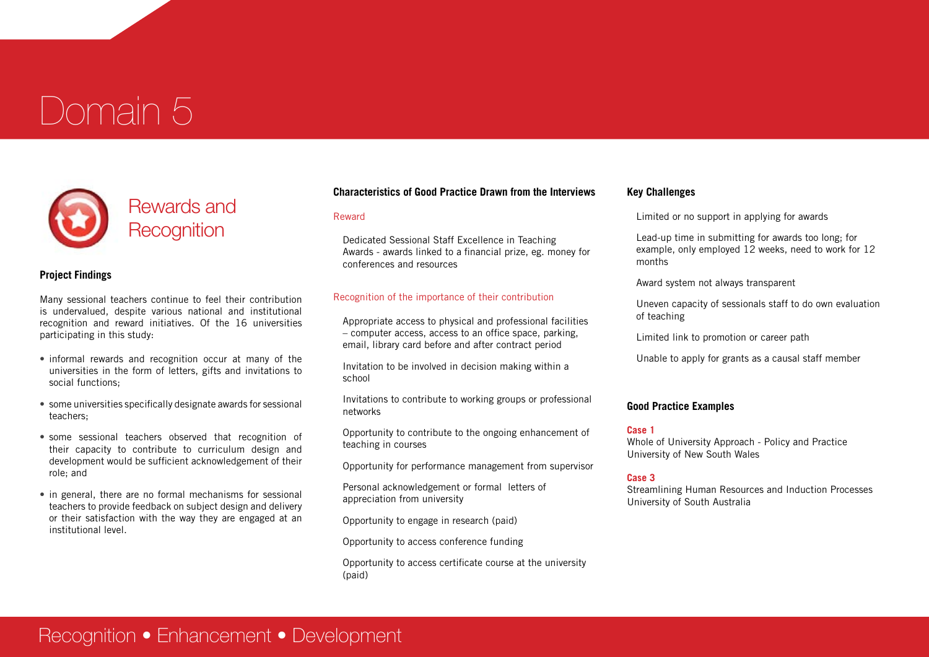# Domain 5



#### **Project Findings**

Many sessional teachers continue to feel their contribution is undervalued, despite various national and institutional recognition and reward initiatives. Of the 16 universities participating in this study:

- informal rewards and recognition occur at many of the universities in the form of letters, gifts and invitations to social functions;
- some universities specifically designate awards for sessional teachers;
- some sessional teachers observed that recognition of their capacity to contribute to curriculum design and development would be sufficient acknowledgement of their role; and
- in general, there are no formal mechanisms for sessional teachers to provide feedback on subject design and delivery or their satisfaction with the way they are engaged at an institutional level.

#### **Characteristics of Good Practice Drawn from the Interviews**

#### Reward

Dedicated Sessional Staff Excellence in Teaching Awards - awards linked to a financial prize, eg. money for conferences and resources

#### Recognition of the importance of their contribution

Appropriate access to physical and professional facilities – computer access, access to an office space, parking, email, library card before and after contract period

Invitation to be involved in decision making within a school

Invitations to contribute to working groups or professional networks

Opportunity to contribute to the ongoing enhancement of teaching in courses

Opportunity for performance management from supervisor

Personal acknowledgement or formal letters of appreciation from university

Opportunity to engage in research (paid)

Opportunity to access conference funding

Opportunity to access certificate course at the university (paid)

#### **Key Challenges**

Limited or no support in applying for awards

Lead-up time in submitting for awards too long; for example, only employed 12 weeks, need to work for 12 months

Award system not always transparent

Uneven capacity of sessionals staff to do own evaluation of teaching

Limited link to promotion or career path

Unable to apply for grants as a causal staff member

#### **Good Practice Examples**

#### **Case 1**

Whole of University Approach - Policy and Practice University of New South Wales

#### **Case 3**

Streamlining Human Resources and Induction Processes University of South Australia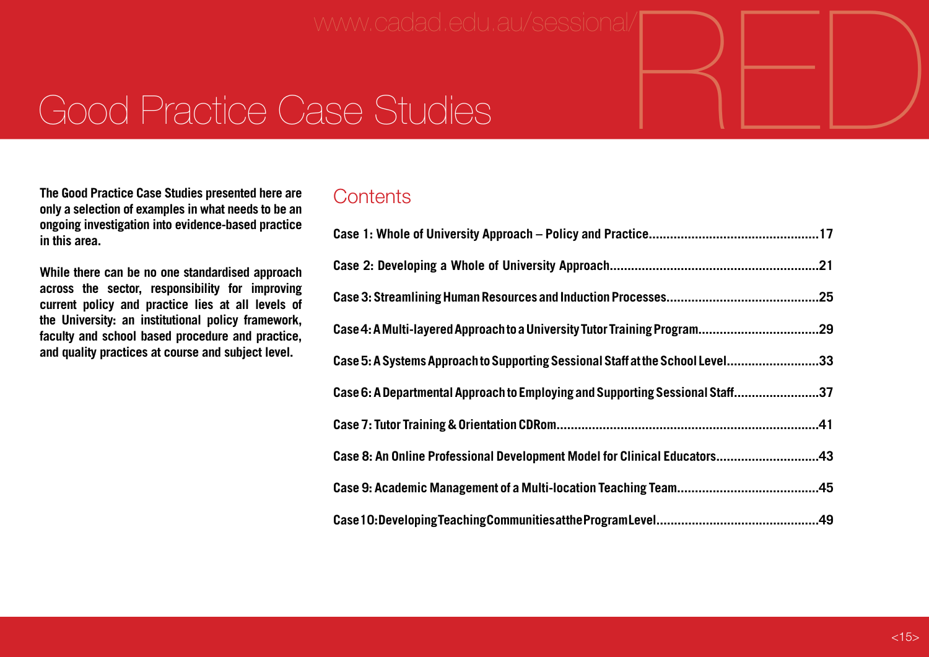# RED www.cadad.edu.au/sessional/

# Good Practice Case Studies

**The Good Practice Case Studies presented here are only a selection of examples in what needs to be an ongoing investigation into evidence-based practice in this area.**

**While there can be no one standardised approach across the sector, responsibility for improving current policy and practice lies at all levels of the University: an institutional policy framework, faculty and school based procedure and practice, and quality practices at course and subject level.** 

## **Contents**

| Case 5: A Systems Approach to Supporting Sessional Staff at the School Level33 |  |
|--------------------------------------------------------------------------------|--|
| Case 6: A Departmental Approach to Employing and Supporting Sessional Staff37  |  |
|                                                                                |  |
| Case 8: An Online Professional Development Model for Clinical Educators43      |  |
|                                                                                |  |
|                                                                                |  |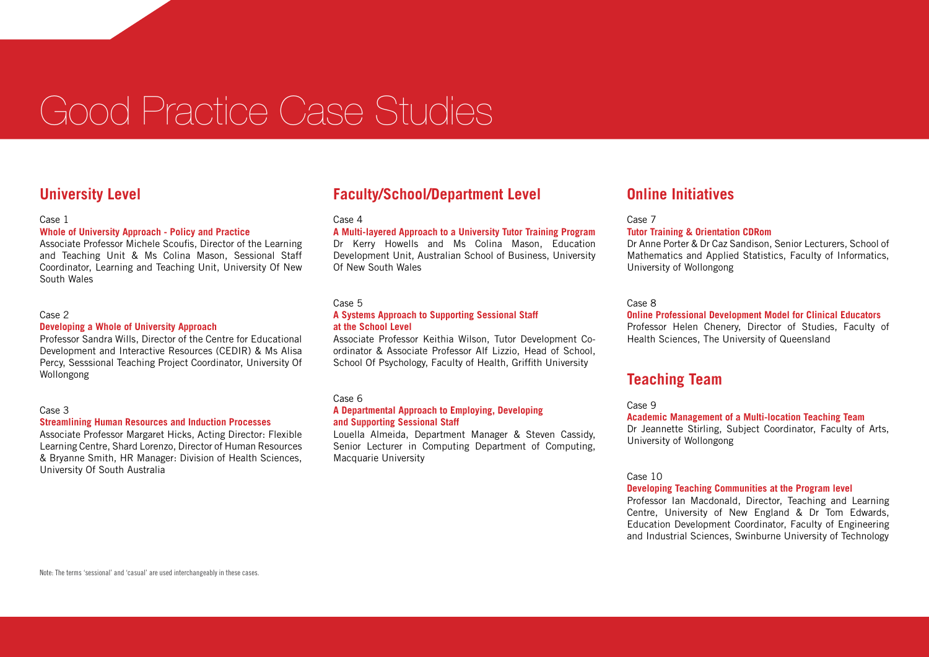# Good Practice Case Studies

#### **University Level**

#### Case 1

#### **Whole of University Approach - Policy and Practice**

Associate Professor Michele Scoufis, Director of the Learning and Teaching Unit & Ms Colina Mason, Sessional Staff Coordinator, Learning and Teaching Unit, University Of New South Wales

#### Case 2

#### **Developing a Whole of University Approach**

Professor Sandra Wills, Director of the Centre for Educational Development and Interactive Resources (CEDIR) & Ms Alisa Percy, Sesssional Teaching Project Coordinator, University Of Wollongong

#### Case 3

#### **Streamlining Human Resources and Induction Processes**

Associate Professor Margaret Hicks, Acting Director: Flexible Learning Centre, Shard Lorenzo, Director of Human Resources & Bryanne Smith, HR Manager: Division of Health Sciences, University Of South Australia

### **Faculty/School/Department Level**

#### Case 4

#### **A Multi-layered Approach to a University Tutor Training Program**

Dr Kerry Howells and Ms Colina Mason, Education Development Unit, Australian School of Business, University Of New South Wales

#### Case 5

#### **A Systems Approach to Supporting Sessional Staff at the School Level**

Associate Professor Keithia Wilson, Tutor Development Coordinator & Associate Professor Alf Lizzio, Head of School, School Of Psychology, Faculty of Health, Griffith University

#### Case 6

#### **A Departmental Approach to Employing, Developing and Supporting Sessional Staff**

Louella Almeida, Department Manager & Steven Cassidy, Senior Lecturer in Computing Department of Computing, Macquarie University

#### **Online Initiatives**

#### Case 7

#### **Tutor Training & Orientation CDRom**

Dr Anne Porter & Dr Caz Sandison, Senior Lecturers, School of Mathematics and Applied Statistics, Faculty of Informatics, University of Wollongong

#### Case 8

#### **Online Professional Development Model for Clinical Educators**

Professor Helen Chenery, Director of Studies, Faculty of Health Sciences, The University of Queensland

#### **Teaching Team**

#### Case 9

#### **Academic Management of a Multi-location Teaching Team**

Dr Jeannette Stirling, Subject Coordinator, Faculty of Arts, University of Wollongong

Case 10

#### **Developing Teaching Communities at the Program level**

Professor Ian Macdonald, Director, Teaching and Learning Centre, University of New England & Dr Tom Edwards, Education Development Coordinator, Faculty of Engineering and Industrial Sciences, Swinburne University of Technology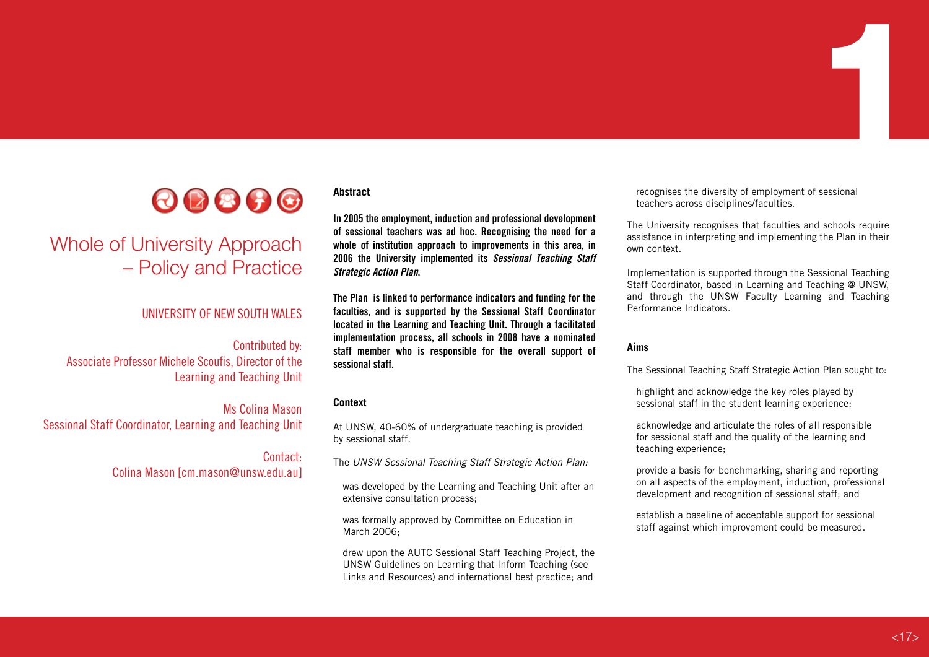

# Whole of University Approach – Policy and Practice

#### UNIVERSITY OF NEW SOUTH WALES

Contributed by: Associate Professor Michele Scoufis, Director of the Learning and Teaching Unit

Ms Colina Mason Sessional Staff Coordinator, Learning and Teaching Unit

> Contact: Colina Mason [cm.mason@unsw.edu.au]

**Abstract**

**In 2005 the employment, induction and professional development of sessional teachers was ad hoc. Recognising the need for a whole of institution approach to improvements in this area, in 2006 the University implemented its** *Sessional Teaching Staff Strategic Action Plan***.** 

**The Plan is linked to performance indicators and funding for the faculties, and is supported by the Sessional Staff Coordinator located in the Learning and Teaching Unit. Through a facilitated implementation process, all schools in 2008 have a nominated staff member who is responsible for the overall support of sessional staff.**

#### **Context**

At UNSW, 40-60% of undergraduate teaching is provided by sessional staff.

The *UNSW Sessional Teaching Staff Strategic Action Plan:*

was developed by the Learning and Teaching Unit after an extensive consultation process;

was formally approved by Committee on Education in March 2006;

drew upon the AUTC Sessional Staff Teaching Project, the UNSW Guidelines on Learning that Inform Teaching (see Links and Resources) and international best practice; and

recognises the diversity of employment of sessional teachers across disciplines/faculties.

The University recognises that faculties and schools require assistance in interpreting and implementing the Plan in their own context.

1

Implementation is supported through the Sessional Teaching Staff Coordinator, based in Learning and Teaching @ UNSW, and through the UNSW Faculty Learning and Teaching Performance Indicators.

#### **Aims**

The Sessional Teaching Staff Strategic Action Plan sought to:

highlight and acknowledge the key roles played by sessional staff in the student learning experience;

acknowledge and articulate the roles of all responsible for sessional staff and the quality of the learning and teaching experience;

provide a basis for benchmarking, sharing and reporting on all aspects of the employment, induction, professional development and recognition of sessional staff; and

establish a baseline of acceptable support for sessional staff against which improvement could be measured.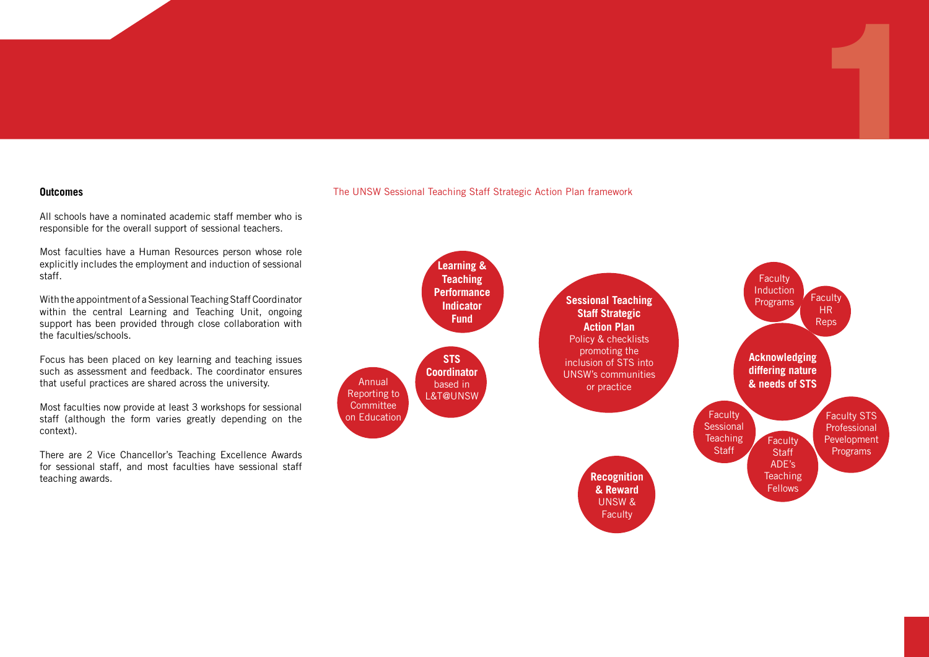#### **Outcomes**

All schools have a nominated academic staff member who is responsible for the overall support of sessional teachers.

Most faculties have a Human Resources person whose role explicitly includes the employment and induction of sessional staff.

With the appointment of a Sessional Teaching Staff Coordinator within the central Learning and Teaching Unit, ongoing support has been provided through close collaboration with the faculties/schools.

Focus has been placed on key learning and teaching issues such as assessment and feedback. The coordinator ensures that useful practices are shared across the university.

Most faculties now provide at least 3 workshops for sessional staff (although the form varies greatly depending on the context).

There are 2 Vice Chancellor's Teaching Excellence Awards for sessional staff, and most faculties have sessional staff teaching awards.

#### The UNSW Sessional Teaching Staff Strategic Action Plan framework



1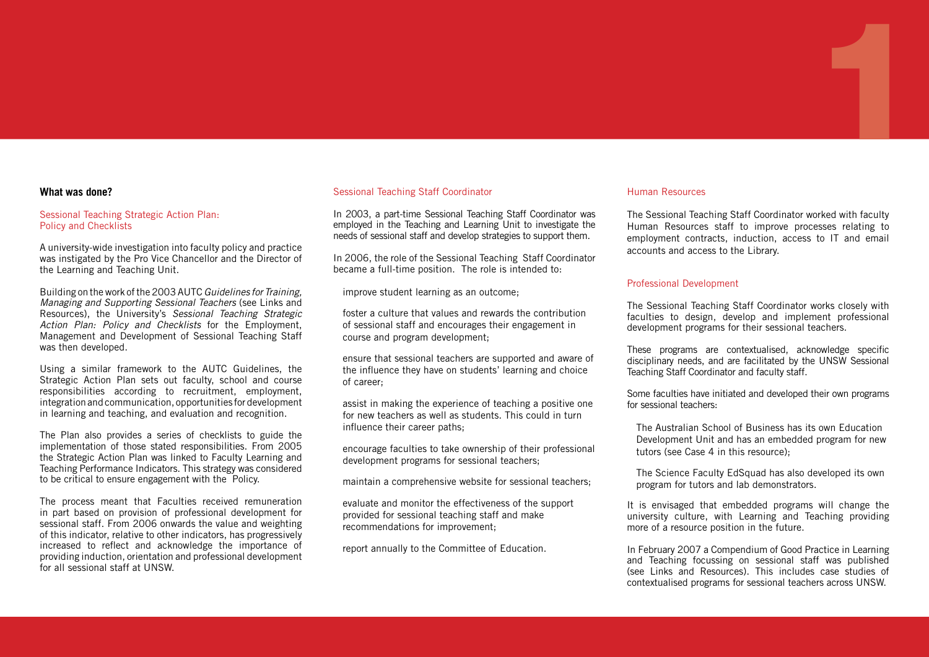#### **What was done?**

#### Sessional Teaching Strategic Action Plan: Policy and Checklists

A university-wide investigation into faculty policy and practice was instigated by the Pro Vice Chancellor and the Director of the Learning and Teaching Unit.

Building on the work of the 2003 AUTC *Guidelines for Training, Managing and Supporting Sessional Teachers* (see Links and Resources), the University's *Sessional Teaching Strategic Action Plan: Policy and Checklists* for the Employment, Management and Development of Sessional Teaching Staff was then developed.

Using a similar framework to the AUTC Guidelines, the Strategic Action Plan sets out faculty, school and course responsibilities according to recruitment, employment, integration and communication, opportunities for development in learning and teaching, and evaluation and recognition.

The Plan also provides a series of checklists to guide the implementation of those stated responsibilities. From 2005 the Strategic Action Plan was linked to Faculty Learning and Teaching Performance Indicators. This strategy was considered to be critical to ensure engagement with the Policy.

The process meant that Faculties received remuneration in part based on provision of professional development for sessional staff. From 2006 onwards the value and weighting of this indicator, relative to other indicators, has progressively increased to reflect and acknowledge the importance of providing induction, orientation and professional development for all sessional staff at UNSW.

#### Sessional Teaching Staff Coordinator

1 1

In 2003, a part-time Sessional Teaching Staff Coordinator was employed in the Teaching and Learning Unit to investigate the needs of sessional staff and develop strategies to support them.

In 2006, the role of the Sessional Teaching Staff Coordinator became a full-time position. The role is intended to:

improve student learning as an outcome;

foster a culture that values and rewards the contribution of sessional staff and encourages their engagement in course and program development;

ensure that sessional teachers are supported and aware of the influence they have on students' learning and choice of career;

assist in making the experience of teaching a positive one for new teachers as well as students. This could in turn influence their career paths;

encourage faculties to take ownership of their professional development programs for sessional teachers;

maintain a comprehensive website for sessional teachers;

evaluate and monitor the effectiveness of the support provided for sessional teaching staff and make recommendations for improvement;

report annually to the Committee of Education.

#### Human Resources

The Sessional Teaching Staff Coordinator worked with faculty Human Resources staff to improve processes relating to employment contracts, induction, access to IT and email accounts and access to the Library.

#### Professional Development

The Sessional Teaching Staff Coordinator works closely with faculties to design, develop and implement professional development programs for their sessional teachers.

These programs are contextualised, acknowledge specific disciplinary needs, and are facilitated by the UNSW Sessional Teaching Staff Coordinator and faculty staff.

Some faculties have initiated and developed their own programs for sessional teachers:

The Australian School of Business has its own Education Development Unit and has an embedded program for new tutors (see Case 4 in this resource);

The Science Faculty EdSquad has also developed its own program for tutors and lab demonstrators.

It is envisaged that embedded programs will change the university culture, with Learning and Teaching providing more of a resource position in the future.

In February 2007 a Compendium of Good Practice in Learning and Teaching focussing on sessional staff was published (see Links and Resources). This includes case studies of contextualised programs for sessional teachers across UNSW.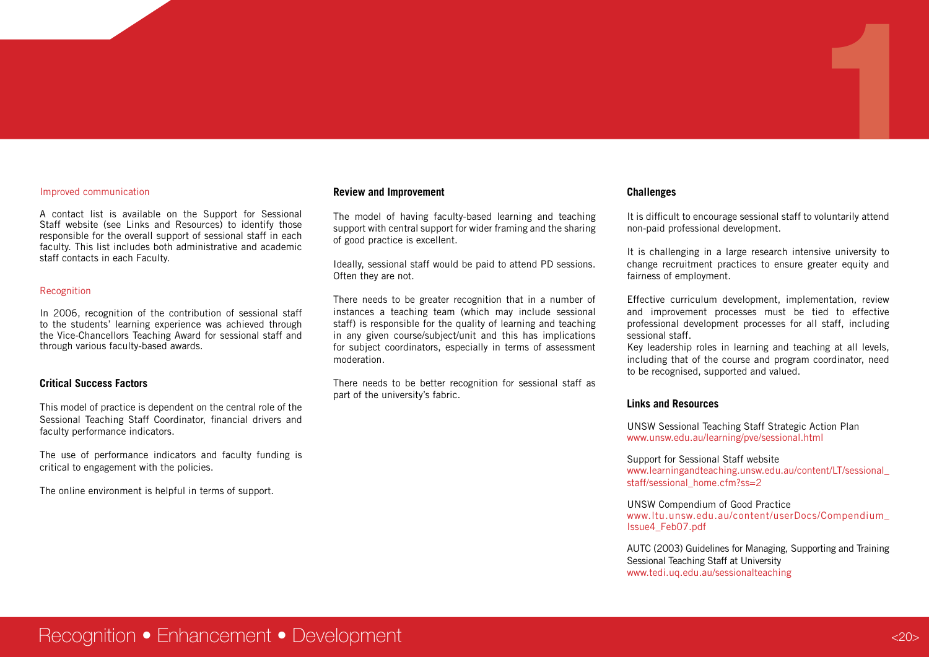#### Improved communication

A contact list is available on the Support for Sessional Staff website (see Links and Resources) to identify those responsible for the overall support of sessional staff in each faculty. This list includes both administrative and academic staff contacts in each Faculty.

#### Recognition

In 2006, recognition of the contribution of sessional staff to the students' learning experience was achieved through the Vice-Chancellors Teaching Award for sessional staff and through various faculty-based awards.

#### **Critical Success Factors**

This model of practice is dependent on the central role of the Sessional Teaching Staff Coordinator, financial drivers and faculty performance indicators.

The use of performance indicators and faculty funding is critical to engagement with the policies.

The online environment is helpful in terms of support.

#### **Review and Improvement**

The model of having faculty-based learning and teaching support with central support for wider framing and the sharing of good practice is excellent.

Ideally, sessional staff would be paid to attend PD sessions. Often they are not.

There needs to be greater recognition that in a number of instances a teaching team (which may include sessional staff) is responsible for the quality of learning and teaching in any given course/subject/unit and this has implications for subject coordinators, especially in terms of assessment moderation.

There needs to be better recognition for sessional staff as part of the university's fabric.

#### **Challenges**

It is difficult to encourage sessional staff to voluntarily attend non-paid professional development.

1

It is challenging in a large research intensive university to change recruitment practices to ensure greater equity and fairness of employment.

Effective curriculum development, implementation, review and improvement processes must be tied to effective professional development processes for all staff, including sessional staff.

Key leadership roles in learning and teaching at all levels, including that of the course and program coordinator, need to be recognised, supported and valued.

#### **Links and Resources**

UNSW Sessional Teaching Staff Strategic Action Plan www.unsw.edu.au/learning/pve/sessional.html

Support for Sessional Staff website www.learningandteaching.unsw.edu.au/content/LT/sessional\_ staff/sessional\_home.cfm?ss=2

UNSW Compendium of Good Practice www.ltu.unsw.edu.au/content/userDocs/Compendium\_ Issue4\_Feb07.pdf

AUTC (2003) Guidelines for Managing, Supporting and Training Sessional Teaching Staff at University www.tedi.uq.edu.au/sessionalteaching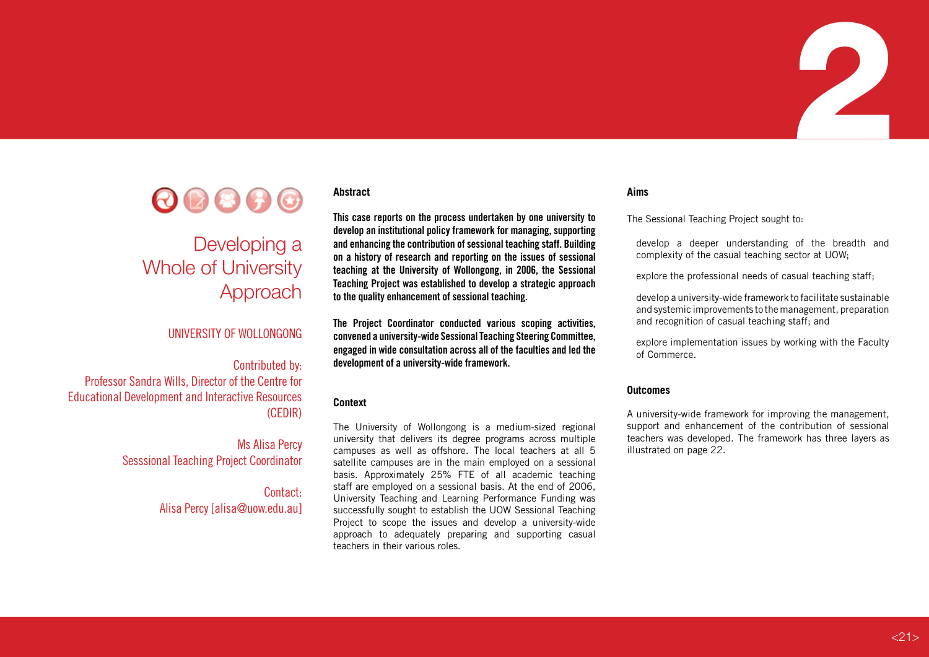

# Whole of University Approach

#### UNIVERSITY OF WOLLONGONG

#### Contributed by:

Professor Sandra Wills, Director of the Centre for Educational Development and Interactive Resources (CEDIR)

> Ms Alisa Percy Sesssional Teaching Project Coordinator

> > Contact: Alisa Percy [alisa@uow.edu.au]

#### **Abstract**

1 2

**This case reports on the process undertaken by one university to develop an institutional policy framework for managing, supporting and enhancing the contribution of sessional teaching staff. Building on a history of research and reporting on the issues of sessional teaching at the University of Wollongong, in 2006, the Sessional Teaching Project was established to develop a strategic approach to the quality enhancement of sessional teaching.**

**The Project Coordinator conducted various scoping activities, convened a university-wide Sessional Teaching Steering Committee, engaged in wide consultation across all of the faculties and led the development of a university-wide framework.**

#### **Context**

The University of Wollongong is a medium-sized regional university that delivers its degree programs across multiple campuses as well as offshore. The local teachers at all 5 satellite campuses are in the main employed on a sessional basis. Approximately 25% FTE of all academic teaching staff are employed on a sessional basis. At the end of 2006, University Teaching and Learning Performance Funding was successfully sought to establish the UOW Sessional Teaching Project to scope the issues and develop a university-wide approach to adequately preparing and supporting casual teachers in their various roles.

#### **Aims**

The Sessional Teaching Project sought to:

develop a deeper understanding of the breadth and complexity of the casual teaching sector at UOW;

explore the professional needs of casual teaching staff;

develop a university-wide framework to facilitate sustainable and systemic improvements to the management, preparation and recognition of casual teaching staff; and

explore implementation issues by working with the Faculty of Commerce.

#### **Outcomes**

A university-wide framework for improving the management, support and enhancement of the contribution of sessional teachers was developed. The framework has three layers as illustrated on page 22.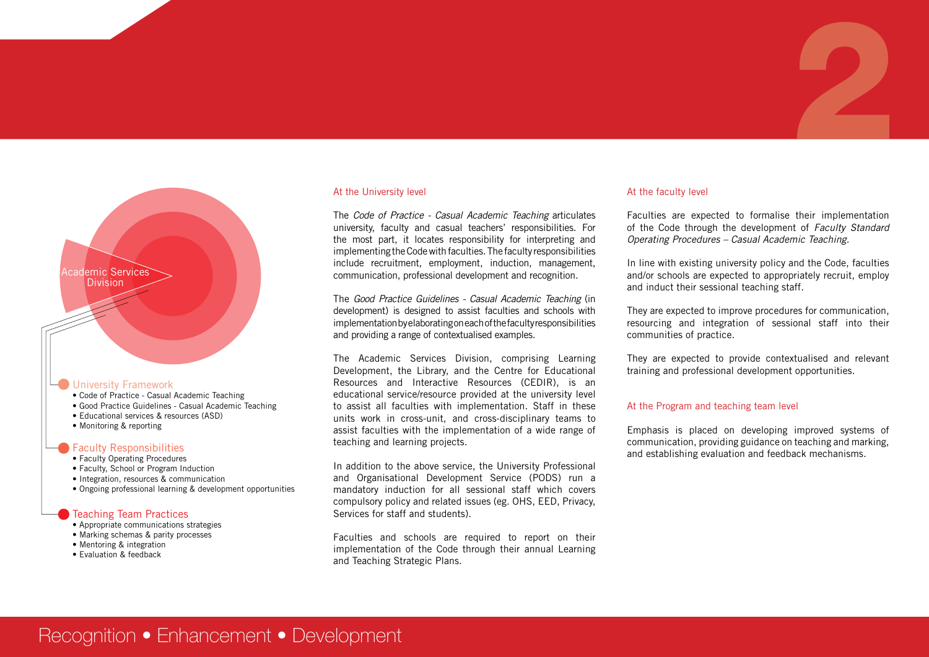# Academic Services Division

#### University Framework

- Code of Practice Casual Academic Teaching
- Good Practice Guidelines Casual Academic Teaching
- Educational services & resources (ASD)
- Monitoring & reporting

#### Faculty Responsibilities

- Faculty Operating Procedures
- Faculty, School or Program Induction
- Integration, resources & communication
- Ongoing professional learning & development opportunities

#### **Teaching Team Practices**

- Appropriate communications strategies
- Marking schemas & parity processes
- $\bullet$  Mentoring & integration
- $\bullet$  Evaluation & feedback

#### At the University level

The *Code of Practice - Casual Academic Teaching* articulates university, faculty and casual teachers' responsibilities. For the most part, it locates responsibility for interpreting and implementing the Code with faculties. The faculty responsibilities include recruitment, employment, induction, management, communication, professional development and recognition.

The *Good Practice Guidelines - Casual Academic Teaching* (in development) is designed to assist faculties and schools with implementation by elaborating on each of the faculty responsibilities and providing a range of contextualised examples.

The Academic Services Division, comprising Learning Development, the Library, and the Centre for Educational Resources and Interactive Resources (CEDIR), is an educational service/resource provided at the university level to assist all faculties with implementation. Staff in these units work in cross-unit, and cross-disciplinary teams to assist faculties with the implementation of a wide range of teaching and learning projects.

In addition to the above service, the University Professional and Organisational Development Service (PODS) run a mandatory induction for all sessional staff which covers compulsory policy and related issues (eg. OHS, EED, Privacy, Services for staff and students).

Faculties and schools are required to report on their implementation of the Code through their annual Learning and Teaching Strategic Plans.

#### At the faculty level

Faculties are expected to formalise their implementation of the Code through the development of *Faculty Standard Operating Procedures – Casual Academic Teaching.*

2

In line with existing university policy and the Code, faculties and/or schools are expected to appropriately recruit, employ and induct their sessional teaching staff.

They are expected to improve procedures for communication, resourcing and integration of sessional staff into their communities of practice.

They are expected to provide contextualised and relevant training and professional development opportunities.

#### At the Program and teaching team level

Emphasis is placed on developing improved systems of communication, providing guidance on teaching and marking, and establishing evaluation and feedback mechanisms.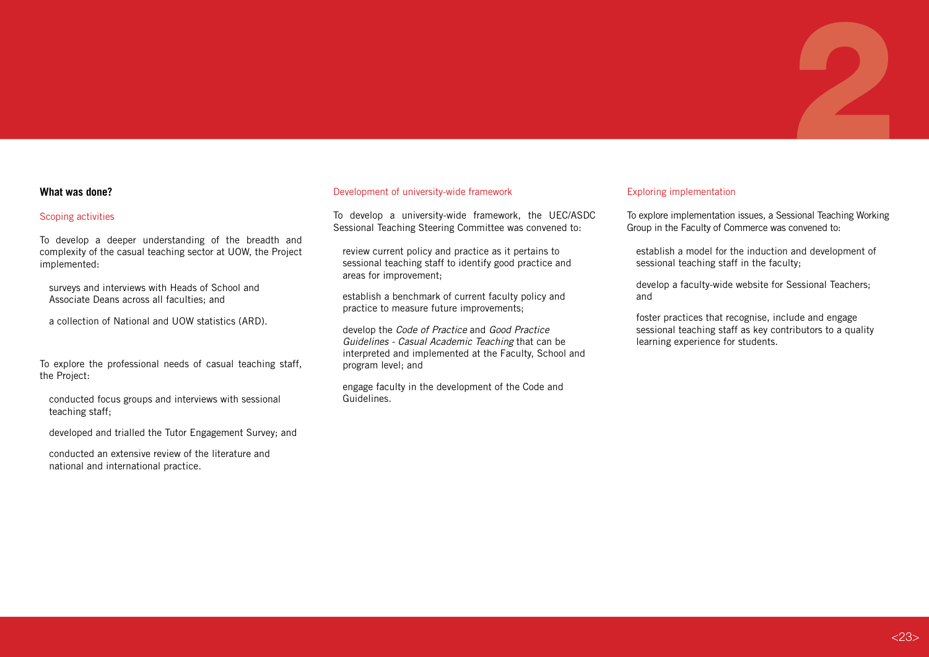#### **What was done?**

#### Scoping activities

To develop a deeper understanding of the breadth and complexity of the casual teaching sector at UOW, the Project implemented:

surveys and interviews with Heads of School and Associate Deans across all faculties; and

a collection of National and UOW statistics (ARD).

To explore the professional needs of casual teaching staff, the Project:

conducted focus groups and interviews with sessional teaching staff;

developed and trialled the Tutor Engagement Survey; and

conducted an extensive review of the literature and national and international practice.

#### Development of university-wide framework

To develop a university-wide framework, the UEC/ASDC Sessional Teaching Steering Committee was convened to:

review current policy and practice as it pertains to sessional teaching staff to identify good practice and areas for improvement;

establish a benchmark of current faculty policy and practice to measure future improvements;

develop the *Code of Practice* and *Good Practice Guidelines - Casual Academic Teaching* that can be interpreted and implemented at the Faculty, School and program level; and

engage faculty in the development of the Code and Guidelines.

#### Exploring implementation

To explore implementation issues, a Sessional Teaching Working Group in the Faculty of Commerce was convened to:

2

establish a model for the induction and development of sessional teaching staff in the faculty;

develop a faculty-wide website for Sessional Teachers; and

foster practices that recognise, include and engage sessional teaching staff as key contributors to a quality learning experience for students.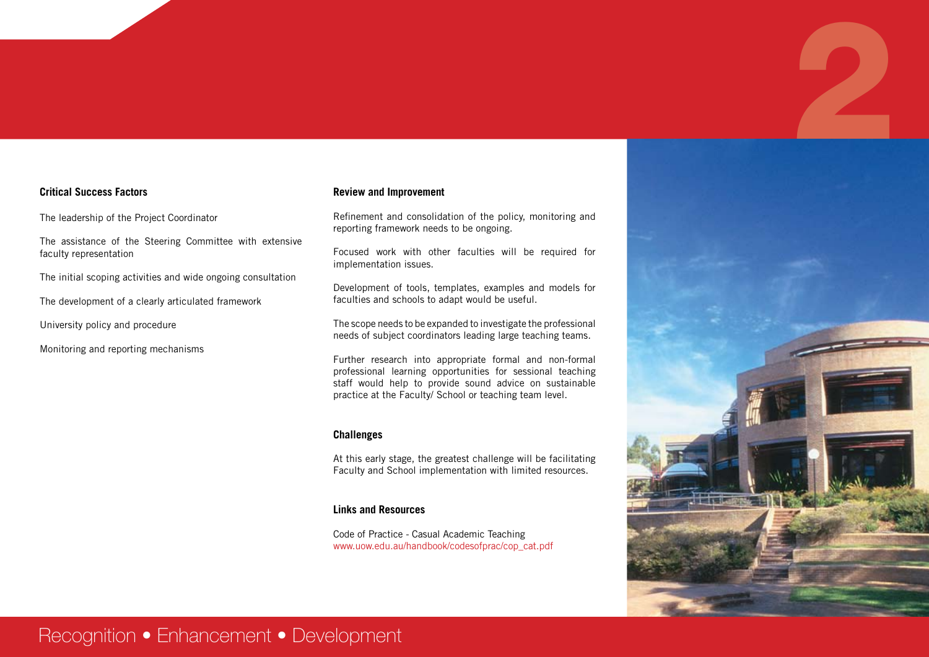#### **Critical Success Factors**

The leadership of the Project Coordinator

The assistance of the Steering Committee with extensive faculty representation

The initial scoping activities and wide ongoing consultation

The development of a clearly articulated framework

University policy and procedure

Monitoring and reporting mechanisms

#### **Review and Improvement**

Refinement and consolidation of the policy, monitoring and reporting framework needs to be ongoing.

Focused work with other faculties will be required for implementation issues.

Development of tools, templates, examples and models for faculties and schools to adapt would be useful.

The scope needs to be expanded to investigate the professional needs of subject coordinators leading large teaching teams.

Further research into appropriate formal and non-formal professional learning opportunities for sessional teaching staff would help to provide sound advice on sustainable practice at the Faculty/ School or teaching team level.

#### **Challenges**

At this early stage, the greatest challenge will be facilitating Faculty and School implementation with limited resources.

#### **Links and Resources**

Code of Practice - Casual Academic Teaching www.uow.edu.au/handbook/codesofprac/cop\_cat.pdf



## Recognition • Enhancement • Development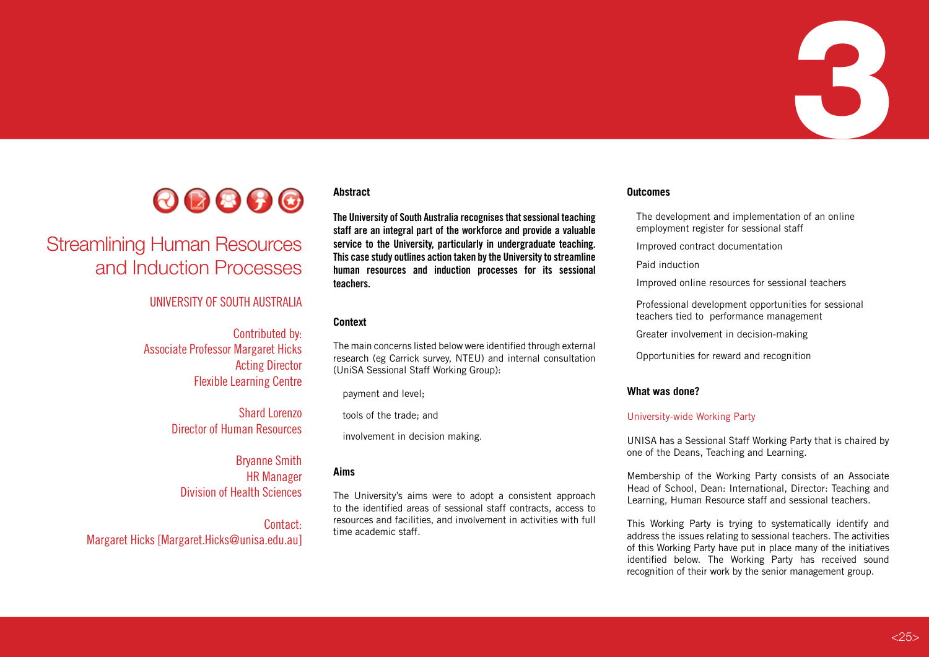

# Streamlining Human Resources and Induction Processes

#### UNIVERSITY OF SOUTH AUSTRALIA

Contributed by: Associate Professor Margaret Hicks Acting Director Flexible Learning Centre

> Shard Lorenzo Director of Human Resources

Bryanne Smith HR Manager Division of Health Sciences

Contact: Margaret Hicks [Margaret.Hicks@unisa.edu.au]

#### **Abstract**

**The University of South Australia recognises that sessional teaching staff are an integral part of the workforce and provide a valuable service to the University, particularly in undergraduate teaching. This case study outlines action taken by the University to streamline human resources and induction processes for its sessional teachers.**

#### **Context**

The main concerns listed below were identified through external research (eg Carrick survey, NTEU) and internal consultation (UniSA Sessional Staff Working Group):

payment and level;

tools of the trade; and

involvement in decision making.

#### **Aims**

The University's aims were to adopt a consistent approach to the identified areas of sessional staff contracts, access to resources and facilities, and involvement in activities with full time academic staff.

#### **Outcomes**

The development and implementation of an online employment register for sessional staff

3

Improved contract documentation

Paid induction

Improved online resources for sessional teachers

Professional development opportunities for sessional teachers tied to performance management

Greater involvement in decision-making

Opportunities for reward and recognition

#### **What was done?**

#### University-wide Working Party

UNISA has a Sessional Staff Working Party that is chaired by one of the Deans, Teaching and Learning.

Membership of the Working Party consists of an Associate Head of School, Dean: International, Director: Teaching and Learning, Human Resource staff and sessional teachers.

This Working Party is trying to systematically identify and address the issues relating to sessional teachers. The activities of this Working Party have put in place many of the initiatives identified below. The Working Party has received sound recognition of their work by the senior management group.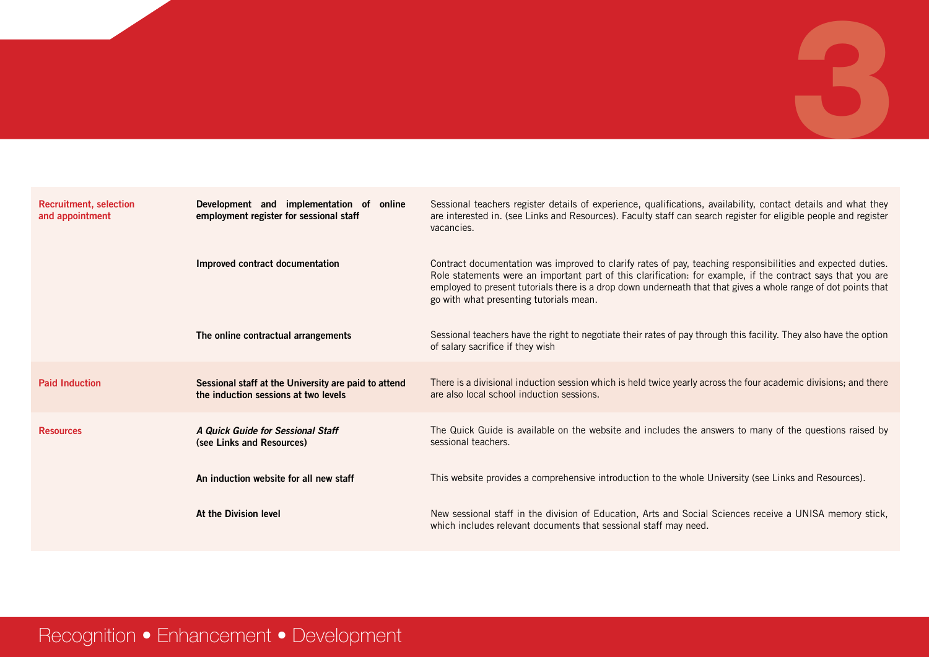| <b>Recruitment, selection</b><br>and appointment | Development and implementation of online<br>employment register for sessional staff          | Sessional teachers register details of experience, qualifications, availability, contact details and what they<br>are interested in. (see Links and Resources). Faculty staff can search register for eligible people and register<br>vacancies.                                                                                                                                         |
|--------------------------------------------------|----------------------------------------------------------------------------------------------|------------------------------------------------------------------------------------------------------------------------------------------------------------------------------------------------------------------------------------------------------------------------------------------------------------------------------------------------------------------------------------------|
|                                                  | Improved contract documentation                                                              | Contract documentation was improved to clarify rates of pay, teaching responsibilities and expected duties.<br>Role statements were an important part of this clarification: for example, if the contract says that you are<br>employed to present tutorials there is a drop down underneath that that gives a whole range of dot points that<br>go with what presenting tutorials mean. |
|                                                  | The online contractual arrangements                                                          | Sessional teachers have the right to negotiate their rates of pay through this facility. They also have the option<br>of salary sacrifice if they wish                                                                                                                                                                                                                                   |
| <b>Paid Induction</b>                            | Sessional staff at the University are paid to attend<br>the induction sessions at two levels | There is a divisional induction session which is held twice yearly across the four academic divisions; and there<br>are also local school induction sessions.                                                                                                                                                                                                                            |
| <b>Resources</b>                                 | A Quick Guide for Sessional Staff<br>(see Links and Resources)                               | The Quick Guide is available on the website and includes the answers to many of the questions raised by<br>sessional teachers.                                                                                                                                                                                                                                                           |
|                                                  | An induction website for all new staff                                                       | This website provides a comprehensive introduction to the whole University (see Links and Resources).                                                                                                                                                                                                                                                                                    |
|                                                  | At the Division level                                                                        | New sessional staff in the division of Education, Arts and Social Sciences receive a UNISA memory stick,<br>which includes relevant documents that sessional staff may need.                                                                                                                                                                                                             |

# Recognition • Enhancement • Development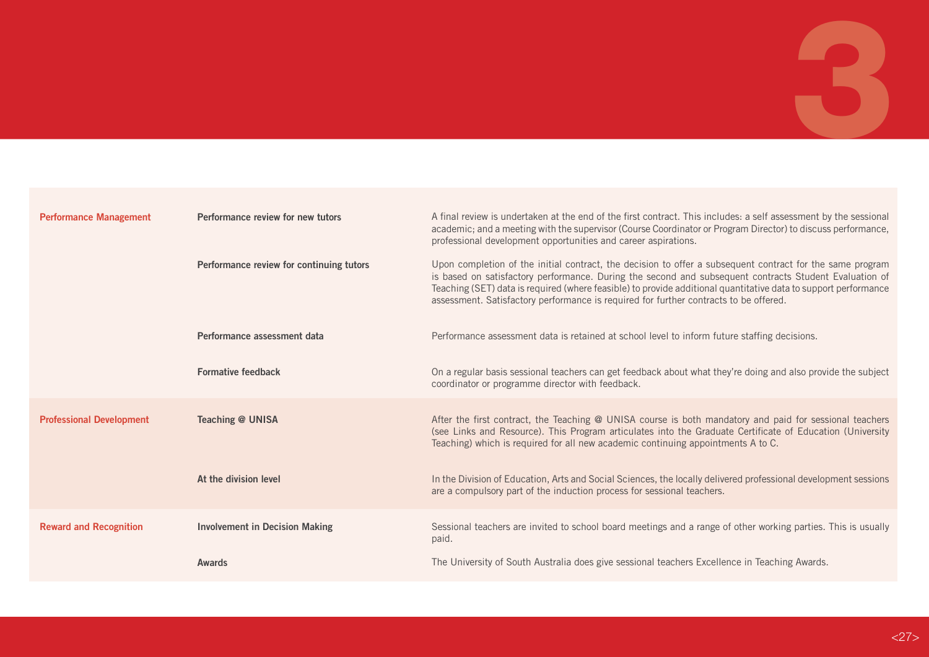| <b>Performance Management</b>   | Performance review for new tutors        | A final review is undertaken at the end of the first contract. This includes: a self assessment by the sessional<br>academic; and a meeting with the supervisor (Course Coordinator or Program Director) to discuss performance,<br>professional development opportunities and career aspirations.                                                                                                                              |
|---------------------------------|------------------------------------------|---------------------------------------------------------------------------------------------------------------------------------------------------------------------------------------------------------------------------------------------------------------------------------------------------------------------------------------------------------------------------------------------------------------------------------|
|                                 | Performance review for continuing tutors | Upon completion of the initial contract, the decision to offer a subsequent contract for the same program<br>is based on satisfactory performance. During the second and subsequent contracts Student Evaluation of<br>Teaching (SET) data is required (where feasible) to provide additional quantitative data to support performance<br>assessment. Satisfactory performance is required for further contracts to be offered. |
|                                 | Performance assessment data              | Performance assessment data is retained at school level to inform future staffing decisions.                                                                                                                                                                                                                                                                                                                                    |
|                                 | <b>Formative feedback</b>                | On a regular basis sessional teachers can get feedback about what they're doing and also provide the subject<br>coordinator or programme director with feedback.                                                                                                                                                                                                                                                                |
| <b>Professional Development</b> | Teaching @ UNISA                         | After the first contract, the Teaching @ UNISA course is both mandatory and paid for sessional teachers<br>(see Links and Resource). This Program articulates into the Graduate Certificate of Education (University<br>Teaching) which is required for all new academic continuing appointments A to C.                                                                                                                        |
|                                 | At the division level                    | In the Division of Education, Arts and Social Sciences, the locally delivered professional development sessions<br>are a compulsory part of the induction process for sessional teachers.                                                                                                                                                                                                                                       |
| <b>Reward and Recognition</b>   | <b>Involvement in Decision Making</b>    | Sessional teachers are invited to school board meetings and a range of other working parties. This is usually<br>paid.                                                                                                                                                                                                                                                                                                          |
|                                 | Awards                                   | The University of South Australia does give sessional teachers Excellence in Teaching Awards.                                                                                                                                                                                                                                                                                                                                   |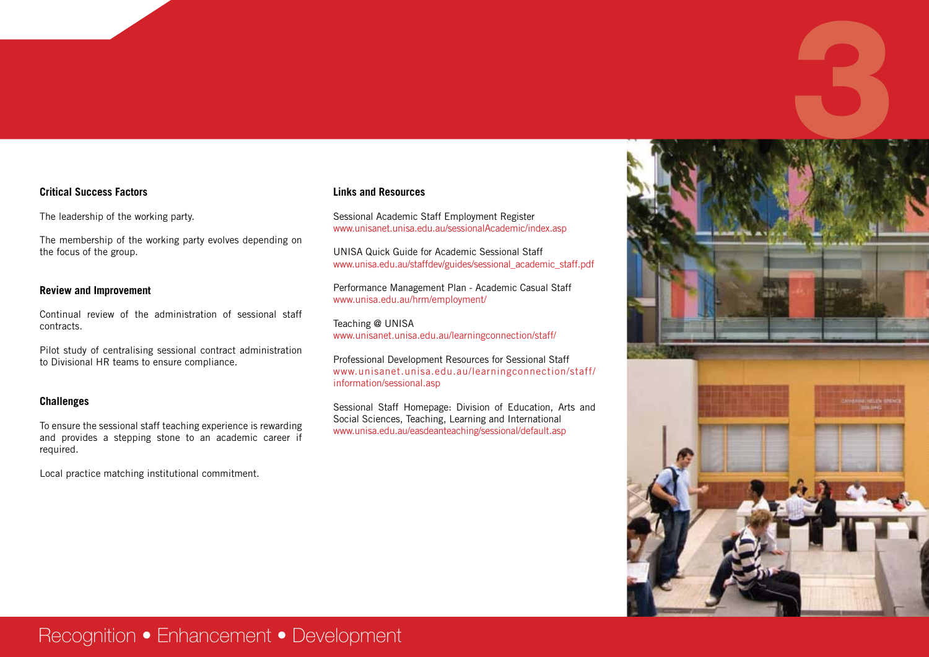#### **Critical Success Factors**

The leadership of the working party.

The membership of the working party evolves depending on the focus of the group.

#### **Review and Improvement**

Continual review of the administration of sessional staff contracts.

Pilot study of centralising sessional contract administration to Divisional HR teams to ensure compliance.

#### **Challenges**

To ensure the sessional staff teaching experience is rewarding and provides a stepping stone to an academic career if required.

Local practice matching institutional commitment.

#### **Links and Resources**

Sessional Academic Staff Employment Register www.unisanet.unisa.edu.au/sessionalAcademic/index.asp

UNISA Quick Guide for Academic Sessional Staff www.unisa.edu.au/staffdev/guides/sessional\_academic\_staff.pdf

Performance Management Plan - Academic Casual Staff www.unisa.edu.au/hrm/employment/

Teaching @ UNISA www.unisanet.unisa.edu.au/learningconnection/staff/

Professional Development Resources for Sessional Staff www.unisanet.unisa.edu.au/learningconnection/staff/ information/sessional.asp

Sessional Staff Homepage: Division of Education, Arts and Social Sciences, Teaching, Learning and International www.unisa.edu.au/easdeanteaching/sessional/default.asp



## Recognition • Enhancement • Development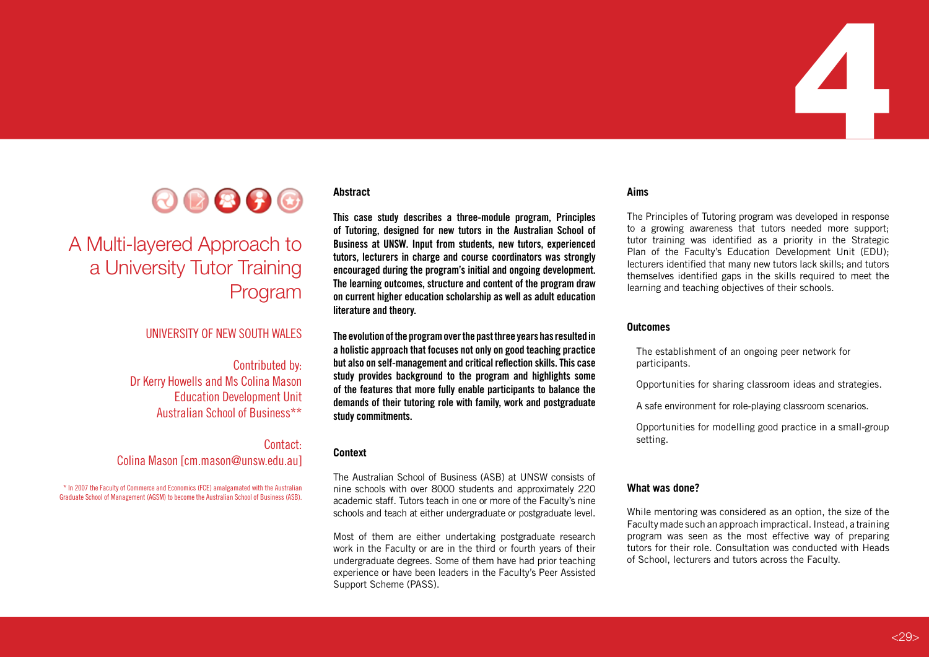

# A Multi-layered Approach to a University Tutor Training Program

#### UNIVERSITY OF NEW SOUTH WALES

#### Contributed by:

Dr Kerry Howells and Ms Colina Mason Education Development Unit Australian School of Business\*\*

#### Contact: Colina Mason [cm.mason@unsw.edu.au]

\* In 2007 the Faculty of Commerce and Economics (FCE) amalgamated with the Australian Graduate School of Management (AGSM) to become the Australian School of Business (ASB).

#### **Abstract**

**This case study describes a three-module program, Principles of Tutoring, designed for new tutors in the Australian School of Business at UNSW. Input from students, new tutors, experienced tutors, lecturers in charge and course coordinators was strongly encouraged during the program's initial and ongoing development. The learning outcomes, structure and content of the program draw on current higher education scholarship as well as adult education literature and theory.**

**The evolution of the program over the past three years has resulted in a holistic approach that focuses not only on good teaching practice but also on self-management and critical reflection skills. This case study provides background to the program and highlights some of the features that more fully enable participants to balance the demands of their tutoring role with family, work and postgraduate study commitments.**

#### **Context**

The Australian School of Business (ASB) at UNSW consists of nine schools with over 8000 students and approximately 220 academic staff. Tutors teach in one or more of the Faculty's nine schools and teach at either undergraduate or postgraduate level.

Most of them are either undertaking postgraduate research work in the Faculty or are in the third or fourth years of their undergraduate degrees. Some of them have had prior teaching experience or have been leaders in the Faculty's Peer Assisted Support Scheme (PASS).

#### **Aims**

The Principles of Tutoring program was developed in response to a growing awareness that tutors needed more support; tutor training was identified as a priority in the Strategic Plan of the Faculty's Education Development Unit (EDU); lecturers identified that many new tutors lack skills; and tutors themselves identified gaps in the skills required to meet the learning and teaching objectives of their schools.

4

#### **Outcomes**

The establishment of an ongoing peer network for participants.

Opportunities for sharing classroom ideas and strategies.

A safe environment for role-playing classroom scenarios.

Opportunities for modelling good practice in a small-group setting.

#### **What was done?**

While mentoring was considered as an option, the size of the Faculty made such an approach impractical. Instead, a training program was seen as the most effective way of preparing tutors for their role. Consultation was conducted with Heads of School, lecturers and tutors across the Faculty.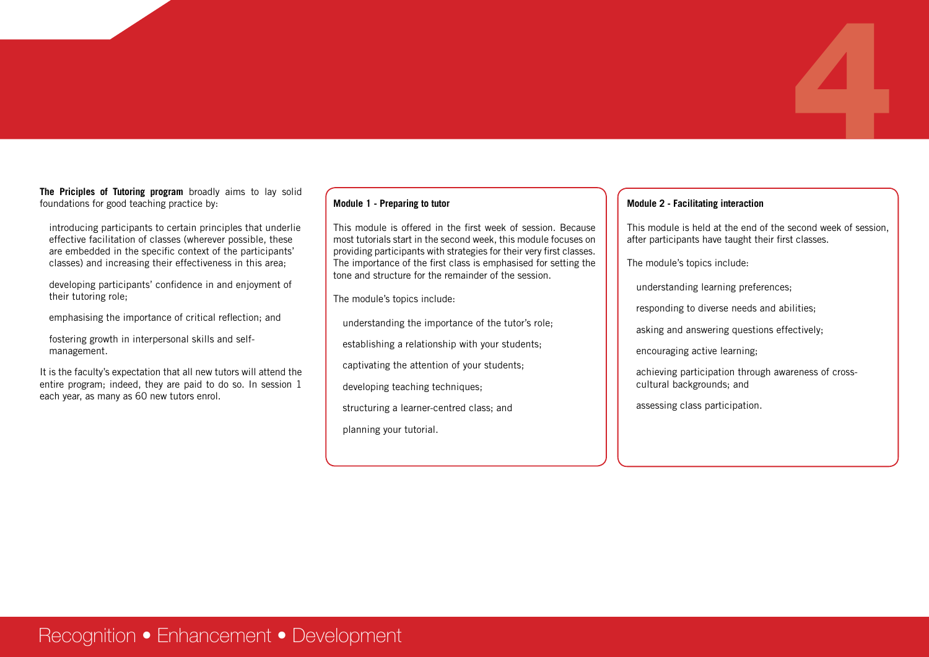**The Priciples of Tutoring program** broadly aims to lay solid foundations for good teaching practice by:

introducing participants to certain principles that underlie effective facilitation of classes (wherever possible, these are embedded in the specific context of the participants' classes) and increasing their effectiveness in this area;

developing participants' confidence in and enjoyment of their tutoring role;

emphasising the importance of critical reflection; and

fostering growth in interpersonal skills and selfmanagement.

It is the faculty's expectation that all new tutors will attend the entire program; indeed, they are paid to do so. In session 1 each year, as many as 60 new tutors enrol.

#### **Module 1 - Preparing to tutor**

This module is offered in the first week of session. Because most tutorials start in the second week, this module focuses on providing participants with strategies for their very first classes. The importance of the first class is emphasised for setting the tone and structure for the remainder of the session.

The module's topics include:

understanding the importance of the tutor's role;

establishing a relationship with your students;

captivating the attention of your students;

developing teaching techniques;

structuring a learner-centred class; and

planning your tutorial.

#### **Module 2 - Facilitating interaction**

This module is held at the end of the second week of session, after participants have taught their first classes.

4

The module's topics include:

understanding learning preferences;

responding to diverse needs and abilities;

asking and answering questions effectively;

encouraging active learning;

achieving participation through awareness of crosscultural backgrounds; and

assessing class participation.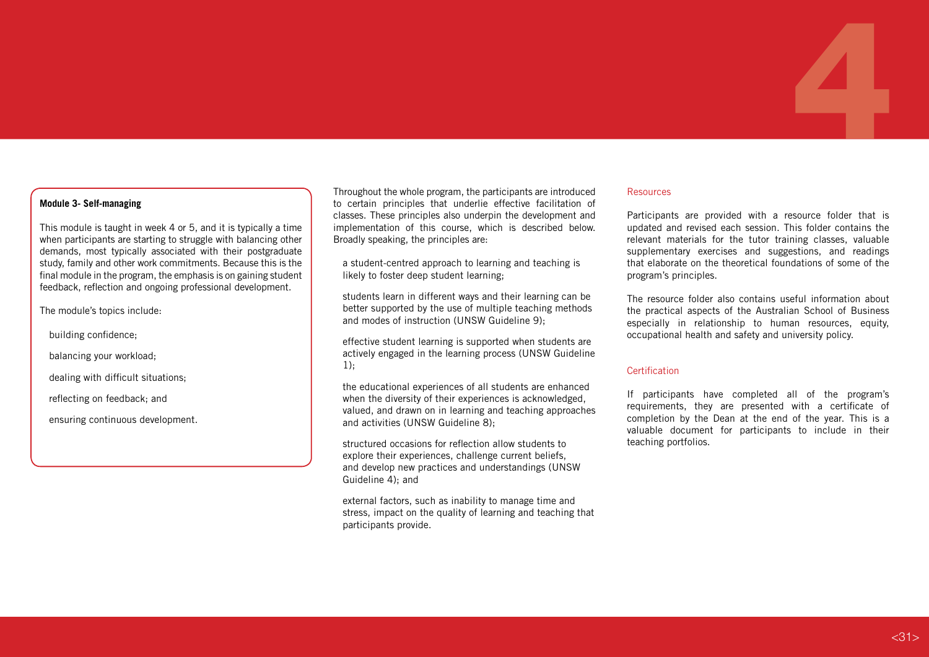#### **Module 3- Self-managing**

This module is taught in week 4 or 5, and it is typically a time when participants are starting to struggle with balancing other demands, most typically associated with their postgraduate study, family and other work commitments. Because this is the final module in the program, the emphasis is on gaining student feedback, reflection and ongoing professional development.

The module's topics include:

building confidence;

balancing your workload;

dealing with difficult situations;

reflecting on feedback; and

ensuring continuous development.

Throughout the whole program, the participants are introduced to certain principles that underlie effective facilitation of classes. These principles also underpin the development and implementation of this course, which is described below. Broadly speaking, the principles are:

a student-centred approach to learning and teaching is likely to foster deep student learning;

students learn in different ways and their learning can be better supported by the use of multiple teaching methods and modes of instruction (UNSW Guideline 9);

effective student learning is supported when students are actively engaged in the learning process (UNSW Guideline 1);

the educational experiences of all students are enhanced when the diversity of their experiences is acknowledged. valued, and drawn on in learning and teaching approaches and activities (UNSW Guideline 8);

structured occasions for reflection allow students to explore their experiences, challenge current beliefs, and develop new practices and understandings (UNSW Guideline 4); and

external factors, such as inability to manage time and stress, impact on the quality of learning and teaching that participants provide.

#### Resources

Participants are provided with a resource folder that is updated and revised each session. This folder contains the relevant materials for the tutor training classes, valuable supplementary exercises and suggestions, and readings that elaborate on the theoretical foundations of some of the program's principles.

4

The resource folder also contains useful information about the practical aspects of the Australian School of Business especially in relationship to human resources, equity, occupational health and safety and university policy.

#### Certification

If participants have completed all of the program's requirements, they are presented with a certificate of completion by the Dean at the end of the year. This is a valuable document for participants to include in their teaching portfolios.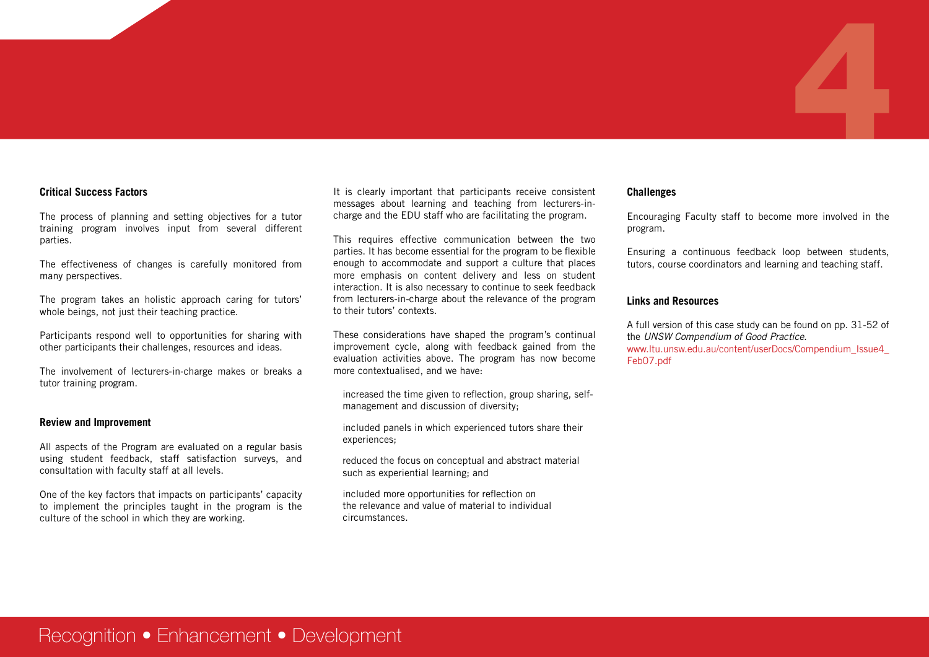#### **Critical Success Factors**

The process of planning and setting objectives for a tutor training program involves input from several different parties.

The effectiveness of changes is carefully monitored from many perspectives.

The program takes an holistic approach caring for tutors' whole beings, not just their teaching practice.

Participants respond well to opportunities for sharing with other participants their challenges, resources and ideas.

The involvement of lecturers-in-charge makes or breaks a tutor training program.

#### **Review and Improvement**

All aspects of the Program are evaluated on a regular basis using student feedback, staff satisfaction surveys, and consultation with faculty staff at all levels.

One of the key factors that impacts on participants' capacity to implement the principles taught in the program is the culture of the school in which they are working.

It is clearly important that participants receive consistent messages about learning and teaching from lecturers-incharge and the EDU staff who are facilitating the program.

This requires effective communication between the two parties. It has become essential for the program to be flexible enough to accommodate and support a culture that places more emphasis on content delivery and less on student interaction. It is also necessary to continue to seek feedback from lecturers-in-charge about the relevance of the program to their tutors' contexts.

These considerations have shaped the program's continual improvement cycle, along with feedback gained from the evaluation activities above. The program has now become more contextualised, and we have:

increased the time given to reflection, group sharing, selfmanagement and discussion of diversity;

included panels in which experienced tutors share their experiences;

reduced the focus on conceptual and abstract material such as experiential learning; and

included more opportunities for reflection on the relevance and value of material to individual circumstances.

#### **Challenges**

Encouraging Faculty staff to become more involved in the program.

4

Ensuring a continuous feedback loop between students, tutors, course coordinators and learning and teaching staff.

#### **Links and Resources**

A full version of this case study can be found on pp. 31-52 of the *UNSW Compendium of Good Practice*. www.ltu.unsw.edu.au/content/userDocs/Compendium\_Issue4\_ Feb07.pdf

## Recognition • Enhancement • Development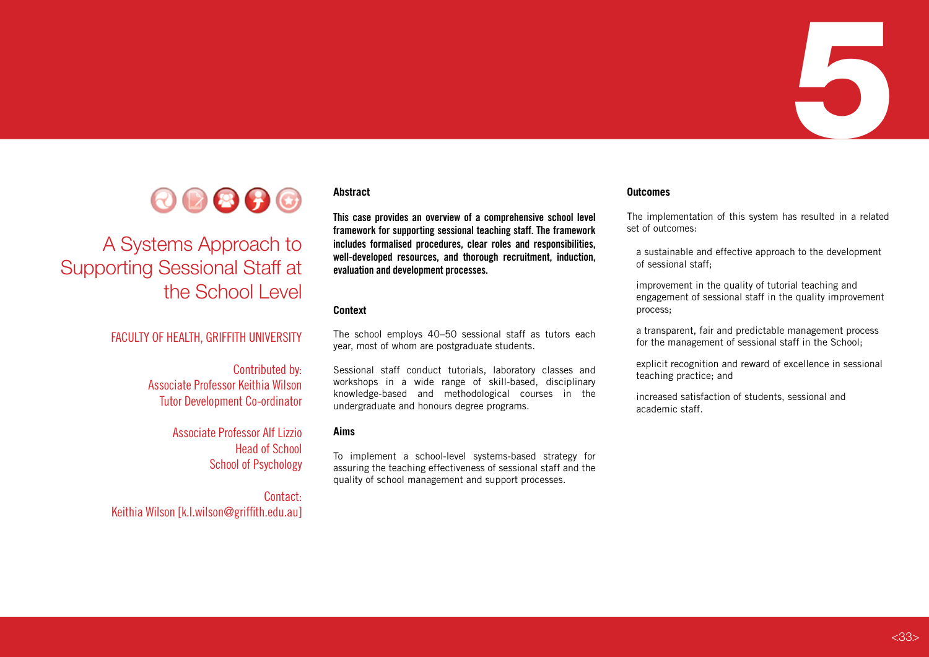



# A Systems Approach to Supporting Sessional Staff at the School Level

#### FACULTY OF HEALTH, GRIFFITH UNIVERSITY

Contributed by: Associate Professor Keithia Wilson Tutor Development Co-ordinator

> Associate Professor Alf Lizzio Head of School School of Psychology

Contact: Keithia Wilson [k.l.wilson@griffith.edu.au]

#### **Abstract**

**This case provides an overview of a comprehensive school level framework for supporting sessional teaching staff. The framework includes formalised procedures, clear roles and responsibilities, well-developed resources, and thorough recruitment, induction, evaluation and development processes.** 

#### **Context**

The school employs 40–50 sessional staff as tutors each year, most of whom are postgraduate students.

Sessional staff conduct tutorials, laboratory classes and workshops in a wide range of skill-based, disciplinary knowledge-based and methodological courses in the undergraduate and honours degree programs.

#### **Aims**

To implement a school-level systems-based strategy for assuring the teaching effectiveness of sessional staff and the quality of school management and support processes.

#### **Outcomes**

The implementation of this system has resulted in a related set of outcomes:

a sustainable and effective approach to the development of sessional staff;

improvement in the quality of tutorial teaching and engagement of sessional staff in the quality improvement process;

a transparent, fair and predictable management process for the management of sessional staff in the School;

explicit recognition and reward of excellence in sessional teaching practice; and

increased satisfaction of students, sessional and academic staff.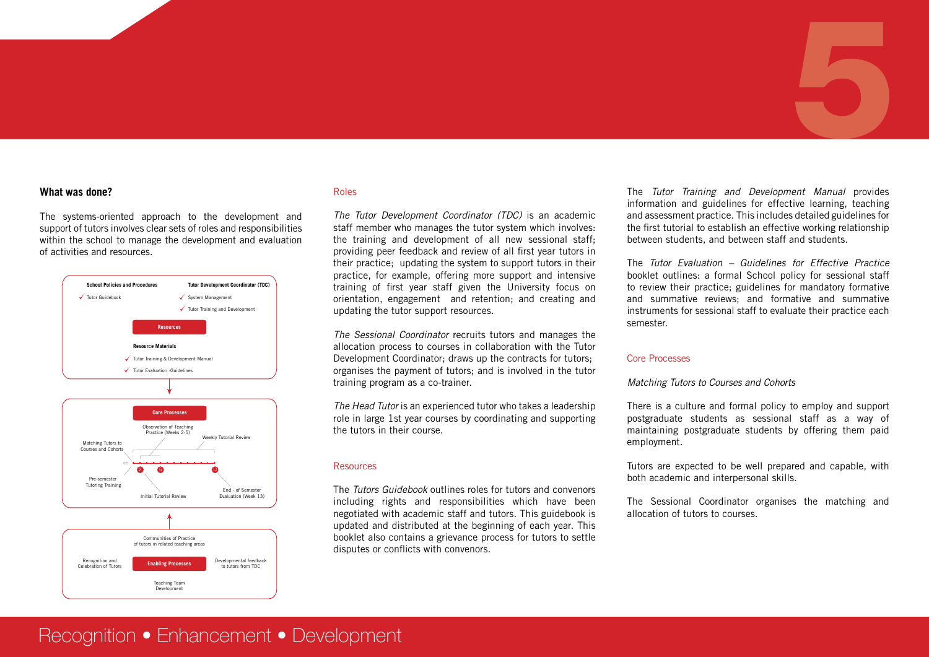#### **What was done?**

The systems-oriented approach to the development and support of tutors involves clear sets of roles and responsibilities within the school to manage the development and evaluation of activities and resources.



#### Roles

*The Tutor Development Coordinator (TDC)* is an academic staff member who manages the tutor system which involves: the training and development of all new sessional staff; providing peer feedback and review of all first year tutors in their practice; updating the system to support tutors in their practice, for example, offering more support and intensive training of first year staff given the University focus on orientation, engagement and retention; and creating and updating the tutor support resources.

*The Sessional Coordinator* recruits tutors and manages the allocation process to courses in collaboration with the Tutor Development Coordinator; draws up the contracts for tutors; organises the payment of tutors; and is involved in the tutor training program as a co-trainer.

*The Head Tutor* is an experienced tutor who takes a leadership role in large 1st year courses by coordinating and supporting the tutors in their course.

#### Resources

The *Tutors Guidebook* outlines roles for tutors and convenors including rights and responsibilities which have been negotiated with academic staff and tutors. This guidebook is updated and distributed at the beginning of each year. This booklet also contains a grievance process for tutors to settle disputes or conflicts with convenors.

The *Tutor Training and Development Manual* provides information and guidelines for effective learning, teaching and assessment practice. This includes detailed guidelines for the first tutorial to establish an effective working relationship between students, and between staff and students.

5

The *Tutor Evaluation – Guidelines for Effective Practice*  booklet outlines: a formal School policy for sessional staff to review their practice; guidelines for mandatory formative and summative reviews; and formative and summative instruments for sessional staff to evaluate their practice each semester.

#### Core Processes

#### *Matching Tutors to Courses and Cohorts*

There is a culture and formal policy to employ and support postgraduate students as sessional staff as a way of maintaining postgraduate students by offering them paid employment.

Tutors are expected to be well prepared and capable, with both academic and interpersonal skills.

The Sessional Coordinator organises the matching and allocation of tutors to courses.

### Recognition • Enhancement • Development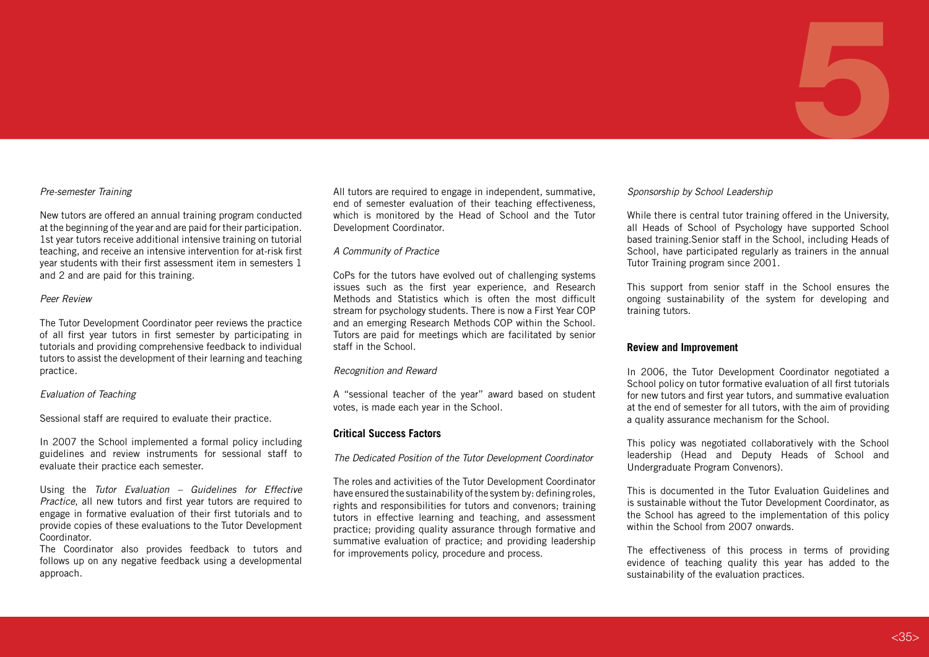# 5

#### *Pre-semester Training*

New tutors are offered an annual training program conducted at the beginning of the year and are paid for their participation. 1st year tutors receive additional intensive training on tutorial teaching, and receive an intensive intervention for at-risk first year students with their first assessment item in semesters 1 and 2 and are paid for this training.

#### *Peer Review*

The Tutor Development Coordinator peer reviews the practice of all first year tutors in first semester by participating in tutorials and providing comprehensive feedback to individual tutors to assist the development of their learning and teaching practice.

#### *Evaluation of Teaching*

Sessional staff are required to evaluate their practice.

In 2007 the School implemented a formal policy including guidelines and review instruments for sessional staff to evaluate their practice each semester.

Using the *Tutor Evaluation – Guidelines for Effective Practice*, all new tutors and first year tutors are required to engage in formative evaluation of their first tutorials and to provide copies of these evaluations to the Tutor Development Coordinator.

The Coordinator also provides feedback to tutors and follows up on any negative feedback using a developmental approach.

All tutors are required to engage in independent, summative, end of semester evaluation of their teaching effectiveness, which is monitored by the Head of School and the Tutor Development Coordinator.

#### *A Community of Practice*

CoPs for the tutors have evolved out of challenging systems issues such as the first year experience, and Research Methods and Statistics which is often the most difficult stream for psychology students. There is now a First Year COP and an emerging Research Methods COP within the School. Tutors are paid for meetings which are facilitated by senior staff in the School.

#### *Recognition and Reward*

A "sessional teacher of the year" award based on student votes, is made each year in the School.

#### **Critical Success Factors**

*The Dedicated Position of the Tutor Development Coordinator*

The roles and activities of the Tutor Development Coordinator have ensured the sustainability of the system by: defining roles, rights and responsibilities for tutors and convenors; training tutors in effective learning and teaching, and assessment practice; providing quality assurance through formative and summative evaluation of practice; and providing leadership for improvements policy, procedure and process.

#### *Sponsorship by School Leadership*

While there is central tutor training offered in the University, all Heads of School of Psychology have supported School based training.Senior staff in the School, including Heads of School, have participated regularly as trainers in the annual Tutor Training program since 2001.

This support from senior staff in the School ensures the ongoing sustainability of the system for developing and training tutors.

#### **Review and Improvement**

In 2006, the Tutor Development Coordinator negotiated a School policy on tutor formative evaluation of all first tutorials for new tutors and first year tutors, and summative evaluation at the end of semester for all tutors, with the aim of providing a quality assurance mechanism for the School.

This policy was negotiated collaboratively with the School leadership (Head and Deputy Heads of School and Undergraduate Program Convenors).

This is documented in the Tutor Evaluation Guidelines and is sustainable without the Tutor Development Coordinator, as the School has agreed to the implementation of this policy within the School from 2007 onwards.

The effectiveness of this process in terms of providing evidence of teaching quality this year has added to the sustainability of the evaluation practices.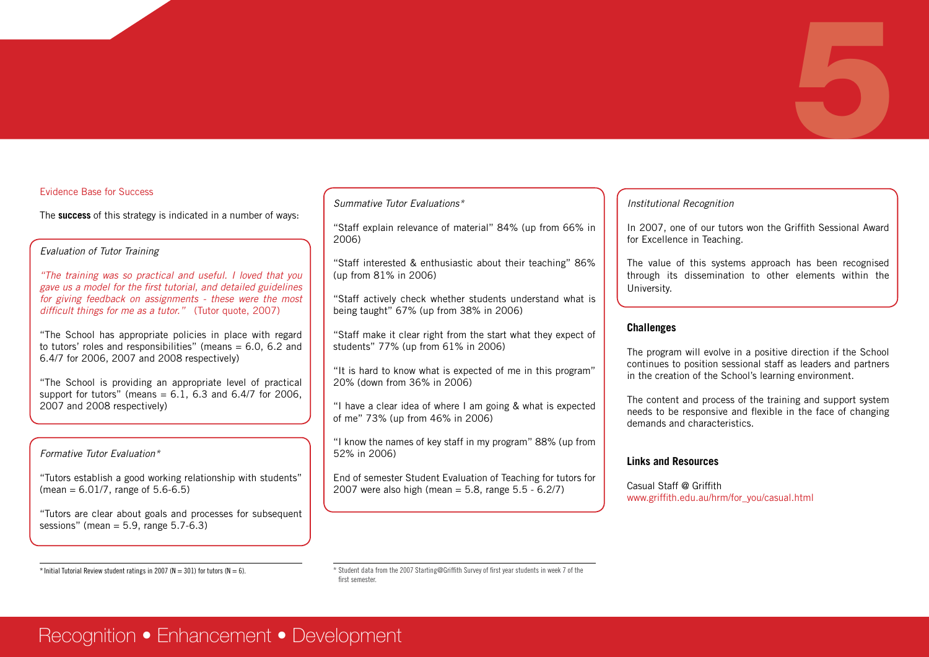#### Evidence Base for Success

The **success** of this strategy is indicated in a number of ways:

#### *Evaluation of Tutor Training*

*"The training was so practical and useful. I loved that you gave us a model for the first tutorial, and detailed guidelines for giving feedback on assignments - these were the most difficult things for me as a tutor."* (Tutor quote, 2007)

"The School has appropriate policies in place with regard to tutors' roles and responsibilities" (means  $= 6.0, 6.2$  and 6.4/7 for 2006, 2007 and 2008 respectively)

"The School is providing an appropriate level of practical support for tutors" (means =  $6.1$ ,  $6.3$  and  $6.4/7$  for 2006, 2007 and 2008 respectively)

#### *Formative Tutor Evaluation\**

"Tutors establish a good working relationship with students"  $(mean = 6.01/7, range of 5.6-6.5)$ 

"Tutors are clear about goals and processes for subsequent sessions" (mean  $= 5.9$ , range  $5.7-6.3$ )

#### *Summative Tutor Evaluations\**

"Staff explain relevance of material" 84% (up from 66% in 2006)

"Staff interested & enthusiastic about their teaching" 86% (up from 81% in 2006)

"Staff actively check whether students understand what is being taught" 67% (up from 38% in 2006)

"Staff make it clear right from the start what they expect of students" 77% (up from 61% in 2006)

"It is hard to know what is expected of me in this program" 20% (down from 36% in 2006)

"I have a clear idea of where I am going & what is expected of me" 73% (up from 46% in 2006)

"I know the names of key staff in my program" 88% (up from 52% in 2006)

End of semester Student Evaluation of Teaching for tutors for 2007 were also high (mean =  $5.8$ , range  $5.5 - 6.2/7$ )

#### *Institutional Recognition*

In 2007, one of our tutors won the Griffith Sessional Award for Excellence in Teaching.

5

The value of this systems approach has been recognised through its dissemination to other elements within the University.

#### **Challenges**

The program will evolve in a positive direction if the School continues to position sessional staff as leaders and partners in the creation of the School's learning environment.

The content and process of the training and support system needs to be responsive and flexible in the face of changing demands and characteristics.

#### **Links and Resources**

Casual Staff @ Griffith www.griffith.edu.au/hrm/for\_you/casual.html

\* Initial Tutorial Review student ratings in 2007 (N = 301) for tutors (N = 6).  $\star$  Student data from the 2007 Starting@Griffith Survey of first year students in week 7 of the first semester.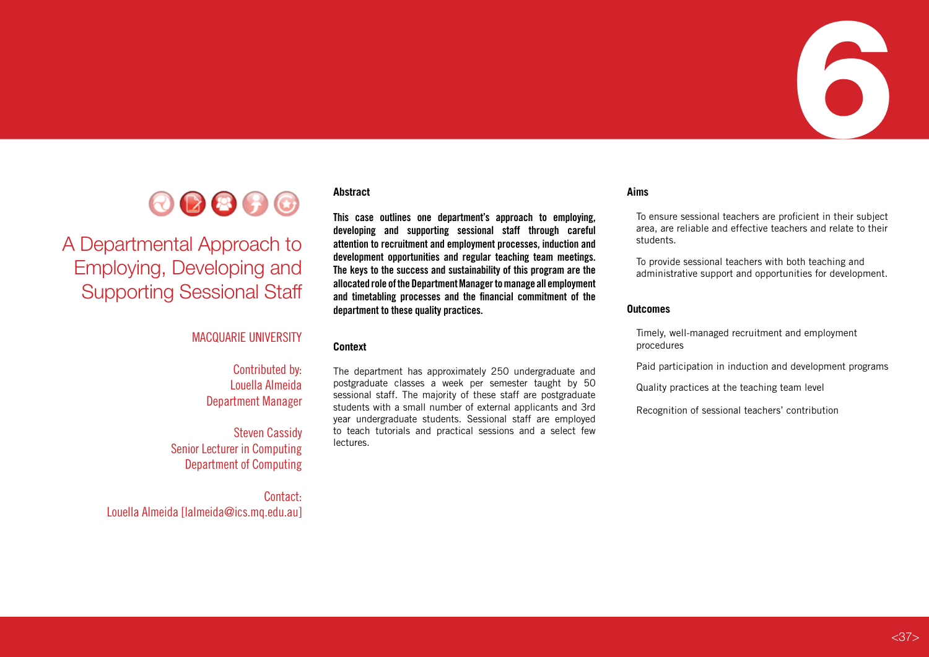



# A Departmental Approach to Employing, Developing and Supporting Sessional Staff

#### MACQUARIE UNIVERSITY

#### Contributed by: Louella Almeida Department Manager

Steven Cassidy Senior Lecturer in Computing Department of Computing

Contact: Louella Almeida [lalmeida@ics.mq.edu.au]

#### **Abstract**

**This case outlines one department's approach to employing, developing and supporting sessional staff through careful attention to recruitment and employment processes, induction and development opportunities and regular teaching team meetings. The keys to the success and sustainability of this program are the allocated role of the Department Manager to manage all employment and timetabling processes and the financial commitment of the department to these quality practices.** 

#### **Context**

The department has approximately 250 undergraduate and postgraduate classes a week per semester taught by 50 sessional staff. The majority of these staff are postgraduate students with a small number of external applicants and 3rd year undergraduate students. Sessional staff are employed to teach tutorials and practical sessions and a select few lectures.

#### **Aims**

To ensure sessional teachers are proficient in their subject area, are reliable and effective teachers and relate to their students.

To provide sessional teachers with both teaching and administrative support and opportunities for development.

#### **Outcomes**

Timely, well-managed recruitment and employment procedures

Paid participation in induction and development programs

Quality practices at the teaching team level

Recognition of sessional teachers' contribution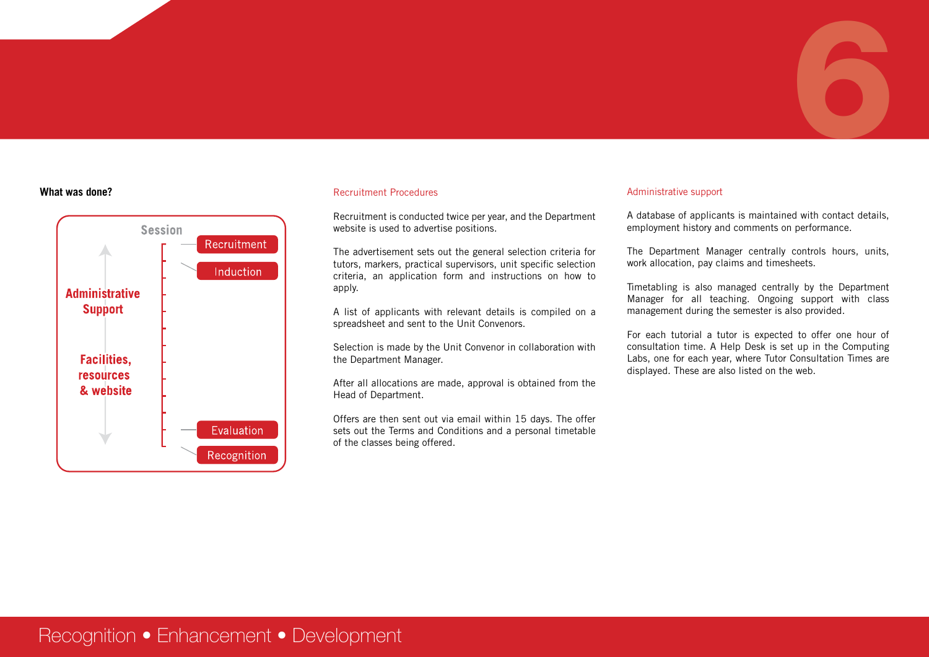# 6



#### **What was done?** Administrative support **Recruitment Procedures Administrative support Administrative support** Recruitment Procedures

Recruitment is conducted twice per year, and the Department website is used to advertise positions.

The advertisement sets out the general selection criteria for tutors, markers, practical supervisors, unit specific selection criteria, an application form and instructions on how to apply.

A list of applicants with relevant details is compiled on a spreadsheet and sent to the Unit Convenors.

Selection is made by the Unit Convenor in collaboration with the Department Manager.

After all allocations are made, approval is obtained from the Head of Department.

Offers are then sent out via email within 15 days. The offer sets out the Terms and Conditions and a personal timetable of the classes being offered.

A database of applicants is maintained with contact details, employment history and comments on performance.

The Department Manager centrally controls hours, units, work allocation, pay claims and timesheets.

Timetabling is also managed centrally by the Department Manager for all teaching. Ongoing support with class management during the semester is also provided.

For each tutorial a tutor is expected to offer one hour of consultation time. A Help Desk is set up in the Computing Labs, one for each year, where Tutor Consultation Times are displayed. These are also listed on the web.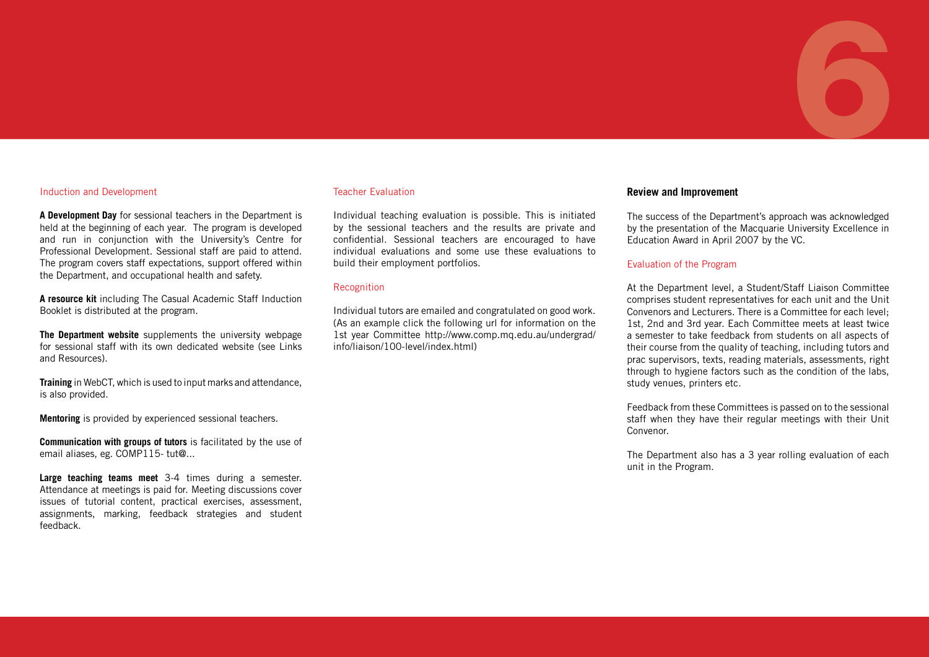#### Induction and Development

**A Development Day** for sessional teachers in the Department is held at the beginning of each year. The program is developed and run in conjunction with the University's Centre for Professional Development. Sessional staff are paid to attend. The program covers staff expectations, support offered within the Department, and occupational health and safety.

**A resource kit** including The Casual Academic Staff Induction Booklet is distributed at the program.

**The Department website** supplements the university webpage for sessional staff with its own dedicated website (see Links and Resources).

**Training** in WebCT, which is used to input marks and attendance, is also provided.

**Mentoring** is provided by experienced sessional teachers.

**Communication with groups of tutors** is facilitated by the use of email aliases, eg. COMP115- tut@...

**Large teaching teams meet** 3-4 times during a semester. Attendance at meetings is paid for. Meeting discussions cover issues of tutorial content, practical exercises, assessment, assignments, marking, feedback strategies and student feedback.

#### Teacher Evaluation

Individual teaching evaluation is possible. This is initiated by the sessional teachers and the results are private and confidential. Sessional teachers are encouraged to have individual evaluations and some use these evaluations to build their employment portfolios.

#### Recognition

Individual tutors are emailed and congratulated on good work. (As an example click the following url for information on the 1st year Committee http://www.comp.mq.edu.au/undergrad/ info/liaison/100-level/index.html)

#### **Review and Improvement**

RED www.cadad.edu.au/sessional/

The success of the Department's approach was acknowledged by the presentation of the Macquarie University Excellence in Education Award in April 2007 by the VC.

6

#### Evaluation of the Program

At the Department level, a Student/Staff Liaison Committee comprises student representatives for each unit and the Unit Convenors and Lecturers. There is a Committee for each level; 1st, 2nd and 3rd year. Each Committee meets at least twice a semester to take feedback from students on all aspects of their course from the quality of teaching, including tutors and prac supervisors, texts, reading materials, assessments, right through to hygiene factors such as the condition of the labs, study venues, printers etc.

Feedback from these Committees is passed on to the sessional staff when they have their regular meetings with their Unit Convenor.

The Department also has a 3 year rolling evaluation of each unit in the Program.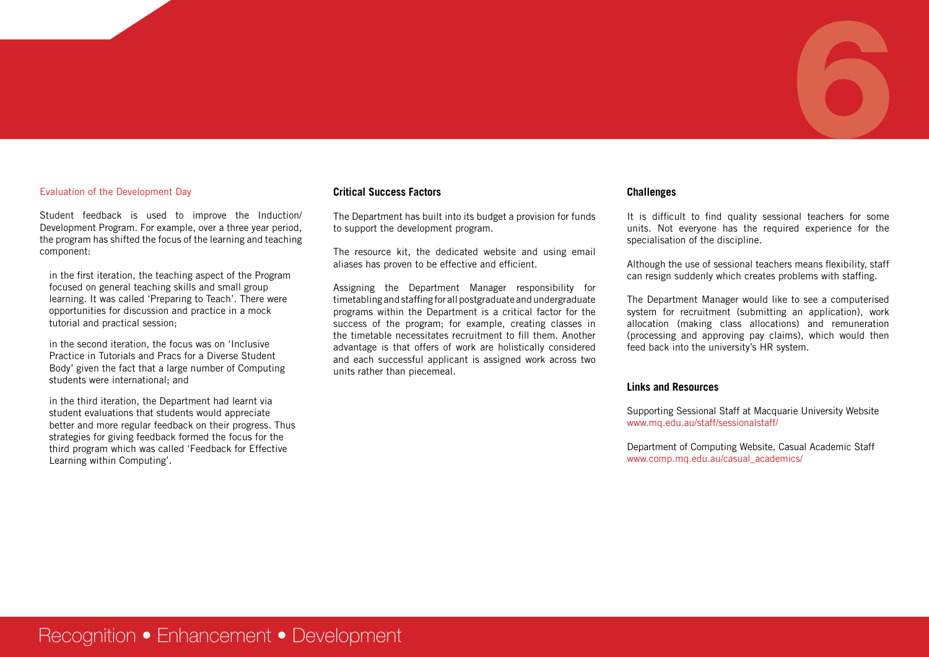# 6

#### Evaluation of the Development Day

Student feedback is used to improve the Induction/ Development Program. For example, over a three year period, the program has shifted the focus of the learning and teaching component:

in the first iteration, the teaching aspect of the Program focused on general teaching skills and small group learning. It was called 'Preparing to Teach'. There were opportunities for discussion and practice in a mock tutorial and practical session;

in the second iteration, the focus was on 'Inclusive Practice in Tutorials and Pracs for a Diverse Student Body' given the fact that a large number of Computing students were international; and

in the third iteration, the Department had learnt via student evaluations that students would appreciate better and more regular feedback on their progress. Thus strategies for giving feedback formed the focus for the third program which was called 'Feedback for Effective Learning within Computing'.

#### **Critical Success Factors**

The Department has built into its budget a provision for funds to support the development program.

The resource kit, the dedicated website and using email aliases has proven to be effective and efficient.

Assigning the Department Manager responsibility for timetabling and staffing for all postgraduate and undergraduate programs within the Department is a critical factor for the success of the program; for example, creating classes in the timetable necessitates recruitment to fill them. Another advantage is that offers of work are holistically considered and each successful applicant is assigned work across two units rather than piecemeal.

#### **Challenges**

It is difficult to find quality sessional teachers for some units. Not everyone has the required experience for the specialisation of the discipline.

Although the use of sessional teachers means flexibility, staff can resign suddenly which creates problems with staffing.

The Department Manager would like to see a computerised system for recruitment (submitting an application), work allocation (making class allocations) and remuneration (processing and approving pay claims), which would then feed back into the university's HR system.

#### **Links and Resources**

Supporting Sessional Staff at Macquarie University Website www.mq.edu.au/staff/sessionalstaff/

Department of Computing Website, Casual Academic Staff www.comp.mq.edu.au/casual\_academics/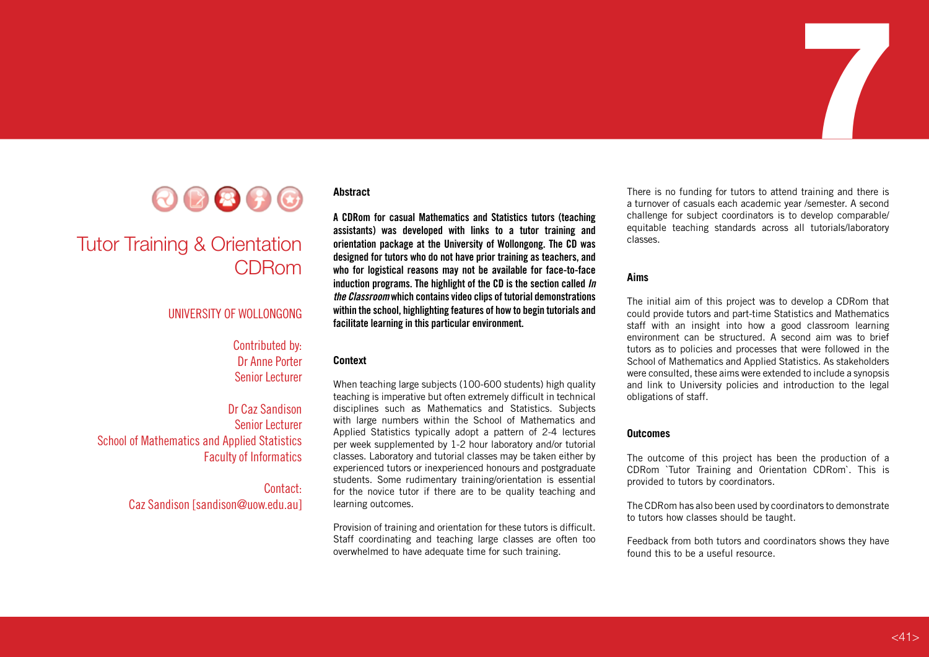

## Tutor Training & Orientation CDRom

#### UNIVERSITY OF WOLLONGONG

#### Contributed by: Dr Anne Porter Senior Lecturer

Dr Caz Sandison Senior Lecturer School of Mathematics and Applied Statistics Faculty of Informatics

#### Contact: Caz Sandison [sandison@uow.edu.au]

#### **Abstract**

**A CDRom for casual Mathematics and Statistics tutors (teaching assistants) was developed with links to a tutor training and orientation package at the University of Wollongong. The CD was designed for tutors who do not have prior training as teachers, and who for logistical reasons may not be available for face-to-face induction programs. The highlight of the CD is the section called** *In the Classroom* **which contains video clips of tutorial demonstrations within the school, highlighting features of how to begin tutorials and facilitate learning in this particular environment.** 

#### **Context**

When teaching large subjects (100-600 students) high quality teaching is imperative but often extremely difficult in technical disciplines such as Mathematics and Statistics. Subjects with large numbers within the School of Mathematics and Applied Statistics typically adopt a pattern of 2-4 lectures per week supplemented by 1-2 hour laboratory and/or tutorial classes. Laboratory and tutorial classes may be taken either by experienced tutors or inexperienced honours and postgraduate students. Some rudimentary training/orientation is essential for the novice tutor if there are to be quality teaching and learning outcomes.

Provision of training and orientation for these tutors is difficult. Staff coordinating and teaching large classes are often too overwhelmed to have adequate time for such training.

There is no funding for tutors to attend training and there is a turnover of casuals each academic year /semester. A second challenge for subject coordinators is to develop comparable/ equitable teaching standards across all tutorials/laboratory classes.

7

#### **Aims**

The initial aim of this project was to develop a CDRom that could provide tutors and part-time Statistics and Mathematics staff with an insight into how a good classroom learning environment can be structured. A second aim was to brief tutors as to policies and processes that were followed in the School of Mathematics and Applied Statistics. As stakeholders were consulted, these aims were extended to include a synopsis and link to University policies and introduction to the legal obligations of staff.

#### **Outcomes**

The outcome of this project has been the production of a CDRom `Tutor Training and Orientation CDRom`. This is provided to tutors by coordinators.

The CDRom has also been used by coordinators to demonstrate to tutors how classes should be taught.

Feedback from both tutors and coordinators shows they have found this to be a useful resource.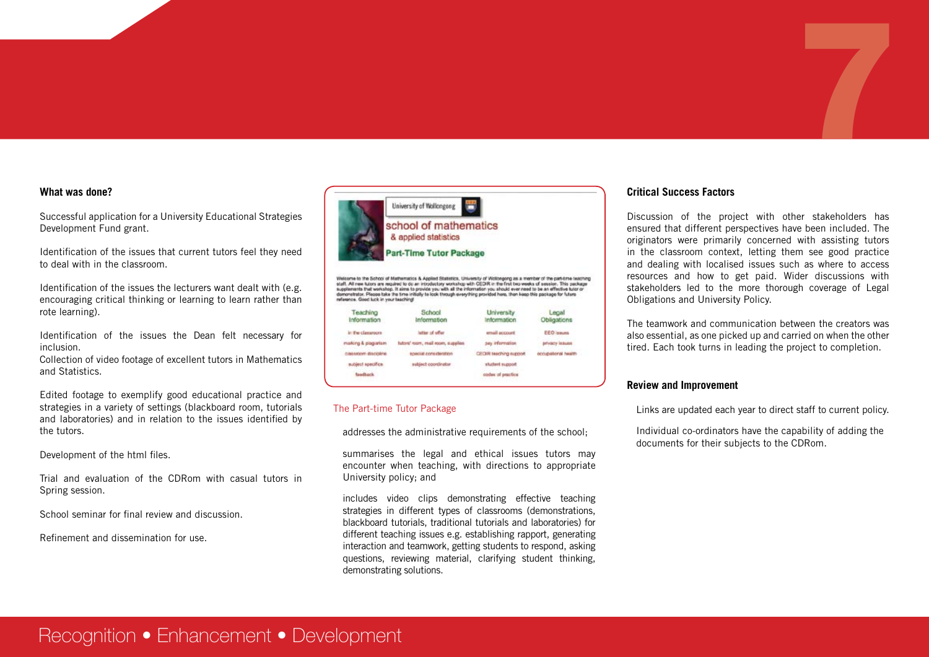#### **What was done?**

Successful application for a University Educational Strategies Development Fund grant.

Identification of the issues that current tutors feel they need to deal with in the classroom.

Identification of the issues the lecturers want dealt with (e.g. encouraging critical thinking or learning to learn rather than rote learning).

Identification of the issues the Dean felt necessary for inclusion.

Collection of video footage of excellent tutors in Mathematics and Statistics.

Edited footage to exemplify good educational practice and strategies in a variety of settings (blackboard room, tutorials and laboratories) and in relation to the issues identified by the tutors.

Development of the html files.

Trial and evaluation of the CDRom with casual tutors in Spring session.

School seminar for final review and discussion.

Refinement and dissemination for use.



Welcome to the School of Mathematics & Applied Statistics, University of Woltongong as a member of the part-time teaching<br>staff. All new tutors are required to do an introductory workshop with CIEDR in the first two weeks reference. Good luck in your teaching

| Teaching<br>Information          | School<br>Information             | University<br><b>Information</b> | Legal<br>Obligations |
|----------------------------------|-----------------------------------|----------------------------------|----------------------|
| in the classroom                 | atter of offer                    | email account                    | <b>EEO</b> issues    |
| making & plag arism              | futore' room, mail room, supplies | pay information                  | privacy issues       |
| casseom discipline               | <b>ROMALIST CONSIDERATION</b>     | DECER teaching support           | occupational health. |
| subject specifica.               | subject coordinator               | student support                  |                      |
| fasdback<br><b>SALES CONTROL</b> |                                   | codes of practice                |                      |

#### The Part-time Tutor Package

addresses the administrative requirements of the school;

summarises the legal and ethical issues tutors may encounter when teaching, with directions to appropriate University policy; and

includes video clips demonstrating effective teaching strategies in different types of classrooms (demonstrations, blackboard tutorials, traditional tutorials and laboratories) for different teaching issues e.g. establishing rapport, generating interaction and teamwork, getting students to respond, asking questions, reviewing material, clarifying student thinking, demonstrating solutions.

#### **Critical Success Factors**

Discussion of the project with other stakeholders has ensured that different perspectives have been included. The originators were primarily concerned with assisting tutors in the classroom context, letting them see good practice and dealing with localised issues such as where to access resources and how to get paid. Wider discussions with stakeholders led to the more thorough coverage of Legal Obligations and University Policy.

7

The teamwork and communication between the creators was also essential, as one picked up and carried on when the other tired. Each took turns in leading the project to completion.

#### **Review and Improvement**

Links are updated each year to direct staff to current policy.

Individual co-ordinators have the capability of adding the documents for their subjects to the CDRom.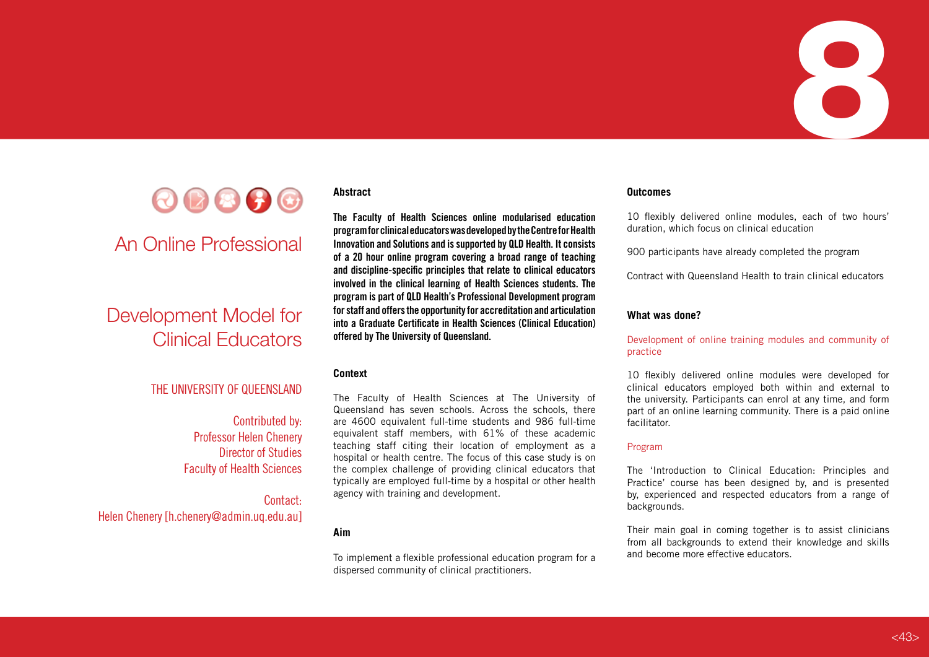



## An Online Professional

# Development Model for Clinical Educators

#### THE UNIVERSITY OF QUEENSLAND

Contributed by: Professor Helen Chenery Director of Studies Faculty of Health Sciences

Contact: Helen Chenery [h.chenery@admin.uq.edu.au]

#### **Abstract**

**The Faculty of Health Sciences online modularised education program for clinical educators was developed by the Centre for Health Innovation and Solutions and is supported by QLD Health. It consists of a 20 hour online program covering a broad range of teaching and discipline-specific principles that relate to clinical educators involved in the clinical learning of Health Sciences students. The program is part of QLD Health's Professional Development program for staff and offers the opportunity for accreditation and articulation into a Graduate Certificate in Health Sciences (Clinical Education) offered by The University of Queensland.** 

#### **Context**

The Faculty of Health Sciences at The University of Queensland has seven schools. Across the schools, there are 4600 equivalent full-time students and 986 full-time equivalent staff members, with 61% of these academic teaching staff citing their location of employment as a hospital or health centre. The focus of this case study is on the complex challenge of providing clinical educators that typically are employed full-time by a hospital or other health agency with training and development.

#### **Aim**

To implement a flexible professional education program for a dispersed community of clinical practitioners.

#### **Outcomes**

10 flexibly delivered online modules, each of two hours' duration, which focus on clinical education

900 participants have already completed the program

Contract with Queensland Health to train clinical educators

#### **What was done?**

Development of online training modules and community of practice

10 flexibly delivered online modules were developed for clinical educators employed both within and external to the university. Participants can enrol at any time, and form part of an online learning community. There is a paid online facilitator.

#### Program

The 'Introduction to Clinical Education: Principles and Practice' course has been designed by, and is presented by, experienced and respected educators from a range of backgrounds.

Their main goal in coming together is to assist clinicians from all backgrounds to extend their knowledge and skills and become more effective educators.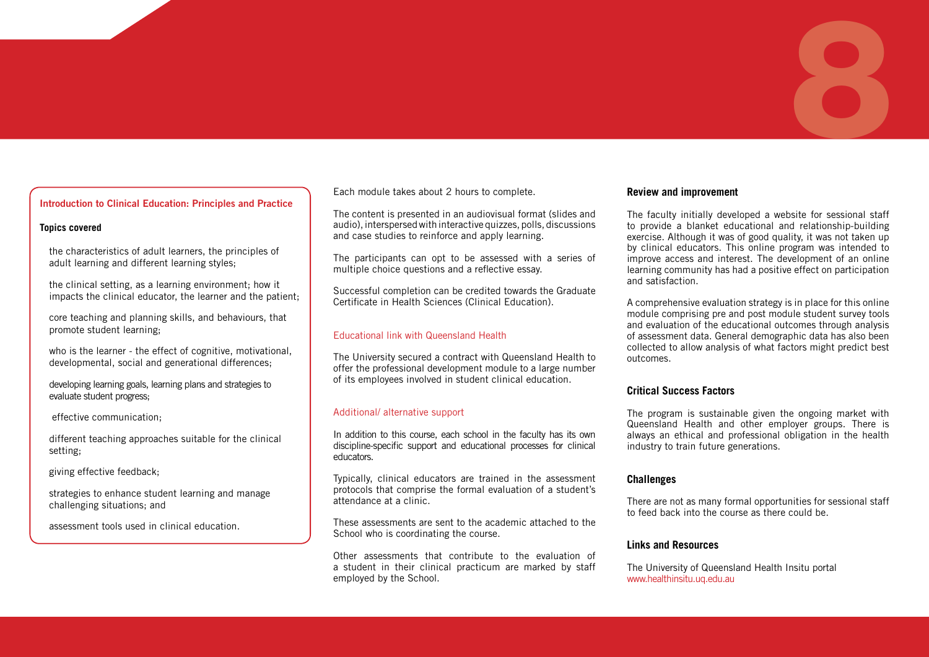#### **Introduction to Clinical Education: Principles and Practice**

#### **Topics covered**

the characteristics of adult learners, the principles of adult learning and different learning styles;

the clinical setting, as a learning environment; how it impacts the clinical educator, the learner and the patient;

core teaching and planning skills, and behaviours, that promote student learning;

who is the learner - the effect of cognitive, motivational, developmental, social and generational differences;

developing learning goals, learning plans and strategies to evaluate student progress;

effective communication;

different teaching approaches suitable for the clinical setting;

giving effective feedback;

strategies to enhance student learning and manage challenging situations; and

assessment tools used in clinical education.

Each module takes about 2 hours to complete.

The content is presented in an audiovisual format (slides and audio), interspersed with interactive quizzes, polls, discussions and case studies to reinforce and apply learning.

The participants can opt to be assessed with a series of multiple choice questions and a reflective essay.

Successful completion can be credited towards the Graduate Certificate in Health Sciences (Clinical Education).

#### Educational link with Queensland Health

The University secured a contract with Queensland Health to offer the professional development module to a large number of its employees involved in student clinical education.

#### Additional/ alternative support

In addition to this course, each school in the faculty has its own discipline-specific support and educational processes for clinical educators.

Typically, clinical educators are trained in the assessment protocols that comprise the formal evaluation of a student's attendance at a clinic.

These assessments are sent to the academic attached to the School who is coordinating the course.

Other assessments that contribute to the evaluation of a student in their clinical practicum are marked by staff employed by the School.

#### **Review and improvement**

The faculty initially developed a website for sessional staff to provide a blanket educational and relationship-building exercise. Although it was of good quality, it was not taken up by clinical educators. This online program was intended to improve access and interest. The development of an online learning community has had a positive effect on participation and satisfaction.

8

A comprehensive evaluation strategy is in place for this online module comprising pre and post module student survey tools and evaluation of the educational outcomes through analysis of assessment data. General demographic data has also been collected to allow analysis of what factors might predict best outcomes.

#### **Critical Success Factors**

The program is sustainable given the ongoing market with Queensland Health and other employer groups. There is always an ethical and professional obligation in the health industry to train future generations.

#### **Challenges**

There are not as many formal opportunities for sessional staff to feed back into the course as there could be.

#### **Links and Resources**

The University of Queensland Health Insitu portal www.healthinsitu.uq.edu.au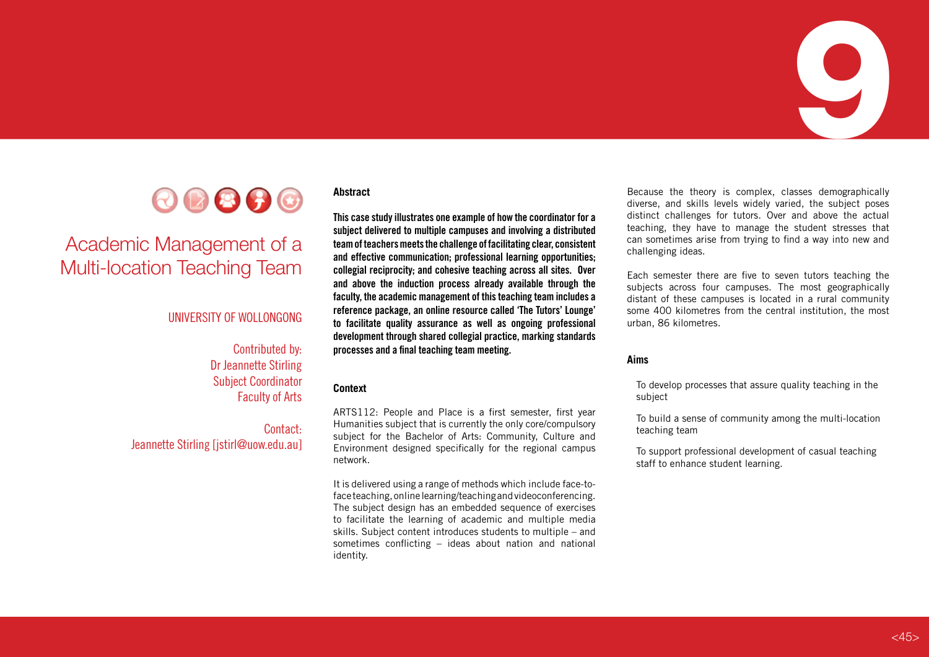



# Academic Management of a Multi-location Teaching Team

#### UNIVERSITY OF WOLLONGONG

#### Contributed by: Dr Jeannette Stirling Subject Coordinator Faculty of Arts

Contact: Jeannette Stirling [jstirl@uow.edu.au]

#### **Abstract**

**This case study illustrates one example of how the coordinator for a subject delivered to multiple campuses and involving a distributed team of teachers meets the challenge of facilitating clear, consistent and effective communication; professional learning opportunities; collegial reciprocity; and cohesive teaching across all sites. Over and above the induction process already available through the faculty, the academic management of this teaching team includes a reference package, an online resource called 'The Tutors' Lounge' to facilitate quality assurance as well as ongoing professional development through shared collegial practice, marking standards processes and a final teaching team meeting.**

#### **Context**

ARTS112: People and Place is a first semester, first year Humanities subject that is currently the only core/compulsory subject for the Bachelor of Arts: Community, Culture and Environment designed specifically for the regional campus network.

It is delivered using a range of methods which include face-toface teaching, online learning/teaching and videoconferencing. The subject design has an embedded sequence of exercises to facilitate the learning of academic and multiple media skills. Subject content introduces students to multiple – and sometimes conflicting – ideas about nation and national identity.

Because the theory is complex, classes demographically diverse, and skills levels widely varied, the subject poses distinct challenges for tutors. Over and above the actual teaching, they have to manage the student stresses that can sometimes arise from trying to find a way into new and challenging ideas.

Each semester there are five to seven tutors teaching the subjects across four campuses. The most geographically distant of these campuses is located in a rural community some 400 kilometres from the central institution, the most urban, 86 kilometres.

#### **Aims**

To develop processes that assure quality teaching in the subject

To build a sense of community among the multi-location teaching team

To support professional development of casual teaching staff to enhance student learning.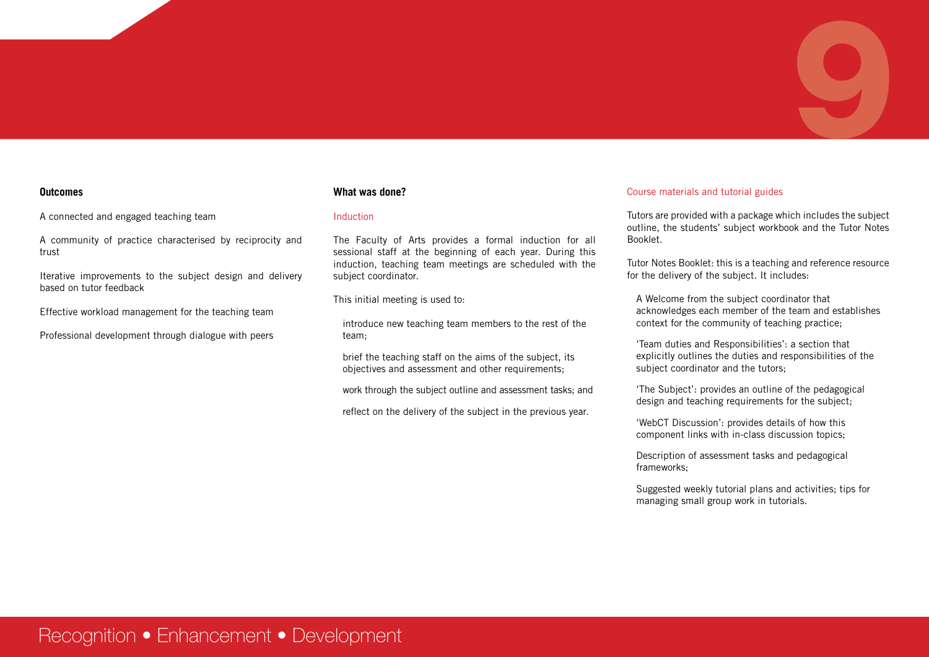

#### **Outcomes**

A connected and engaged teaching team

A community of practice characterised by reciprocity and trust

Iterative improvements to the subject design and delivery based on tutor feedback

Effective workload management for the teaching team

Professional development through dialogue with peers

#### **What was done?**

#### Induction

The Faculty of Arts provides a formal induction for all sessional staff at the beginning of each year. During this induction, teaching team meetings are scheduled with the subject coordinator.

This initial meeting is used to:

introduce new teaching team members to the rest of the team;

brief the teaching staff on the aims of the subject, its objectives and assessment and other requirements;

work through the subject outline and assessment tasks; and

reflect on the delivery of the subject in the previous year.

#### Course materials and tutorial guides

Tutors are provided with a package which includes the subject outline, the students' subject workbook and the Tutor Notes Booklet.

Tutor Notes Booklet: this is a teaching and reference resource for the delivery of the subject. It includes:

A Welcome from the subject coordinator that acknowledges each member of the team and establishes context for the community of teaching practice;

'Team duties and Responsibilities': a section that explicitly outlines the duties and responsibilities of the subject coordinator and the tutors;

'The Subject': provides an outline of the pedagogical design and teaching requirements for the subject;

'WebCT Discussion': provides details of how this component links with in-class discussion topics;

Description of assessment tasks and pedagogical frameworks;

Suggested weekly tutorial plans and activities; tips for managing small group work in tutorials.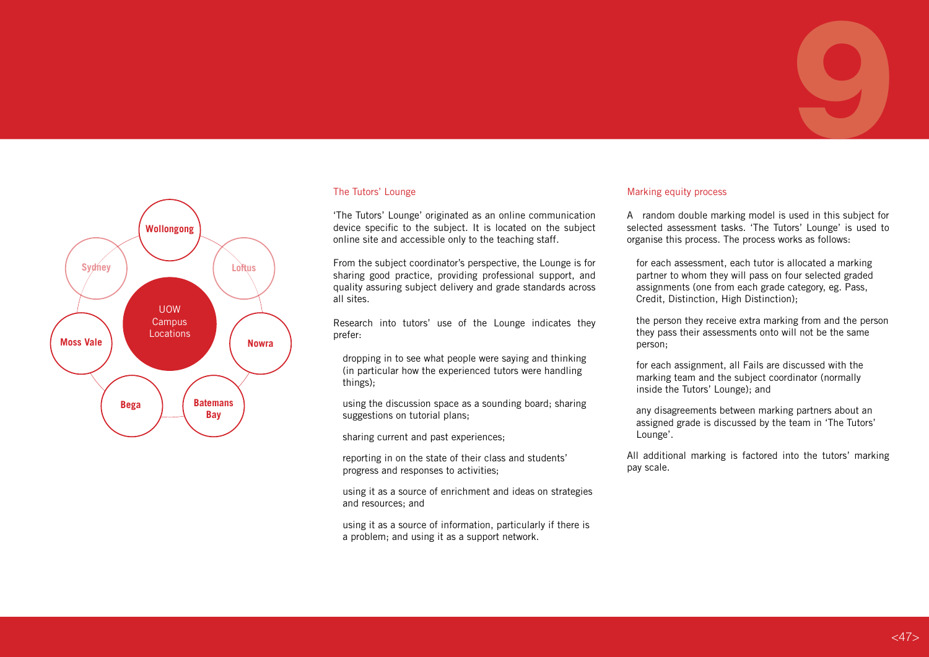## UOW **Campus Locations Wollongong Batemans Bay Sydney Nowra Loftus Bega Moss Vale**

#### The Tutors' Lounge

'The Tutors' Lounge' originated as an online communication device specific to the subject. It is located on the subject online site and accessible only to the teaching staff.

From the subject coordinator's perspective, the Lounge is for sharing good practice, providing professional support, and quality assuring subject delivery and grade standards across all sites.

Research into tutors' use of the Lounge indicates they prefer:

dropping in to see what people were saying and thinking (in particular how the experienced tutors were handling things);

using the discussion space as a sounding board; sharing suggestions on tutorial plans;

sharing current and past experiences;

reporting in on the state of their class and students' progress and responses to activities;

using it as a source of enrichment and ideas on strategies and resources; and

using it as a source of information, particularly if there is a problem; and using it as a support network.

#### Marking equity process

A random double marking model is used in this subject for selected assessment tasks. 'The Tutors' Lounge' is used to organise this process. The process works as follows:

9

for each assessment, each tutor is allocated a marking partner to whom they will pass on four selected graded assignments (one from each grade category, eg. Pass, Credit, Distinction, High Distinction);

the person they receive extra marking from and the person they pass their assessments onto will not be the same person;

for each assignment, all Fails are discussed with the marking team and the subject coordinator (normally inside the Tutors' Lounge); and

any disagreements between marking partners about an assigned grade is discussed by the team in 'The Tutors' Lounge'.

All additional marking is factored into the tutors' marking pay scale.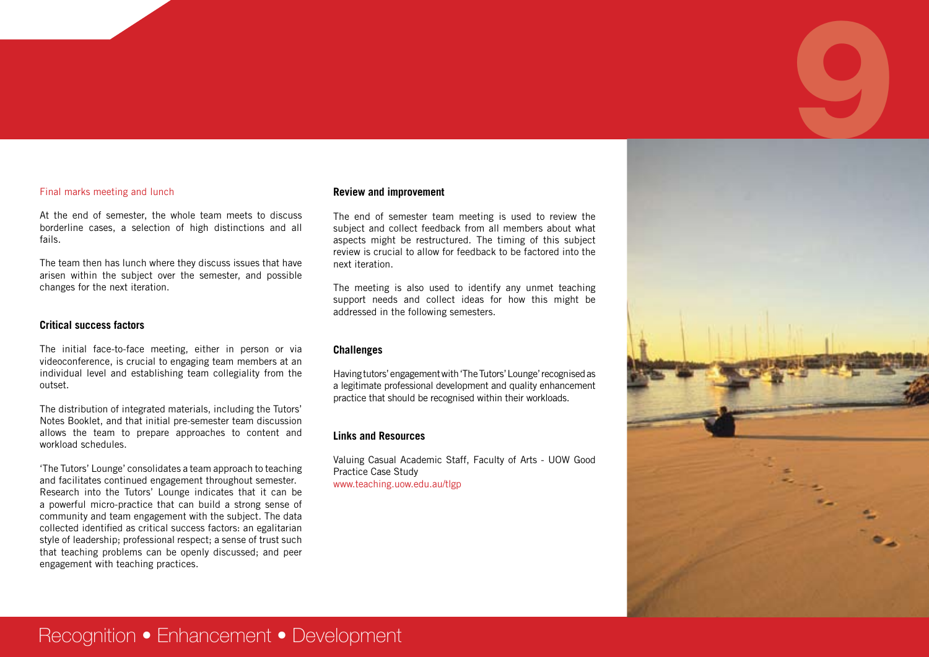#### Final marks meeting and lunch

At the end of semester, the whole team meets to discuss borderline cases, a selection of high distinctions and all fails.

The team then has lunch where they discuss issues that have arisen within the subject over the semester, and possible changes for the next iteration.

#### **Critical success factors**

The initial face-to-face meeting, either in person or via videoconference, is crucial to engaging team members at an individual level and establishing team collegiality from the outset.

The distribution of integrated materials, including the Tutors' Notes Booklet, and that initial pre-semester team discussion allows the team to prepare approaches to content and workload schedules.

'The Tutors' Lounge' consolidates a team approach to teaching and facilitates continued engagement throughout semester. Research into the Tutors' Lounge indicates that it can be a powerful micro-practice that can build a strong sense of community and team engagement with the subject. The data collected identified as critical success factors: an egalitarian style of leadership; professional respect; a sense of trust such that teaching problems can be openly discussed; and peer engagement with teaching practices.

#### **Review and improvement**

The end of semester team meeting is used to review the subject and collect feedback from all members about what aspects might be restructured. The timing of this subject review is crucial to allow for feedback to be factored into the next iteration.

The meeting is also used to identify any unmet teaching support needs and collect ideas for how this might be addressed in the following semesters.

#### **Challenges**

Having tutors' engagement with 'The Tutors' Lounge' recognised as a legitimate professional development and quality enhancement practice that should be recognised within their workloads.

#### **Links and Resources**

Valuing Casual Academic Staff, Faculty of Arts - UOW Good Practice Case Study www.teaching.uow.edu.au/tlgp



## Recognition • Enhancement • Development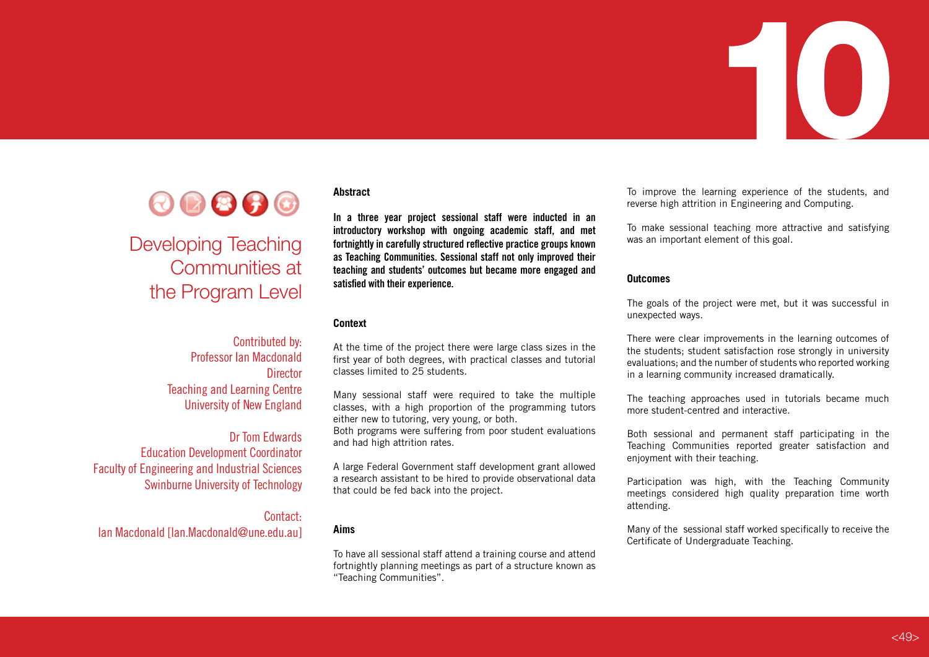



# Developing Teaching Communities at the Program Level

#### Contributed by: Professor Ian Macdonald **Director** Teaching and Learning Centre University of New England

#### Dr Tom Edwards Education Development Coordinator Faculty of Engineering and Industrial Sciences Swinburne University of Technology

Contact: Ian Macdonald [Ian.Macdonald@une.edu.au]

#### **Abstract**

**In a three year project sessional staff were inducted in an introductory workshop with ongoing academic staff, and met fortnightly in carefully structured reflective practice groups known as Teaching Communities. Sessional staff not only improved their teaching and students' outcomes but became more engaged and satisfied with their experience.** 

#### **Context**

At the time of the project there were large class sizes in the first year of both degrees, with practical classes and tutorial classes limited to 25 students.

Many sessional staff were required to take the multiple classes, with a high proportion of the programming tutors either new to tutoring, very young, or both.

Both programs were suffering from poor student evaluations and had high attrition rates.

A large Federal Government staff development grant allowed a research assistant to be hired to provide observational data that could be fed back into the project.

#### **Aims**

To have all sessional staff attend a training course and attend fortnightly planning meetings as part of a structure known as "Teaching Communities".

To improve the learning experience of the students, and reverse high attrition in Engineering and Computing.

To make sessional teaching more attractive and satisfying was an important element of this goal.

#### **Outcomes**

The goals of the project were met, but it was successful in unexpected ways.

There were clear improvements in the learning outcomes of the students; student satisfaction rose strongly in university evaluations; and the number of students who reported working in a learning community increased dramatically.

The teaching approaches used in tutorials became much more student-centred and interactive.

Both sessional and permanent staff participating in the Teaching Communities reported greater satisfaction and enjoyment with their teaching.

Participation was high, with the Teaching Community meetings considered high quality preparation time worth attending.

Many of the sessional staff worked specifically to receive the Certificate of Undergraduate Teaching.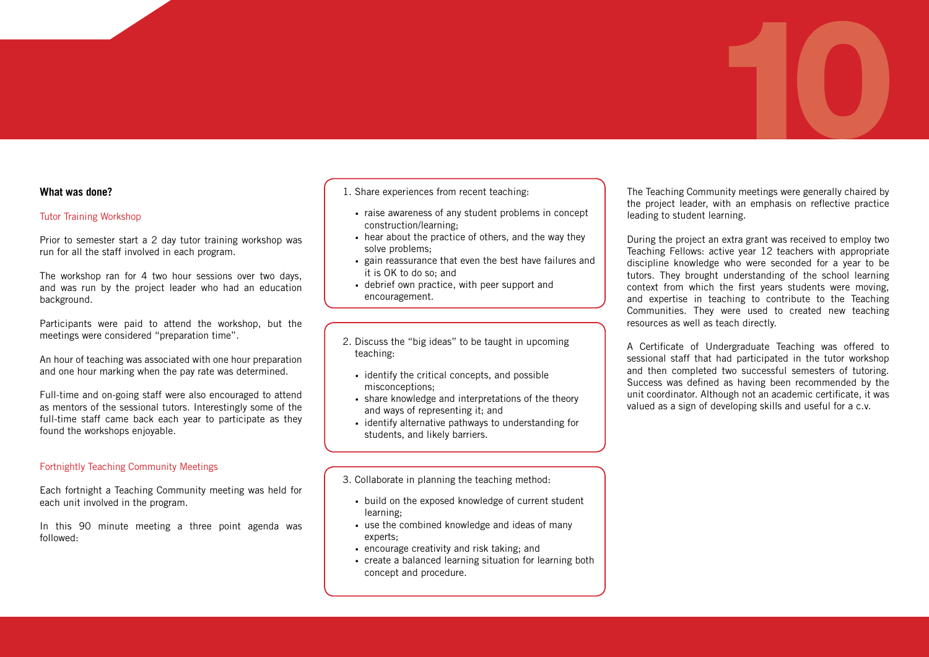#### **What was done?**

#### Tutor Training Workshop

Prior to semester start a 2 day tutor training workshop was run for all the staff involved in each program.

The workshop ran for 4 two hour sessions over two days, and was run by the project leader who had an education background.

Participants were paid to attend the workshop, but the meetings were considered "preparation time".

An hour of teaching was associated with one hour preparation and one hour marking when the pay rate was determined.

Full-time and on-going staff were also encouraged to attend as mentors of the sessional tutors. Interestingly some of the full-time staff came back each year to participate as they found the workshops enjoyable.

#### Fortnightly Teaching Community Meetings

Each fortnight a Teaching Community meeting was held for each unit involved in the program.

In this 90 minute meeting a three point agenda was followed:

#### 1. Share experiences from recent teaching:

- raise awareness of any student problems in concept construction/learning;
- hear about the practice of others, and the way they solve problems;
- gain reassurance that even the best have failures and it is OK to do so; and
- • debrief own practice, with peer support and encouragement.

2.

- 3.2. Discuss the "big ideas" to be taught in upcoming teaching:
	- identify the critical concepts, and possible misconceptions;
	- share knowledge and interpretations of the theory and ways of representing it; and
	- identify alternative pathways to understanding for students, and likely barriers.

5.3. Collaborate in planning the teaching method:

- build on the exposed knowledge of current student learning;
- use the combined knowledge and ideas of many experts;
- encourage creativity and risk taking: and
- create a balanced learning situation for learning both concept and procedure.

The Teaching Community meetings were generally chaired by the project leader, with an emphasis on reflective practice leading to student learning.

During the project an extra grant was received to employ two Teaching Fellows: active year 12 teachers with appropriate discipline knowledge who were seconded for a year to be tutors. They brought understanding of the school learning context from which the first years students were moving, and expertise in teaching to contribute to the Teaching Communities. They were used to created new teaching resources as well as teach directly.

A Certificate of Undergraduate Teaching was offered to sessional staff that had participated in the tutor workshop and then completed two successful semesters of tutoring. Success was defined as having been recommended by the unit coordinator. Although not an academic certificate, it was valued as a sign of developing skills and useful for a c.v.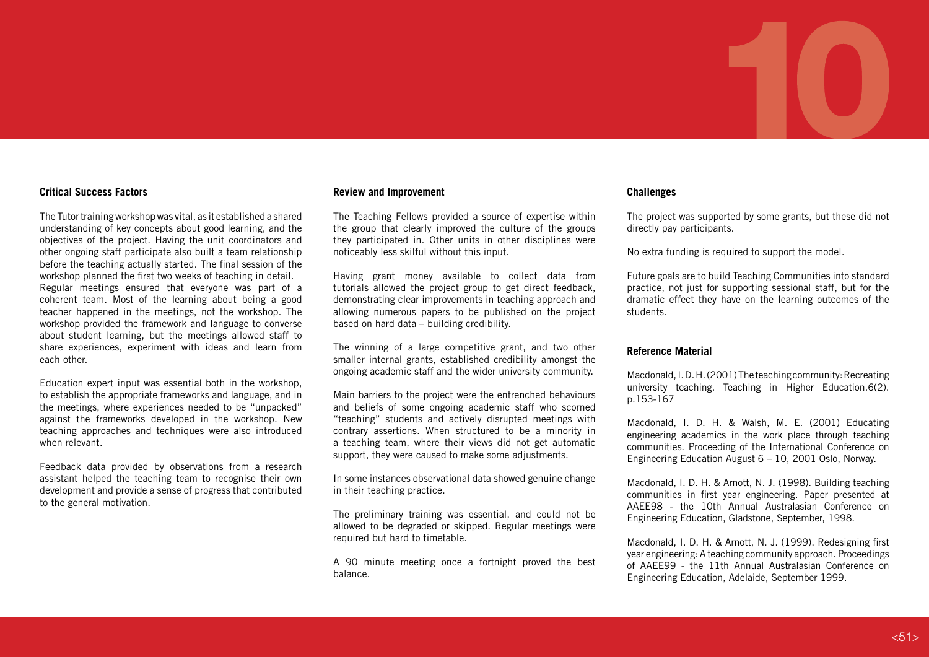#### **Critical Success Factors**

The Tutor training workshop was vital, as it established a shared understanding of key concepts about good learning, and the objectives of the project. Having the unit coordinators and other ongoing staff participate also built a team relationship before the teaching actually started. The final session of the workshop planned the first two weeks of teaching in detail. Regular meetings ensured that everyone was part of a coherent team. Most of the learning about being a good teacher happened in the meetings, not the workshop. The workshop provided the framework and language to converse about student learning, but the meetings allowed staff to share experiences, experiment with ideas and learn from each other

Education expert input was essential both in the workshop, to establish the appropriate frameworks and language, and in the meetings, where experiences needed to be "unpacked" against the frameworks developed in the workshop. New teaching approaches and techniques were also introduced when relevant.

Feedback data provided by observations from a research assistant helped the teaching team to recognise their own development and provide a sense of progress that contributed to the general motivation.

#### **Review and Improvement**

The Teaching Fellows provided a source of expertise within the group that clearly improved the culture of the groups they participated in. Other units in other disciplines were noticeably less skilful without this input.

Having grant money available to collect data from tutorials allowed the project group to get direct feedback, demonstrating clear improvements in teaching approach and allowing numerous papers to be published on the project based on hard data – building credibility.

The winning of a large competitive grant, and two other smaller internal grants, established credibility amongst the ongoing academic staff and the wider university community.

Main barriers to the project were the entrenched behaviours and beliefs of some ongoing academic staff who scorned "teaching" students and actively disrupted meetings with contrary assertions. When structured to be a minority in a teaching team, where their views did not get automatic support, they were caused to make some adjustments.

In some instances observational data showed genuine change in their teaching practice.

The preliminary training was essential, and could not be allowed to be degraded or skipped. Regular meetings were required but hard to timetable.

A 90 minute meeting once a fortnight proved the best balance.

#### **Challenges**

The project was supported by some grants, but these did not directly pay participants.

No extra funding is required to support the model.

Future goals are to build Teaching Communities into standard practice, not just for supporting sessional staff, but for the dramatic effect they have on the learning outcomes of the students.

#### **Reference Material**

Macdonald, I. D. H. (2001) The teaching community: Recreating university teaching. Teaching in Higher Education.6(2). p.153-167

Macdonald, I. D. H. & Walsh, M. E. (2001) Educating engineering academics in the work place through teaching communities. Proceeding of the International Conference on Engineering Education August 6 – 10, 2001 Oslo, Norway.

Macdonald, I. D. H. & Arnott, N. J. (1998). Building teaching communities in first year engineering. Paper presented at AAEE98 - the 10th Annual Australasian Conference on Engineering Education, Gladstone, September, 1998.

Macdonald, I. D. H. & Arnott, N. J. (1999). Redesigning first year engineering: A teaching community approach. Proceedings of AAEE99 - the 11th Annual Australasian Conference on Engineering Education, Adelaide, September 1999.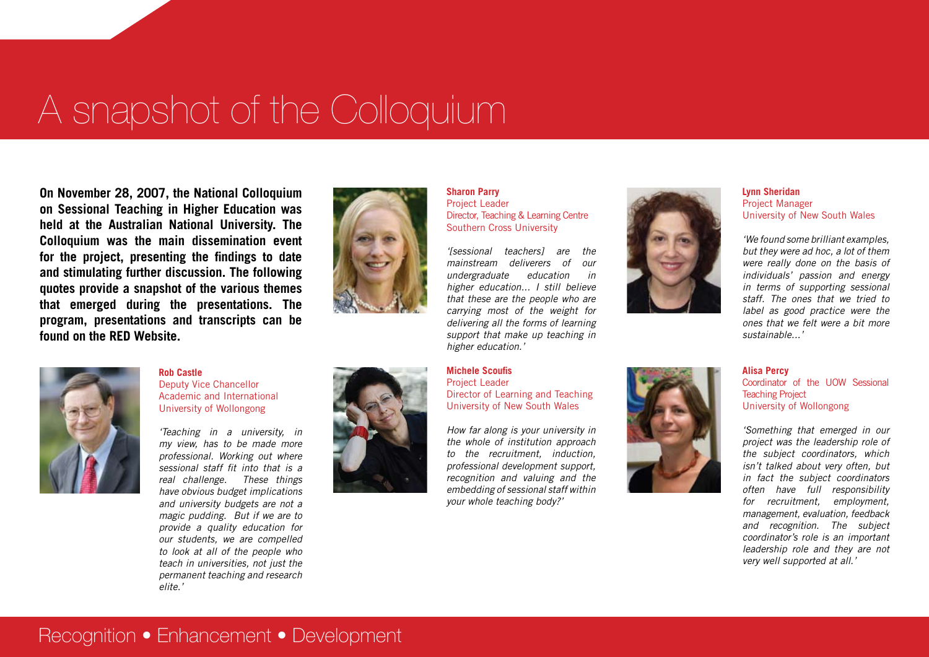# A snapshot of the Colloquium

**On November 28, 2007, the National Colloquium on Sessional Teaching in Higher Education was held at the Australian National University. The Colloquium was the main dissemination event for the project, presenting the findings to date and stimulating further discussion. The following quotes provide a snapshot of the various themes that emerged during the presentations. The program, presentations and transcripts can be found on the RED Website.**



#### **Rob Castle** Deputy Vice Chancellor Academic and International University of Wollongong

*'Teaching in a university, in my view, has to be made more professional. Working out where sessional staff fit into that is a real challenge. These things have obvious budget implications and university budgets are not a magic pudding. But if we are to provide a quality education for our students, we are compelled to look at all of the people who teach in universities, not just the permanent teaching and research elite.'*





#### **Sharon Parry**  Project Leader Director, Teaching & Learning Centre Southern Cross University

*'[sessional teachers] are the mainstream deliverers of our undergraduate education in higher education... I still believe that these are the people who are carrying most of the weight for delivering all the forms of learning support that make up teaching in higher education.'*

#### **Michele Scoufis**

Project Leader Director of Learning and Teaching University of New South Wales

*How far along is your university in the whole of institution approach to the recruitment, induction, professional development support, recognition and valuing and the embedding of sessional staff within your whole teaching body?'*





#### **Lynn Sheridan** Project Manager University of New South Wales

*'We found some brilliant examples, but they were ad hoc, a lot of them were really done on the basis of individuals' passion and energy in terms of supporting sessional staff. The ones that we tried to label as good practice were the ones that we felt were a bit more sustainable...'*

#### **Alisa Percy**

Coordinator of the UOW Sessional Teaching Project University of Wollongong

*'Something that emerged in our project was the leadership role of the subject coordinators, which isn't talked about very often, but in fact the subject coordinators often have full responsibility for recruitment, employment, management, evaluation, feedback and recognition. The subject coordinator's role is an important leadership role and they are not very well supported at all.'*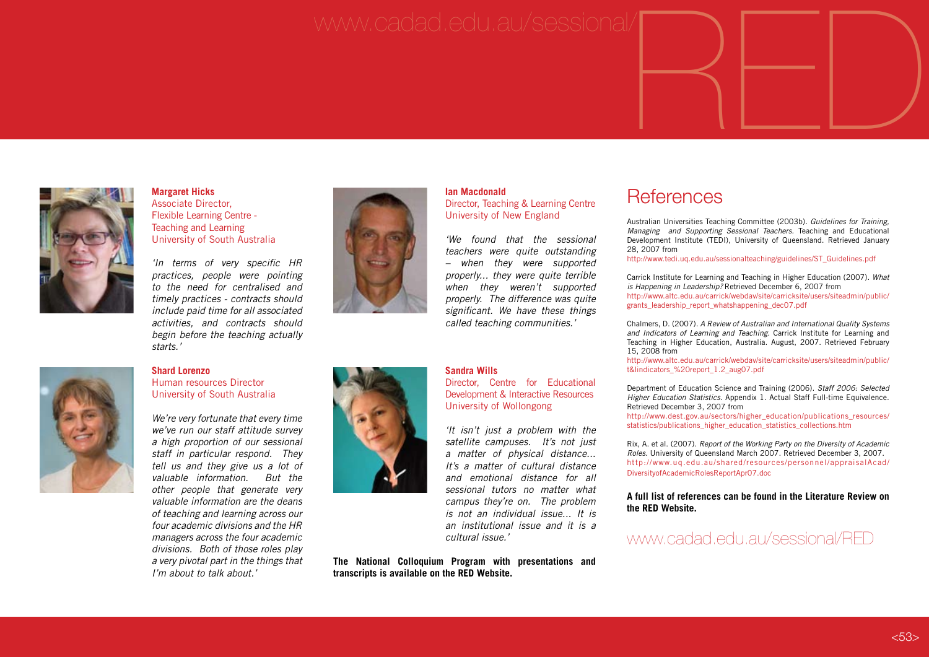# www.cadad.edu.au/sessional/ $\begin{picture}(45,14) \put(0,0){\line(1,0){155}} \put(1,0){\line(1,0){155}} \put(1,0){\line(1,0){155}} \put(1,0){\line(1,0){155}} \put(1,0){\line(1,0){155}} \put(1,0){\line(1,0){155}} \put(1,0){\line(1,0){155}} \put(1,0){\line(1,0){155}} \put(1,0){\line(1,0){155}} \put(1,0){\line(1,0){155}} \put($



**Margaret Hicks** Associate Director, Flexible Learning Centre - Teaching and Learning University of South Australia

*'In terms of very specific HR practices, people were pointing to the need for centralised and timely practices - contracts should include paid time for all associated activities, and contracts should begin before the teaching actually starts.'*



#### **Shard Lorenzo**

#### Human resources Director University of South Australia

*We're very fortunate that every time we've run our staff attitude survey a high proportion of our sessional staff in particular respond. They tell us and they give us a lot of valuable information. But the other people that generate very valuable information are the deans of teaching and learning across our four academic divisions and the HR managers across the four academic divisions. Both of those roles play a very pivotal part in the things that I'm about to talk about.'*





#### **Ian Macdonald** Director, Teaching & Learning Centre University of New England

*'We found that the sessional teachers were quite outstanding – when they were supported properly... they were quite terrible when they weren't supported properly. The difference was quite significant. We have these things called teaching communities.'*

**Sandra Wills**

Director, Centre for Educational Development & Interactive Resources University of Wollongong

*'It isn't just a problem with the satellite campuses. It's not just a matter of physical distance... It's a matter of cultural distance and emotional distance for all sessional tutors no matter what campus they're on. The problem is not an individual issue... It is an institutional issue and it is a cultural issue.'*

**The National Colloquium Program with presentations and transcripts is available on the RED Website.**

### **References**

Australian Universities Teaching Committee (2003b). *Guidelines for Training,* 

*Managing and Supporting Sessional Teachers.* Teaching and Educational Development Institute (TEDI), University of Queensland. Retrieved January 28, 2007 from

http://www.tedi.uq.edu.au/sessionalteaching/guidelines/ST\_Guidelines.pdf

Carrick Institute for Learning and Teaching in Higher Education (2007). *What is Happening in Leadership?* Retrieved December 6, 2007 from http://www.altc.edu.au/carrick/webdav/site/carricksite/users/siteadmin/public/ grants\_leadership\_report\_whatshappening\_dec07.pdf

Chalmers, D. (2007). *A Review of Australian and International Quality Systems and Indicators of Learning and Teaching.* Carrick Institute for Learning and Teaching in Higher Education, Australia. August, 2007. Retrieved February 15, 2008 from

http://www.altc.edu.au/carrick/webdav/site/carricksite/users/siteadmin/public/ t&lindicators\_%20report\_1.2\_aug07.pdf

Department of Education Science and Training (2006). *Staff 2006: Selected Higher Education Statistics.* Appendix 1. Actual Staff Full-time Equivalence. Retrieved December 3, 2007 from

http://www.dest.gov.au/sectors/higher\_education/publications\_resources/ statistics/publications\_higher\_education\_statistics\_collections.htm

Rix, A. et al. (2007). *Report of the Working Party on the Diversity of Academic Roles.* University of Queensland March 2007. Retrieved December 3, 2007. http://www.uq.edu.au/shared/resources/personnel/appraisalAcad/ DiversityofAcademicRolesReportApr07.doc

#### **A full list of references can be found in the Literature Review on the RED Website.**

#### www.cadad.edu.au/sessional/RED

#### $< 53$